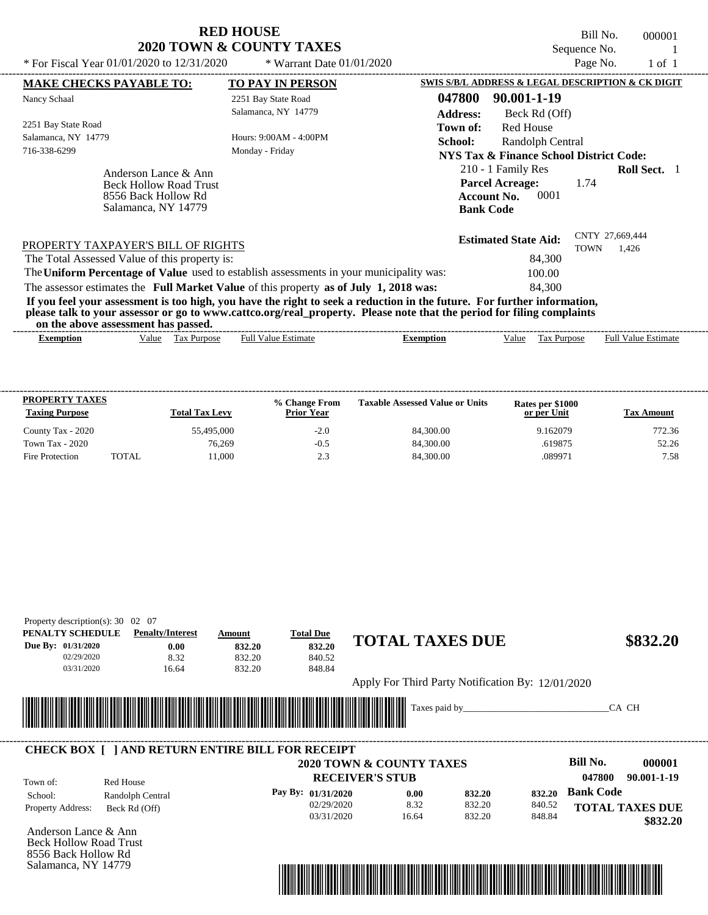| * For Fiscal Year 01/01/2020 to 12/31/2020                                                                                                                                                                                                                                                                                                | <b>RED HOUSE</b><br><b>2020 TOWN &amp; COUNTY TAXES</b><br>* Warrant Date $01/01/2020$                             | Bill No.<br>000001<br>Sequence No.<br>Page No.<br>$1$ of $1$                                                                                                                        |
|-------------------------------------------------------------------------------------------------------------------------------------------------------------------------------------------------------------------------------------------------------------------------------------------------------------------------------------------|--------------------------------------------------------------------------------------------------------------------|-------------------------------------------------------------------------------------------------------------------------------------------------------------------------------------|
| <b>MAKE CHECKS PAYABLE TO:</b><br>Nancy Schaal<br>2251 Bay State Road<br>Salamanca, NY 14779<br>716-338-6299                                                                                                                                                                                                                              | <b>TO PAY IN PERSON</b><br>2251 Bay State Road<br>Salamanca, NY 14779<br>Hours: 9:00AM - 4:00PM<br>Monday - Friday | SWIS S/B/L ADDRESS & LEGAL DESCRIPTION & CK DIGIT<br>047800<br>90.001-1-19<br><b>Address:</b><br>Beck Rd (Off)<br>Red House<br>Town of:<br>School:<br>Randolph Central              |
| Anderson Lance & Ann<br><b>Beck Hollow Road Trust</b><br>8556 Back Hollow Rd<br>Salamanca, NY 14779                                                                                                                                                                                                                                       |                                                                                                                    | <b>NYS Tax &amp; Finance School District Code:</b><br>210 - 1 Family Res<br><b>Roll Sect.</b> 1<br><b>Parcel Acreage:</b><br>1.74<br>0001<br><b>Account No.</b><br><b>Bank Code</b> |
| PROPERTY TAXPAYER'S BILL OF RIGHTS<br>The Total Assessed Value of this property is:<br>The Uniform Percentage of Value used to establish assessments in your municipality was:                                                                                                                                                            | CNTY 27,669,444<br><b>Estimated State Aid:</b><br><b>TOWN</b><br>1,426<br>84,300<br>100.00                         |                                                                                                                                                                                     |
| The assessor estimates the Full Market Value of this property as of July 1, 2018 was:<br>If you feel your assessment is too high, you have the right to seek a reduction in the future. For further information,<br>please talk to your assessor or go to www.cattco.org/real_property. Please note that the period for filing complaints |                                                                                                                    | 84,300                                                                                                                                                                              |

| or<br>the<br>ass<br>above | nasseo.<br>. has<br>sessment |                |        |                            |                         |
|---------------------------|------------------------------|----------------|--------|----------------------------|-------------------------|
| *xemption                 | √alue<br>ax<br>.rdose        | Estimat<br>Ful | ıptıon | -<br>alue<br>'urdos<br>151 | Full<br>Estimate<br>alu |

| <b>PROPERTY TAXES</b><br><b>Taxing Purpose</b> |       | <b>Total Tax Levy</b> | % Change From<br><b>Prior Year</b> | <b>Taxable Assessed Value or Units</b> | Rates per \$1000<br>or per Unit | Tax Amount |
|------------------------------------------------|-------|-----------------------|------------------------------------|----------------------------------------|---------------------------------|------------|
| County Tax - 2020                              |       | 55,495,000            | $-2.0$                             | 84,300.00                              | 9.162079                        | 772.36     |
| Town Tax - 2020                                |       | 76.269                | $-0.5$                             | 84,300.00                              | .619875                         | 52.26      |
| Fire Protection                                | TOTAL | 11.000                | 2.3                                | 84,300.00                              | .089971                         | 7.58       |

| PENALTY SCHEDULE                                        | Property description(s): $30 \quad 02 \quad 07$<br><b>Penalty/Interest</b> | Amount | <b>Total Due</b> |                                                   |                    |
|---------------------------------------------------------|----------------------------------------------------------------------------|--------|------------------|---------------------------------------------------|--------------------|
| Due By: 01/31/2020                                      | 0.00                                                                       | 832.20 | 832.20           | <b>TOTAL TAXES DUE</b>                            | \$832.20           |
| 02/29/2020                                              | 8.32                                                                       | 832.20 | 840.52           |                                                   |                    |
| 03/31/2020                                              | 16.64                                                                      | 832.20 | 848.84           |                                                   |                    |
|                                                         |                                                                            |        |                  | Apply For Third Party Notification By: 12/01/2020 |                    |
|                                                         |                                                                            |        |                  | Taxes paid by                                     | CA CH              |
|                                                         |                                                                            |        |                  |                                                   |                    |
| <b>CHECK BOX [ ] AND RETURN ENTIRE BILL FOR RECEIPT</b> |                                                                            |        |                  |                                                   | Bill No.<br>000001 |

Anderson Lance & Ann **Bank Code 832.20** Property Address: Beck Rd (Off) School: Randolph Central **TOTAL TAXES DUE \$832.20 Pay By: 01/31/2020** 02/29/2020 03/31/2020 8.32 16.64 **0.00** 832.20 832.20 **832.20** 840.52 848.84



Beck Hollow Road Trust 8556 Back Hollow Rd Salamanca, NY 14779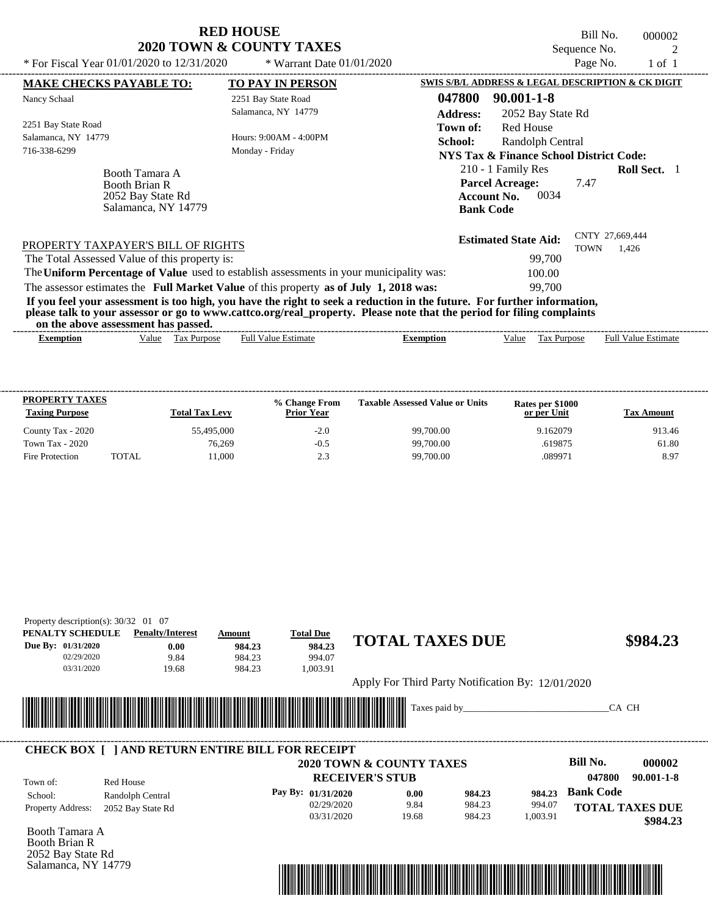| <b>RED HOUSE</b>         |  |  |  |  |  |  |
|--------------------------|--|--|--|--|--|--|
| 2020 TOWN & COUNTY TAXES |  |  |  |  |  |  |

Bill No. 000002 Sequence No. 2<br>Page No. 2 1 of 1 \* For Fiscal Year  $01/01/2020$  to  $12/31/2020$  \* Warrant Date  $01/01/2020$  Page No. 1 of 1

| <b>MAKE CHECKS PAYABLE TO:</b>                                                     | <b>TO PAY IN PERSON</b>                                                                                                                                                                                                                          |                 | SWIS S/B/L ADDRESS & LEGAL DESCRIPTION & CK DIGIT                                              |                                |                     |
|------------------------------------------------------------------------------------|--------------------------------------------------------------------------------------------------------------------------------------------------------------------------------------------------------------------------------------------------|-----------------|------------------------------------------------------------------------------------------------|--------------------------------|---------------------|
| Nancy Schaal                                                                       | 2251 Bay State Road                                                                                                                                                                                                                              | 047800          | $90.001 - 1 - 8$                                                                               |                                |                     |
|                                                                                    | Salamanca, NY 14779                                                                                                                                                                                                                              | <b>Address:</b> | 2052 Bay State Rd                                                                              |                                |                     |
| 2251 Bay State Road                                                                |                                                                                                                                                                                                                                                  | Town of:        | Red House                                                                                      |                                |                     |
| Salamanca, NY 14779                                                                | Hours: $9:00AM - 4:00PM$                                                                                                                                                                                                                         | <b>School:</b>  | Randolph Central                                                                               |                                |                     |
| 716-338-6299                                                                       | Monday - Friday                                                                                                                                                                                                                                  |                 | NYS Tax & Finance School District Code:                                                        |                                |                     |
| Booth Tamara A<br><b>Booth Brian R</b><br>2052 Bay State Rd<br>Salamanca, NY 14779 |                                                                                                                                                                                                                                                  |                 | 210 - 1 Family Res<br><b>Parcel Acreage:</b><br>0034<br><b>Account No.</b><br><b>Bank Code</b> | 7.47                           | <b>Roll Sect.</b> 1 |
| PROPERTY TAXPAYER'S BILL OF RIGHTS                                                 |                                                                                                                                                                                                                                                  |                 | <b>Estimated State Aid:</b>                                                                    | CNTY 27,669,444<br><b>TOWN</b> | 1,426               |
| The Total Assessed Value of this property is:                                      |                                                                                                                                                                                                                                                  |                 | 99,700                                                                                         |                                |                     |
|                                                                                    | The Uniform Percentage of Value used to establish assessments in your municipality was:                                                                                                                                                          |                 | 100.00                                                                                         |                                |                     |
|                                                                                    | The assessor estimates the Full Market Value of this property as of July 1, 2018 was:                                                                                                                                                            |                 | 99.700                                                                                         |                                |                     |
| on the above assessment has passed.                                                | If you feel your assessment is too high, you have the right to seek a reduction in the future. For further information,<br>please talk to your assessor or go to www.cattco.org/real_property. Please note that the period for filing complaints |                 |                                                                                                |                                |                     |

| - vn the above assessment has basseu. |       |                |                                  |           |       |                                                       |                                           |
|---------------------------------------|-------|----------------|----------------------------------|-----------|-------|-------------------------------------------------------|-------------------------------------------|
| Exemption                             | value | ax:<br>Purpose | Estimate<br>Full<br>$\mathbf{u}$ | exemption | Value | $\overline{\phantom{a}}$<br>Purpose<br>$\sim$<br>1 ал | $\rm{Full}$ $\rm{V}$<br>Estimate<br>Value |
|                                       |       |                |                                  |           |       |                                                       |                                           |

| <b>PROPERTY TAXES</b><br><b>Taxing Purpose</b> |       | <b>Total Tax Levy</b> | % Change From<br><b>Prior Year</b> | <b>Taxable Assessed Value or Units</b> | Rates per \$1000<br>or per Unit | Tax Amount |
|------------------------------------------------|-------|-----------------------|------------------------------------|----------------------------------------|---------------------------------|------------|
| County Tax - 2020                              |       | 55.495,000            | $-2.0$                             | 99,700.00                              | 9.162079                        | 913.46     |
| Town Tax - 2020                                |       | 76.269                | $-0.5$                             | 99,700.00                              | .619875                         | 61.80      |
| Fire Protection                                | TOTAL | 11.000                | 2.3                                | 99,700.00                              | .089971                         | 8.97       |

| PENALTY SCHEDULE    | <b>Penalty/Interest</b>                                 | Amount                                                  | <b>Total Due</b>       | <b>TOTAL TAXES DUE</b>                            |        |          |                  | \$984.23               |
|---------------------|---------------------------------------------------------|---------------------------------------------------------|------------------------|---------------------------------------------------|--------|----------|------------------|------------------------|
| Due By: 01/31/2020  | 0.00                                                    | 984.23                                                  | 984.23                 |                                                   |        |          |                  |                        |
| 02/29/2020          | 9.84                                                    | 984.23                                                  | 994.07                 |                                                   |        |          |                  |                        |
| 03/31/2020          | 19.68                                                   | 984.23                                                  | 1,003.91               |                                                   |        |          |                  |                        |
|                     |                                                         |                                                         |                        | Apply For Third Party Notification By: 12/01/2020 |        |          |                  |                        |
|                     |                                                         |                                                         |                        |                                                   |        |          |                  |                        |
|                     |                                                         | <u> 1989 - Johann Barbara, martin bashkar bashkar t</u> |                        | Taxes paid by                                     |        |          | CA CH            |                        |
|                     |                                                         |                                                         |                        |                                                   |        |          |                  |                        |
|                     | <b>CHECK BOX [ ] AND RETURN ENTIRE BILL FOR RECEIPT</b> |                                                         |                        |                                                   |        |          |                  |                        |
|                     |                                                         |                                                         |                        | <b>2020 TOWN &amp; COUNTY TAXES</b>               |        |          | <b>Bill No.</b>  | 000002                 |
| Town of:            | Red House                                               |                                                         | <b>RECEIVER'S STUB</b> |                                                   |        |          | 047800           | $90.001 - 1 - 8$       |
| School:             | Randolph Central                                        |                                                         | Pay By: 01/31/2020     | 0.00                                              | 984.23 | 984.23   | <b>Bank Code</b> |                        |
| Property Address:   | 2052 Bay State Rd                                       |                                                         | 02/29/2020             | 9.84                                              | 984.23 | 994.07   |                  | <b>TOTAL TAXES DUE</b> |
|                     |                                                         |                                                         | 03/31/2020             | 19.68                                             | 984.23 | 1,003.91 |                  | \$984.23               |
| Booth Tamara A      |                                                         |                                                         |                        |                                                   |        |          |                  |                        |
| Booth Brian R       |                                                         |                                                         |                        |                                                   |        |          |                  |                        |
| 2052 Bay State Rd   |                                                         |                                                         |                        |                                                   |        |          |                  |                        |
| Salamanca, NY 14779 |                                                         |                                                         |                        |                                                   |        |          |                  |                        |

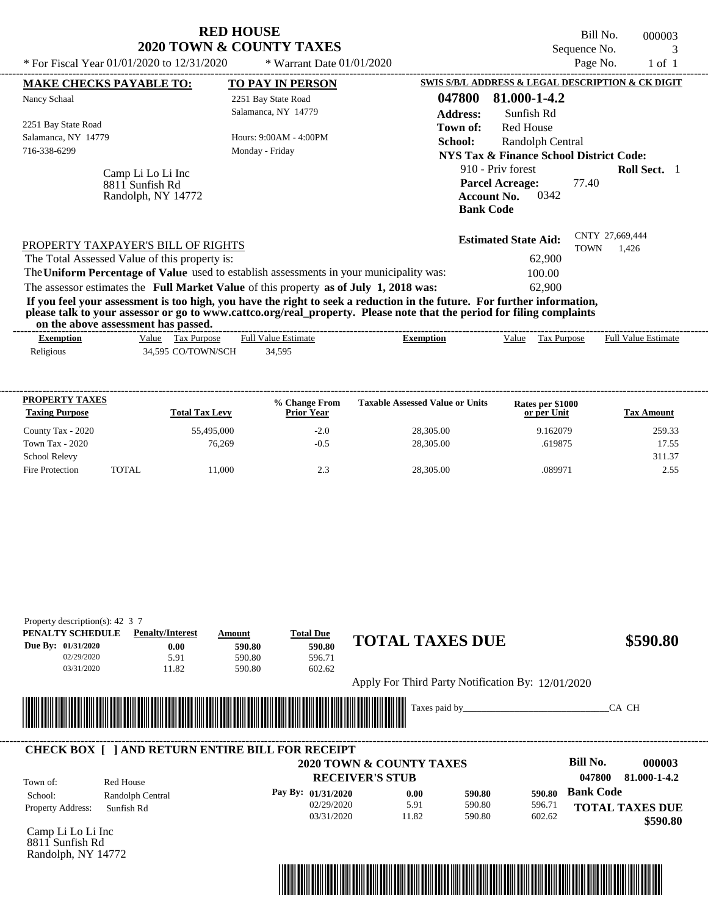| * For Fiscal Year 01/01/2020 to 12/31/2020                                                                                                                                 | <b>RED HOUSE</b><br><b>2020 TOWN &amp; COUNTY TAXES</b><br>* Warrant Date $01/01/2020$                                                                                                                                                                                                                                                                                                                                               | Bill No.<br>000003<br>Sequence No.<br>3<br>Page No.<br>$1$ of $1$                                                                                                                                                                                                                                                                                       |
|----------------------------------------------------------------------------------------------------------------------------------------------------------------------------|--------------------------------------------------------------------------------------------------------------------------------------------------------------------------------------------------------------------------------------------------------------------------------------------------------------------------------------------------------------------------------------------------------------------------------------|---------------------------------------------------------------------------------------------------------------------------------------------------------------------------------------------------------------------------------------------------------------------------------------------------------------------------------------------------------|
| <b>MAKE CHECKS PAYABLE TO:</b><br>Nancy Schaal<br>2251 Bay State Road<br>Salamanca, NY 14779<br>716-338-6299<br>Camp Li Lo Li Inc<br>8811 Sunfish Rd<br>Randolph, NY 14772 | <b>TO PAY IN PERSON</b><br>2251 Bay State Road<br>Salamanca, NY 14779<br>Hours: 9:00AM - 4:00PM<br>Monday - Friday                                                                                                                                                                                                                                                                                                                   | SWIS S/B/L ADDRESS & LEGAL DESCRIPTION & CK DIGIT<br>047800<br>81.000-1-4.2<br><b>Address:</b><br>Sunfish Rd<br><b>Red House</b><br>Town of:<br>Randolph Central<br>School:<br>NYS Tax & Finance School District Code:<br>910 - Priv forest<br><b>Roll Sect.</b> 1<br><b>Parcel Acreage:</b><br>77.40<br>0342<br><b>Account No.</b><br><b>Bank Code</b> |
| PROPERTY TAXPAYER'S BILL OF RIGHTS<br>The Total Assessed Value of this property is:                                                                                        | The Uniform Percentage of Value used to establish assessments in your municipality was:<br>The assessor estimates the Full Market Value of this property as of July 1, 2018 was:<br>If you feel your assessment is too high, you have the right to seek a reduction in the future. For further information,<br>please talk to your assessor or go to www.cattco.org/real_property. Please note that the period for filing complaints | CNTY 27,669,444<br><b>Estimated State Aid:</b><br><b>TOWN</b><br>1,426<br>62,900<br>100.00<br>62,900                                                                                                                                                                                                                                                    |

| -<br>on          | ___<br>the above assessment has passed.                                          |                  |                      |                            |
|------------------|----------------------------------------------------------------------------------|------------------|----------------------|----------------------------|
| <b>Exemption</b> | <sup>-</sup> <sup>11</sup> Value Estimate<br><u>Value</u><br>Tax Purpose<br>Full | <b>⊻xemption</b> | Value<br>Tax Purpose | <b>Full Value Estimate</b> |
| Religious        | CO/TOWN/SCH<br>34,595<br>-595                                                    |                  |                      |                            |

| <b>PROPERTY TAXES</b><br><b>Taxing Purpose</b> |       | <b>Total Tax Levv</b> | % Change From<br><b>Prior Year</b> | <b>Taxable Assessed Value or Units</b> | Rates per \$1000<br>or per Unit | <b>Tax Amount</b> |
|------------------------------------------------|-------|-----------------------|------------------------------------|----------------------------------------|---------------------------------|-------------------|
| County Tax - 2020                              |       | 55,495,000            | $-2.0$                             | 28,305.00                              | 9.162079                        | 259.33            |
| Town Tax - 2020                                |       | 76.269                | $-0.5$                             | 28,305.00                              | .619875                         | 17.55             |
| <b>School Relevy</b>                           |       |                       |                                    |                                        |                                 | 311.37            |
| Fire Protection                                | TOTAL | 11.000                | 2.3                                | 28,305.00                              | .089971                         | 2.55              |

| PENALTY SCHEDULE<br>Due By: 01/31/2020<br>02/29/2020 | <b>Penalty/Interest</b><br>0.00<br>5.91                 | Amount<br>590.80<br>590.80 | <b>Total Due</b><br>590.80<br>596.71                  | <b>TOTAL TAXES DUE</b>                            |        |        |                  | \$590.80               |
|------------------------------------------------------|---------------------------------------------------------|----------------------------|-------------------------------------------------------|---------------------------------------------------|--------|--------|------------------|------------------------|
| 03/31/2020                                           | 11.82                                                   | 590.80                     | 602.62                                                |                                                   |        |        |                  |                        |
|                                                      |                                                         |                            |                                                       | Apply For Third Party Notification By: 12/01/2020 |        |        |                  |                        |
|                                                      |                                                         |                            |                                                       |                                                   |        |        |                  |                        |
|                                                      |                                                         |                            |                                                       | Taxes paid by                                     |        |        |                  | CA CH                  |
| <b>III</b> III                                       |                                                         |                            | <u> 1989 - Johann Stoff, fransk politik (f. 1989)</u> |                                                   |        |        |                  |                        |
|                                                      |                                                         |                            |                                                       |                                                   |        |        |                  |                        |
|                                                      | <b>CHECK BOX     AND RETURN ENTIRE BILL FOR RECEIPT</b> |                            |                                                       |                                                   |        |        |                  |                        |
|                                                      |                                                         |                            | <b>2020 TOWN &amp; COUNTY TAXES</b>                   |                                                   |        |        | Bill No.         | 000003                 |
|                                                      | Red House                                               |                            | <b>RECEIVER'S STUB</b>                                |                                                   |        |        | 047800           | 81.000-1-4.2           |
| Town of:<br>School:                                  |                                                         |                            | Pay By: 01/31/2020                                    | 0.00                                              | 590.80 | 590.80 | <b>Bank Code</b> |                        |
| Property Address:                                    | Randolph Central<br>Sunfish Rd                          |                            | 02/29/2020                                            | 5.91                                              | 590.80 | 596.71 |                  | <b>TOTAL TAXES DUE</b> |



Randolph, NY 14772

**RED HOUSE**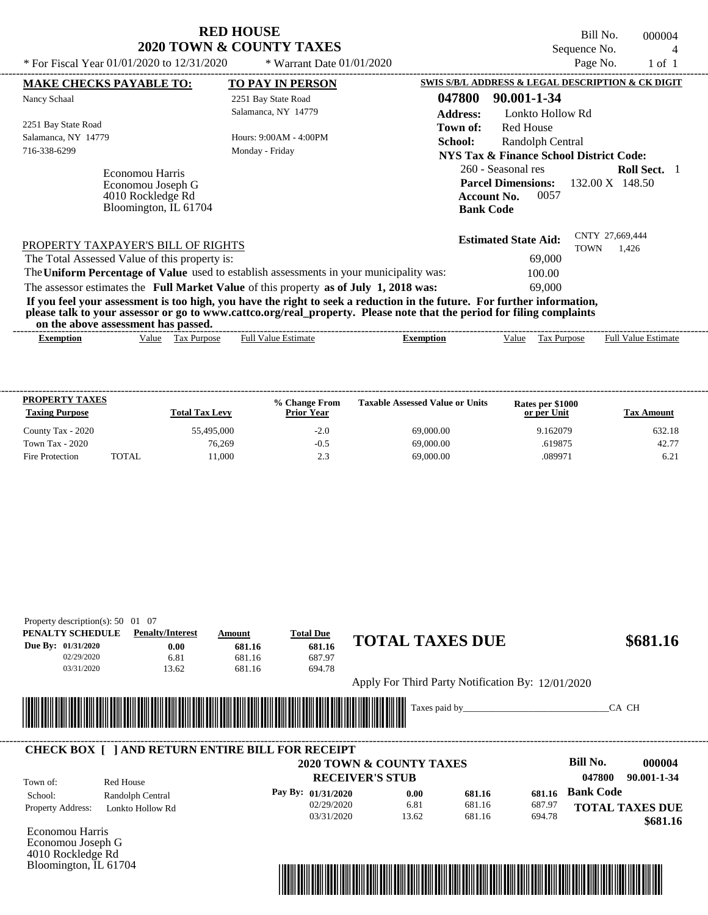| <b>RED HOUSE</b>                    |
|-------------------------------------|
| <b>2020 TOWN &amp; COUNTY TAXES</b> |

Bill No. 000004 Sequence No. 4<br>Page No. 1 of 1

| * For Fiscal Year $01/01/2020$ to $12/31/2020$                                                                                                                                                                                                                                          | * Warrant Date 01/01/2020                  | Page No.<br>$1$ of $1$                                                                                                                             |
|-----------------------------------------------------------------------------------------------------------------------------------------------------------------------------------------------------------------------------------------------------------------------------------------|--------------------------------------------|----------------------------------------------------------------------------------------------------------------------------------------------------|
| <b>MAKE CHECKS PAYABLE TO:</b>                                                                                                                                                                                                                                                          | <b>TO PAY IN PERSON</b>                    | SWIS S/B/L ADDRESS & LEGAL DESCRIPTION & CK DIGIT                                                                                                  |
| Nancy Schaal                                                                                                                                                                                                                                                                            | 2251 Bay State Road<br>Salamanca, NY 14779 | 047800<br>90.001-1-34<br><b>Address:</b><br>Lonkto Hollow Rd                                                                                       |
| 2251 Bay State Road<br>Salamanca, NY 14779<br>716-338-6299                                                                                                                                                                                                                              | Hours: 9:00AM - 4:00PM<br>Monday - Friday  | Red House<br>Town of:<br><b>School:</b><br>Randolph Central<br>NYS Tax & Finance School District Code:                                             |
| Economou Harris<br>Economou Joseph G<br>4010 Rockledge Rd<br>Bloomington, IL 61704                                                                                                                                                                                                      |                                            | 260 - Seasonal res<br><b>Roll Sect.</b> 1<br><b>Parcel Dimensions:</b> $132.00 \text{ X}$ 148.50<br>0057<br><b>Account No.</b><br><b>Bank Code</b> |
| PROPERTY TAXPAYER'S BILL OF RIGHTS<br>The Total Assessed Value of this property is:                                                                                                                                                                                                     |                                            | CNTY 27,669,444<br><b>Estimated State Aid:</b><br>TOWN<br>1,426<br>69,000                                                                          |
| The Uniform Percentage of Value used to establish assessments in your municipality was:<br>The assessor estimates the Full Market Value of this property as of July 1, 2018 was:                                                                                                        |                                            | 100.00<br>69,000                                                                                                                                   |
| If you feel your assessment is too high, you have the right to seek a reduction in the future. For further information,<br>please talk to your assessor or go to www.cattco.org/real_property. Please note that the period for filing complaints<br>on the above assessment has passed. |                                            |                                                                                                                                                    |

| vn me above assessment nas basseu. |       |                               |                         |           |      |                                                    |                                       |
|------------------------------------|-------|-------------------------------|-------------------------|-----------|------|----------------------------------------------------|---------------------------------------|
| Exemption                          | value | –<br>l ax<br>Purpose<br>_____ | Estimate<br>Full<br>מוי | Exemption | alue | $\overline{\phantom{a}}$<br><b>Purpose</b><br>ι αλ | $\text{Full V}$<br>Estimate<br>, alue |
|                                    |       |                               |                         |           |      |                                                    |                                       |

| <b>PROPERTY TAXES</b><br><b>Taxing Purpose</b> |       | <b>Total Tax Levy</b> | % Change From<br><b>Prior Year</b> | <b>Taxable Assessed Value or Units</b> | Rates per \$1000<br>or per Unit | <b>Tax Amount</b> |
|------------------------------------------------|-------|-----------------------|------------------------------------|----------------------------------------|---------------------------------|-------------------|
| County Tax - 2020                              |       | 55,495,000            | $-2.0$                             | 69,000.00                              | 9.162079                        | 632.18            |
| Town Tax - 2020                                |       | 76.269                | $-0.5$                             | 69,000.00                              | .619875                         | 42.77             |
| Fire Protection                                | TOTAL | 11.000                | 2.3                                | 69,000.00                              | .089971                         | 6.21              |

| PENALTY SCHEDULE    | <b>Penalty/Interest</b>                                 | Amount                      | <b>Total Due</b>                    | <b>TOTAL TAXES DUE</b>                            |        |        |                  | \$681.16                           |
|---------------------|---------------------------------------------------------|-----------------------------|-------------------------------------|---------------------------------------------------|--------|--------|------------------|------------------------------------|
| Due By: 01/31/2020  | 0.00                                                    | 681.16                      | 681.16                              |                                                   |        |        |                  |                                    |
| 02/29/2020          | 6.81                                                    | 681.16                      | 687.97                              |                                                   |        |        |                  |                                    |
| 03/31/2020          | 13.62                                                   | 681.16                      | 694.78                              |                                                   |        |        |                  |                                    |
|                     |                                                         |                             |                                     | Apply For Third Party Notification By: 12/01/2020 |        |        |                  |                                    |
|                     |                                                         |                             |                                     |                                                   |        |        |                  |                                    |
|                     |                                                         |                             |                                     | Taxes paid by                                     |        |        |                  | CA CH                              |
|                     |                                                         |                             |                                     |                                                   |        |        |                  |                                    |
|                     |                                                         | <u> Tanzania (h. 1888).</u> |                                     |                                                   |        |        |                  |                                    |
|                     |                                                         |                             |                                     |                                                   |        |        |                  |                                    |
|                     | <b>CHECK BOX [ ] AND RETURN ENTIRE BILL FOR RECEIPT</b> |                             |                                     |                                                   |        |        |                  |                                    |
|                     |                                                         |                             | <b>2020 TOWN &amp; COUNTY TAXES</b> |                                                   |        |        | Bill No.         | 000004                             |
|                     |                                                         |                             | <b>RECEIVER'S STUB</b>              |                                                   |        |        | 047800           | 90.001-1-34                        |
| Town of:<br>School: | Red House                                               |                             | Pay By: 01/31/2020                  | 0.00                                              | 681.16 | 681.16 | <b>Bank Code</b> |                                    |
|                     | Randolph Central                                        |                             | 02/29/2020                          | 6.81                                              | 681.16 | 687.97 |                  |                                    |
| Property Address:   | Lonkto Hollow Rd                                        |                             | 03/31/2020                          | 13.62                                             | 681.16 | 694.78 |                  | <b>TOTAL TAXES DUE</b><br>\$681.16 |

4010 Rockledge Rd Bloomington, IL 61704

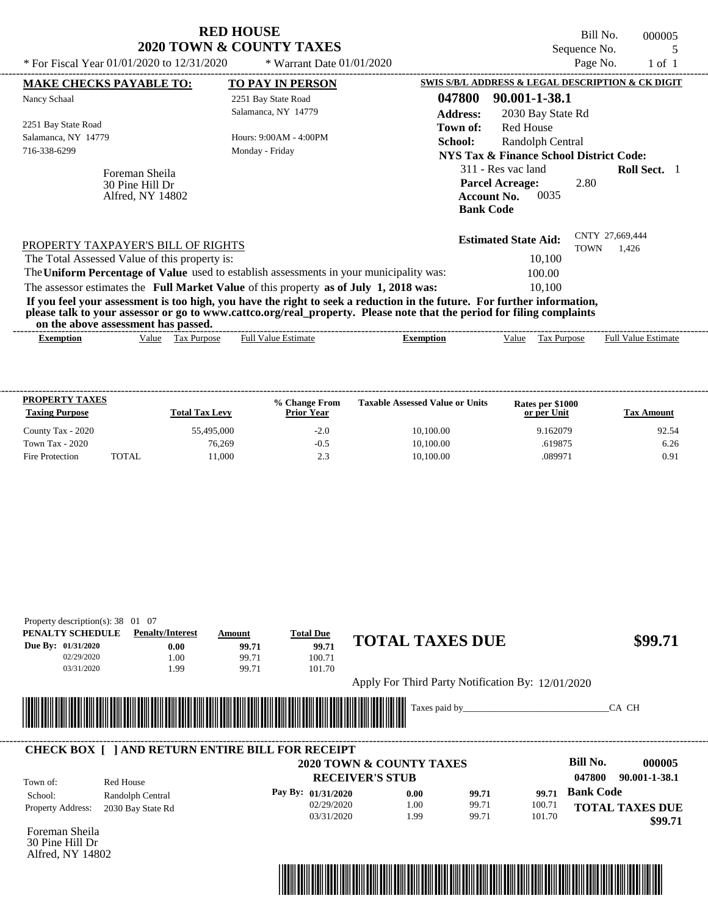|                                                                                         | <b>RED HOUSE</b><br><b>2020 TOWN &amp; COUNTY TAXES</b> | Bill No.<br>000005<br>Sequence No.<br>5                                                                                                                                                                                                          |
|-----------------------------------------------------------------------------------------|---------------------------------------------------------|--------------------------------------------------------------------------------------------------------------------------------------------------------------------------------------------------------------------------------------------------|
| * For Fiscal Year 01/01/2020 to 12/31/2020                                              | * Warrant Date $01/01/2020$                             | Page No.<br>$1$ of $1$                                                                                                                                                                                                                           |
| <b>MAKE CHECKS PAYABLE TO:</b>                                                          | <b>TO PAY IN PERSON</b>                                 | SWIS S/B/L ADDRESS & LEGAL DESCRIPTION & CK DIGIT                                                                                                                                                                                                |
| Nancy Schaal                                                                            | 2251 Bay State Road                                     | 047800<br>90.001-1-38.1                                                                                                                                                                                                                          |
|                                                                                         | Salamanca, NY 14779                                     | <b>Address:</b><br>2030 Bay State Rd                                                                                                                                                                                                             |
| 2251 Bay State Road                                                                     |                                                         | <b>Red House</b><br>Town of:                                                                                                                                                                                                                     |
| Salamanca, NY 14779                                                                     | Hours: 9:00AM - 4:00PM                                  | School:<br>Randolph Central                                                                                                                                                                                                                      |
| 716-338-6299                                                                            | Monday - Friday                                         | <b>NYS Tax &amp; Finance School District Code:</b>                                                                                                                                                                                               |
| Foreman Sheila<br>30 Pine Hill Dr<br>Alfred, NY 14802                                   |                                                         | 311 - Res vac land<br><b>Roll Sect.</b> 1<br><b>Parcel Acreage:</b><br>2.80<br>0035<br><b>Account No.</b><br><b>Bank Code</b>                                                                                                                    |
| PROPERTY TAXPAYER'S BILL OF RIGHTS<br>The Total Assessed Value of this property is:     |                                                         | CNTY 27,669,444<br><b>Estimated State Aid:</b><br><b>TOWN</b><br>1,426<br>10,100                                                                                                                                                                 |
| The Uniform Percentage of Value used to establish assessments in your municipality was: |                                                         | 100.00                                                                                                                                                                                                                                           |
| The assessor estimates the Full Market Value of this property as of July 1, 2018 was:   |                                                         | 10,100                                                                                                                                                                                                                                           |
| on the above assessment has nassed                                                      |                                                         | If you feel your assessment is too high, you have the right to seek a reduction in the future. For further information,<br>please talk to your assessor or go to www.cattco.org/real_property. Please note that the period for filing complaints |

| the<br>on<br>above | -passed.<br>has<br>assessment  |                        |         |                         |                          |                             |
|--------------------|--------------------------------|------------------------|---------|-------------------------|--------------------------|-----------------------------|
| Exemption          | √alue<br>`ax<br><b>Purpose</b> | Estimate<br>Full<br>ша | emption | $\sim$ $\sim$<br>V alue | $\sim$<br>urpose<br>∡ax. | Full $V$<br>Estimate<br>alu |
|                    |                                |                        |         |                         |                          |                             |

| <b>PROPERTY TAXES</b><br><b>Taxing Purpose</b> |       | <b>Total Tax Levy</b> | % Change From<br><b>Prior Year</b> | <b>Taxable Assessed Value or Units</b> | Rates per \$1000<br>or per Unit | <b>Tax Amount</b> |
|------------------------------------------------|-------|-----------------------|------------------------------------|----------------------------------------|---------------------------------|-------------------|
| County Tax - 2020                              |       | 55,495,000            | $-2.0$                             | 10.100.00                              | 9.162079                        | 92.54             |
| Town Tax - 2020                                |       | 76.269                | $-0.5$                             | 10.100.00                              | .619875                         | 6.26              |
| Fire Protection                                | TOTAL | 11.000                | 2.3                                | 10.100.00                              | .089971                         | 0.91              |

| PENALTY SCHEDULE   | <b>Penalty/Interest</b>                                 | Amount                                                                                                               |       | <b>Total Due</b>                    | <b>TOTAL TAXES DUE</b>                            |       |        |                  |                        |
|--------------------|---------------------------------------------------------|----------------------------------------------------------------------------------------------------------------------|-------|-------------------------------------|---------------------------------------------------|-------|--------|------------------|------------------------|
| Due By: 01/31/2020 | 0.00                                                    |                                                                                                                      | 99.71 | 99.71                               |                                                   |       |        |                  | \$99.71                |
| 02/29/2020         | 1.00                                                    |                                                                                                                      | 99.71 | 100.71                              |                                                   |       |        |                  |                        |
| 03/31/2020         | 1.99                                                    |                                                                                                                      | 99.71 | 101.70                              |                                                   |       |        |                  |                        |
|                    |                                                         |                                                                                                                      |       |                                     | Apply For Third Party Notification By: 12/01/2020 |       |        |                  |                        |
|                    |                                                         |                                                                                                                      |       |                                     |                                                   |       |        |                  |                        |
|                    |                                                         |                                                                                                                      |       |                                     |                                                   |       |        |                  |                        |
|                    |                                                         |                                                                                                                      |       |                                     | Taxes paid by                                     |       |        |                  | CA CH                  |
|                    |                                                         | <u> Tanzania di Baratta di Baratta di Baratta di Baratta di Baratta di Baratta di Baratta di Baratta di Baratta </u> |       |                                     |                                                   |       |        |                  |                        |
|                    |                                                         |                                                                                                                      |       |                                     |                                                   |       |        |                  |                        |
|                    | <b>CHECK BOX [ ] AND RETURN ENTIRE BILL FOR RECEIPT</b> |                                                                                                                      |       |                                     |                                                   |       |        |                  |                        |
|                    |                                                         |                                                                                                                      |       | <b>2020 TOWN &amp; COUNTY TAXES</b> |                                                   |       |        | Bill No.         | 000005                 |
| Town of:           | Red House                                               |                                                                                                                      |       | <b>RECEIVER'S STUB</b>              |                                                   |       |        | 047800           | 90.001-1-38.1          |
| School:            | Randolph Central                                        |                                                                                                                      |       | Pay By: 01/31/2020                  | 0.00                                              | 99.71 | 99.71  | <b>Bank Code</b> |                        |
| Property Address:  | 2030 Bay State Rd                                       |                                                                                                                      |       | 02/29/2020                          | 1.00                                              | 99.71 | 100.71 |                  | <b>TOTAL TAXES DUE</b> |



30 Pine Hill Dr Alfred, NY 14802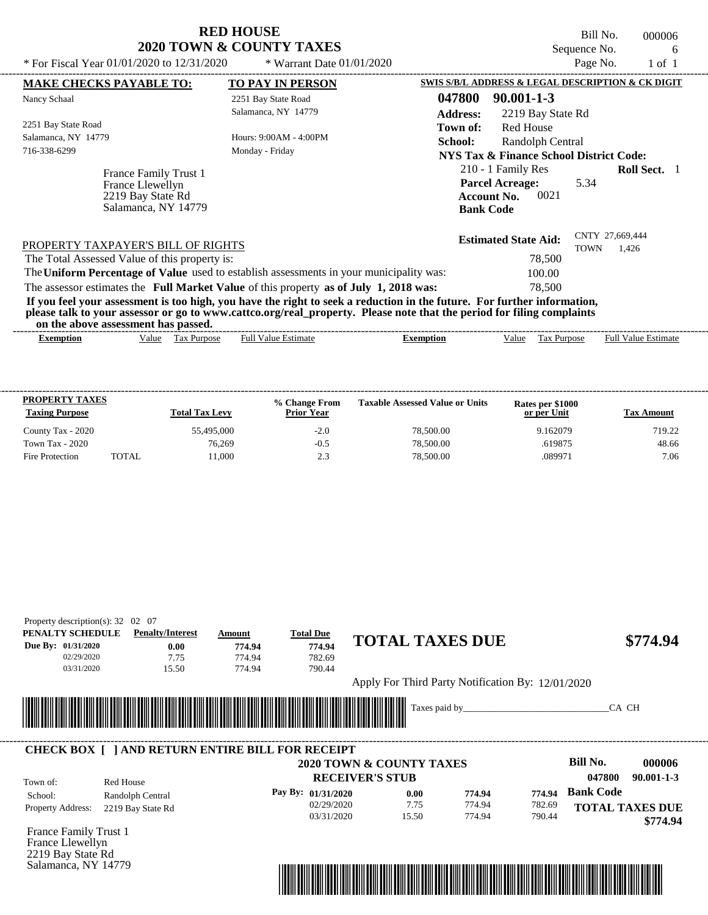| <b>RED HOUSE</b>                    |  |
|-------------------------------------|--|
| <b>2020 TOWN &amp; COUNTY TAXES</b> |  |

Bill No. 000006 Sequence No. 6<br>Page No. 1 of 1

| * For Fiscal Year 01/01/2020 to 12/31/2020                                            | * Warrant Date $01/01/2020$                                                             |                                                                                                                                                                                                                                                  | Page No.<br>$1$ of $1$                  |
|---------------------------------------------------------------------------------------|-----------------------------------------------------------------------------------------|--------------------------------------------------------------------------------------------------------------------------------------------------------------------------------------------------------------------------------------------------|-----------------------------------------|
| <b>MAKE CHECKS PAYABLE TO:</b>                                                        | <b>TO PAY IN PERSON</b>                                                                 | SWIS S/B/L ADDRESS & LEGAL DESCRIPTION & CK DIGIT                                                                                                                                                                                                |                                         |
| Nancy Schaal                                                                          | 2251 Bay State Road<br>Salamanca, NY 14779                                              | 047800<br>$90.001 - 1 - 3$<br><b>Address:</b><br>2219 Bay State Rd                                                                                                                                                                               |                                         |
| 2251 Bay State Road<br>Salamanca, NY 14779<br>716-338-6299                            | Hours: $9:00AM - 4:00PM$<br>Monday - Friday                                             | <b>Red House</b><br>Town of:<br>School:<br>Randolph Central<br>NYS Tax & Finance School District Code:                                                                                                                                           |                                         |
| France Family Trust 1<br>France Llewellyn<br>2219 Bay State Rd<br>Salamanca, NY 14779 |                                                                                         | 210 - 1 Family Res<br><b>Parcel Acreage:</b><br>0021<br><b>Account No.</b><br><b>Bank Code</b>                                                                                                                                                   | <b>Roll Sect.</b> 1<br>5.34             |
| PROPERTY TAXPAYER'S BILL OF RIGHTS<br>The Total Assessed Value of this property is:   |                                                                                         | <b>Estimated State Aid:</b><br>78,500                                                                                                                                                                                                            | CNTY 27,669,444<br><b>TOWN</b><br>1,426 |
|                                                                                       | The Uniform Percentage of Value used to establish assessments in your municipality was: | 100.00                                                                                                                                                                                                                                           |                                         |
|                                                                                       | The assessor estimates the Full Market Value of this property as of July 1, 2018 was:   | 78,500                                                                                                                                                                                                                                           |                                         |
| on the above assessment has passed.                                                   |                                                                                         | If you feel your assessment is too high, you have the right to seek a reduction in the future. For further information,<br>please talk to your assessor or go to www.cattco.org/real_property. Please note that the period for filing complaints |                                         |
| Value<br><b>Exemption</b>                                                             | <b>Full Value Estimate</b><br>Tax Purpose                                               | Value<br>Tax Purpose<br><b>Exemption</b>                                                                                                                                                                                                         | <b>Full Value Estimate</b>              |
|                                                                                       |                                                                                         |                                                                                                                                                                                                                                                  |                                         |

| <b>PROPERTY TAXES</b><br><b>Taxing Purpose</b> |       | <b>Total Tax Levy</b> | % Change From<br><b>Prior Year</b> | <b>Taxable Assessed Value or Units</b> | Rates per \$1000<br>or per Unit | Tax Amount |
|------------------------------------------------|-------|-----------------------|------------------------------------|----------------------------------------|---------------------------------|------------|
| County Tax - 2020                              |       | 55,495,000            | $-2.0$                             | 78,500.00                              | 9.162079                        | 719.22     |
| Town Tax - 2020                                |       | 76.269                | $-0.5$                             | 78,500.00                              | .619875                         | 48.66      |
| Fire Protection                                | TOTAL | 11.000                | 2.3                                | 78,500.00                              | .089971                         | 7.06       |

| PENALTY SCHEDULE                    | <b>Penalty/Interest</b>                                | Amount | <b>Total Due</b>                                                                                                     | <b>TOTAL TAXES DUE</b> |                                                   |        | \$774.94                   |
|-------------------------------------|--------------------------------------------------------|--------|----------------------------------------------------------------------------------------------------------------------|------------------------|---------------------------------------------------|--------|----------------------------|
| Due By: 01/31/2020                  | 0.00                                                   | 774.94 | 774.94                                                                                                               |                        |                                                   |        |                            |
| 02/29/2020                          | 7.75                                                   | 774.94 | 782.69                                                                                                               |                        |                                                   |        |                            |
| 03/31/2020                          | 15.50                                                  | 774.94 | 790.44                                                                                                               |                        |                                                   |        |                            |
|                                     |                                                        |        |                                                                                                                      |                        | Apply For Third Party Notification By: 12/01/2020 |        |                            |
|                                     |                                                        |        |                                                                                                                      |                        |                                                   |        |                            |
|                                     |                                                        |        |                                                                                                                      |                        |                                                   |        |                            |
|                                     |                                                        |        |                                                                                                                      | Taxes paid by          |                                                   |        | CA CH                      |
|                                     |                                                        |        | <u> Tanzania di Baratta di Baratta di Baratta di Baratta di Baratta di Baratta di Baratta di Baratta di Baratta </u> |                        |                                                   |        |                            |
|                                     |                                                        |        |                                                                                                                      |                        |                                                   |        |                            |
|                                     | <b>CHECK BOX   JAND RETURN ENTIRE BILL FOR RECEIPT</b> |        |                                                                                                                      |                        |                                                   |        |                            |
|                                     |                                                        |        | <b>2020 TOWN &amp; COUNTY TAXES</b>                                                                                  |                        |                                                   |        | Bill No.<br>000006         |
|                                     |                                                        |        | <b>RECEIVER'S STUB</b>                                                                                               |                        |                                                   |        | 047800<br>$90.001 - 1 - 3$ |
| Town of:                            | Red House                                              |        |                                                                                                                      | 0.00                   | 774.94                                            | 774.94 | <b>Bank Code</b>           |
| School:<br><b>Property Address:</b> | Randolph Central<br>2219 Bay State Rd                  |        | Pay By: 01/31/2020<br>02/29/2020                                                                                     | 7.75                   | 774.94                                            | 782.69 | <b>TOTAL TAXES DUE</b>     |

France Family Trust 1 France Llewellyn 2219 Bay State Rd Salamanca, NY 14779

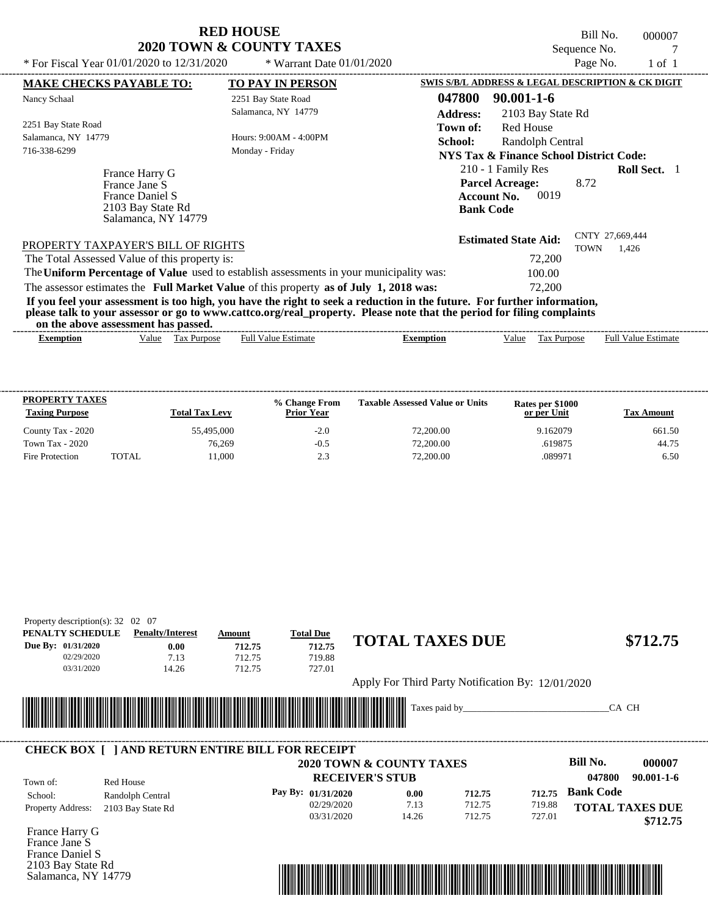Bill No. 000007 Sequence No. 22222 \* For Fiscal Year  $01/01/2020$  to  $12/31/2020$  \* Warrant Date  $01/01/2020$  Page No. 1 of 1

| * For Fiscal Year 01/01/2020 to 12/31/2020                                                                       | * Warrant Date $01/01/2020$                                                                                                                                                                                                                                                                                                               | Page No.<br>1 of 1                                                                                                                                                                                                  |
|------------------------------------------------------------------------------------------------------------------|-------------------------------------------------------------------------------------------------------------------------------------------------------------------------------------------------------------------------------------------------------------------------------------------------------------------------------------------|---------------------------------------------------------------------------------------------------------------------------------------------------------------------------------------------------------------------|
| <b>MAKE CHECKS PAYABLE TO:</b>                                                                                   | <b>TO PAY IN PERSON</b>                                                                                                                                                                                                                                                                                                                   | SWIS S/B/L ADDRESS & LEGAL DESCRIPTION & CK DIGIT                                                                                                                                                                   |
| Nancy Schaal                                                                                                     | 2251 Bay State Road<br>Salamanca, NY 14779                                                                                                                                                                                                                                                                                                | 047800<br>$90.001 - 1 - 6$<br><b>Address:</b><br>2103 Bay State Rd                                                                                                                                                  |
| 2251 Bay State Road<br>Salamanca, NY 14779<br>716-338-6299<br>France Harry G<br>France Jane S<br>France Daniel S | Hours: 9:00AM - 4:00PM<br>Monday - Friday                                                                                                                                                                                                                                                                                                 | Red House<br>Town of:<br><b>School:</b><br>Randolph Central<br>NYS Tax & Finance School District Code:<br>210 - 1 Family Res<br><b>Roll Sect.</b> 1<br><b>Parcel Acreage:</b><br>8.72<br>0019<br><b>Account No.</b> |
| 2103 Bay State Rd<br>Salamanca, NY 14779                                                                         |                                                                                                                                                                                                                                                                                                                                           | <b>Bank Code</b>                                                                                                                                                                                                    |
| PROPERTY TAXPAYER'S BILL OF RIGHTS<br>The Total Assessed Value of this property is:                              | The Uniform Percentage of Value used to establish assessments in your municipality was:                                                                                                                                                                                                                                                   | CNTY 27,669,444<br><b>Estimated State Aid:</b><br>TOWN<br>1,426<br>72,200                                                                                                                                           |
|                                                                                                                  | The assessor estimates the Full Market Value of this property as of July 1, 2018 was:<br>If you feel your assessment is too high, you have the right to seek a reduction in the future. For further information,<br>please talk to your assessor or go to www.cattco.org/real_property. Please note that the period for filing complaints | 100.00<br>72,200                                                                                                                                                                                                    |

**on the above assessment has passed.**

| Full $V$<br>√alue<br>alue<br>Purpose<br>Estimate<br>ax:<br>Estimate<br>Ful<br>Value<br>$\sim$<br>Purpose<br>Exemption<br>Exemption<br>٦1Α<br>1 as | ----- | ,,,,<br>. v | . азэсээнісні наз базэса. |  |  | -------------- |
|---------------------------------------------------------------------------------------------------------------------------------------------------|-------|-------------|---------------------------|--|--|----------------|
|                                                                                                                                                   |       |             |                           |  |  |                |

| <b>PROPERTY TAXES</b><br><b>Taxing Purpose</b> |       | <b>Total Tax Levy</b> | % Change From<br><b>Prior Year</b> | <b>Taxable Assessed Value or Units</b> | Rates per \$1000<br>or per Unit | <b>Tax Amount</b> |
|------------------------------------------------|-------|-----------------------|------------------------------------|----------------------------------------|---------------------------------|-------------------|
| County Tax - 2020                              |       | 55,495,000            | $-2.0$                             | 72,200.00                              | 9.162079                        | 661.50            |
| Town Tax - 2020                                |       | 76.269                | $-0.5$                             | 72,200.00                              | .619875                         | 44.75             |
| Fire Protection                                | TOTAL | 11.000                | 2.3                                | 72,200.00                              | .089971                         | 6.50              |

| PENALTY SCHEDULE   | <b>Penalty/Interest</b>                                                                                                | Amount | <b>Total Due</b> |                                                   |          |
|--------------------|------------------------------------------------------------------------------------------------------------------------|--------|------------------|---------------------------------------------------|----------|
| Due By: 01/31/2020 | 0.00                                                                                                                   | 712.75 | 712.75           | <b>TOTAL TAXES DUE</b>                            | \$712.75 |
| 02/29/2020         | 7.13                                                                                                                   | 712.75 | 719.88           |                                                   |          |
| 03/31/2020         | 14.26                                                                                                                  | 712.75 | 727.01           |                                                   |          |
|                    |                                                                                                                        |        |                  | Apply For Third Party Notification By: 12/01/2020 |          |
|                    | <u> 1989 - Andrea Stadt British Stadt British Stadt British Stadt British Stadt British Stadt British Stadt Britis</u> |        |                  | Taxes paid by                                     | CA CH    |



France Harry G France Jane S France Daniel S 2103 Bay State Rd Salamanca, NY 14779

Property description(s): 32 02 07

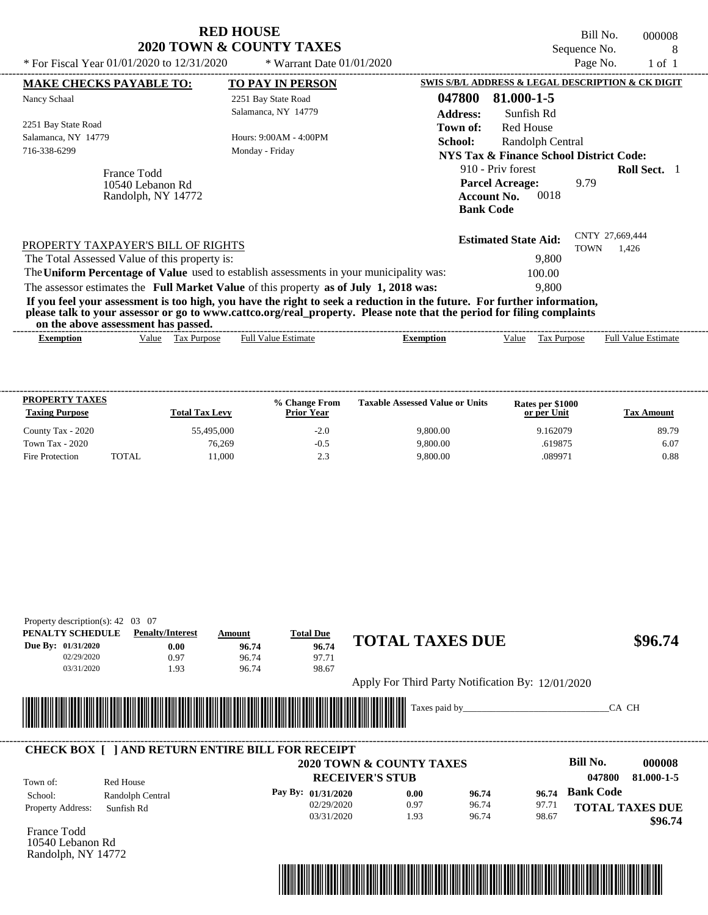| * For Fiscal Year 01/01/2020 to 12/31/2020            | KED HOUSE<br><b>2020 TOWN &amp; COUNTY TAXES</b><br>* Warrant Date $01/01/2020$                                                                                                                                                                                                                  |                 |                                                                                               | Bill No.<br>Sequence No.<br>Page No. | 000008<br>8<br>$1$ of $1$ |
|-------------------------------------------------------|--------------------------------------------------------------------------------------------------------------------------------------------------------------------------------------------------------------------------------------------------------------------------------------------------|-----------------|-----------------------------------------------------------------------------------------------|--------------------------------------|---------------------------|
| <b>MAKE CHECKS PAYABLE TO:</b>                        | <b>TO PAY IN PERSON</b>                                                                                                                                                                                                                                                                          |                 | SWIS S/B/L ADDRESS & LEGAL DESCRIPTION & CK DIGIT                                             |                                      |                           |
| Nancy Schaal                                          | 2251 Bay State Road                                                                                                                                                                                                                                                                              | 047800          | 81.000-1-5                                                                                    |                                      |                           |
|                                                       | Salamanca, NY 14779                                                                                                                                                                                                                                                                              | <b>Address:</b> | Sunfish Rd                                                                                    |                                      |                           |
| 2251 Bay State Road                                   |                                                                                                                                                                                                                                                                                                  | Town of:        | <b>Red House</b>                                                                              |                                      |                           |
| Salamanca, NY 14779                                   | Hours: 9:00AM - 4:00PM                                                                                                                                                                                                                                                                           | School:         | Randolph Central                                                                              |                                      |                           |
| 716-338-6299                                          | Monday - Friday                                                                                                                                                                                                                                                                                  |                 | NYS Tax & Finance School District Code:                                                       |                                      |                           |
| France Todd<br>10540 Lebanon Rd<br>Randolph, NY 14772 |                                                                                                                                                                                                                                                                                                  |                 | 910 - Priv forest<br><b>Parcel Acreage:</b><br>0018<br><b>Account No.</b><br><b>Bank Code</b> | 9.79                                 | <b>Roll Sect.</b> 1       |
| PROPERTY TAXPAYER'S BILL OF RIGHTS                    |                                                                                                                                                                                                                                                                                                  |                 | <b>Estimated State Aid:</b>                                                                   | CNTY 27,669,444<br><b>TOWN</b>       | 1.426                     |
| The Total Assessed Value of this property is:         |                                                                                                                                                                                                                                                                                                  |                 | 9,800                                                                                         |                                      |                           |
|                                                       | The Uniform Percentage of Value used to establish assessments in your municipality was:                                                                                                                                                                                                          |                 | 100.00                                                                                        |                                      |                           |
|                                                       | The assessor estimates the Full Market Value of this property as of July 1, 2018 was:                                                                                                                                                                                                            |                 | 9.800                                                                                         |                                      |                           |
| on the above assessment has passed.                   | If you feel your assessment is too high, you have the right to seek a reduction in the future. For further information,<br>please talk to your assessor or go to www.cattco.org/real_property. Please note that the period for filing complaints                                                 |                 |                                                                                               |                                      |                           |
|                                                       | $\mathbf{v}$ and $\mathbf{v}$ and $\mathbf{v}$ and $\mathbf{v}$ and $\mathbf{v}$ and $\mathbf{v}$ and $\mathbf{v}$ and $\mathbf{v}$ and $\mathbf{v}$ and $\mathbf{v}$ and $\mathbf{v}$ and $\mathbf{v}$ and $\mathbf{v}$ and $\mathbf{v}$ and $\mathbf{v}$ and $\mathbf{v}$ and $\mathbf{v}$ and |                 |                                                                                               |                                      |                           |

**% Change From Taxable Assessed Value or Units**

County Tax - 2020 55,495,000 55,495,000 -2.0 9,800.00 9,800.00 9.162079 89.79 Town Tax - 2020 20 20 20 20 20 20 20 20 30 2010 10:00 2010 10:00 2010 10:00 2010 10:00 2010 10:00 2010 10:00 20 Fire Protection TOTAL 11,000 2.3 9,800.00 0.88 0.89971 0.88

----------------------------------------------------------------------------------------------------------------------------------------------------------------------------------------------------

**or per Unit Rates per \$1000**

**Exemption** Value Tax Purpose Full Value Estimate

**Pue TOTAL TAXES DUE** \$96.74

Apply For Third Party Notification By: 12/01/2020

96.74 96.74

\*04780000000800000000009674\*

**96.74**

**Tax Amount**

**Bill No. 000008**

**TOTAL TAXES DUE**

**047800 81.000-1-5**

 **\$96.74**

**Bank Code 96.74**

97.71 98.67

Taxes paid by\_\_\_\_\_\_\_\_\_\_\_\_\_\_\_\_\_\_\_\_\_\_\_\_\_\_\_\_\_\_\_CA CH

**Exemption** Value Tax Purpose

**Taxing Purpose Total Tax Levy Prior Year** 

**RED HOUSE** 

**PENALTY SCHEDULE Penalty/Interest Amount Total Due**

0.97 1.93 **0.00**

**CHECK BOX [ ] AND RETURN ENTIRE BILL FOR RECEIPT**

\*04780000000800000000009674\*

96.74 96.74 **96.74**

Full Value Estimate

97.71 98.67

**Pay By: 01/31/2020** 02/29/2020 03/31/2020

**RECEIVER'S STUB**

----------------------------------------------------------------------------------------------------------------------------------------------------------------------------------------------------

 **2020 TOWN & COUNTY TAXES**

0.97 1.93

**0.00**

**PROPERTY TAXES**

**Due By: 01/31/2020** 02/29/2020 03/31/2020

Property description(s): 42 03 07

France Todd

Town of:

10540 Lebanon Rd

Randolph, NY 14772

Property Address: Sunfish Rd

School: Randolph Central

Red House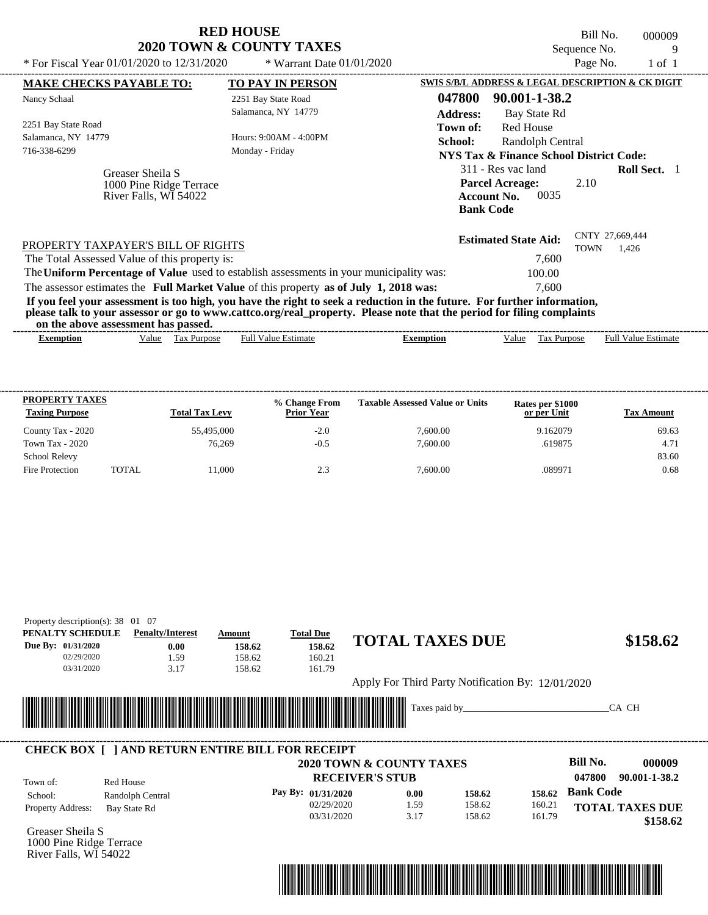| * For Fiscal Year 01/01/2020 to 12/31/2020                                                                                                                                                                                                                                                                                                                                       | <b>RED HOUSE</b><br><b>2020 TOWN &amp; COUNTY TAXES</b><br>* Warrant Date 01/01/2020 | Bill No.<br>000009<br>Sequence No.<br>9<br>Page No.<br>$1$ of $1$                                                             |
|----------------------------------------------------------------------------------------------------------------------------------------------------------------------------------------------------------------------------------------------------------------------------------------------------------------------------------------------------------------------------------|--------------------------------------------------------------------------------------|-------------------------------------------------------------------------------------------------------------------------------|
| <b>MAKE CHECKS PAYABLE TO:</b>                                                                                                                                                                                                                                                                                                                                                   | <b>TO PAY IN PERSON</b>                                                              | SWIS S/B/L ADDRESS & LEGAL DESCRIPTION & CK DIGIT                                                                             |
| Nancy Schaal                                                                                                                                                                                                                                                                                                                                                                     | 2251 Bay State Road<br>Salamanca, NY 14779                                           | 047800<br>90.001-1-38.2<br><b>Address:</b><br><b>Bay State Rd</b>                                                             |
| 2251 Bay State Road<br>Salamanca, NY 14779<br>716-338-6299                                                                                                                                                                                                                                                                                                                       | Hours: $9:00AM - 4:00PM$<br>Monday - Friday                                          | <b>Red House</b><br>Town of:<br>School:<br>Randolph Central<br><b>NYS Tax &amp; Finance School District Code:</b>             |
| Greaser Sheila S<br>1000 Pine Ridge Terrace<br>River Falls, WI 54022                                                                                                                                                                                                                                                                                                             |                                                                                      | 311 - Res vac land<br><b>Roll Sect.</b> 1<br><b>Parcel Acreage:</b><br>2.10<br>0035<br><b>Account No.</b><br><b>Bank Code</b> |
| PROPERTY TAXPAYER'S BILL OF RIGHTS<br>The Total Assessed Value of this property is:<br>The Uniform Percentage of Value used to establish assessments in your municipality was:                                                                                                                                                                                                   |                                                                                      | CNTY 27,669,444<br><b>Estimated State Aid:</b><br><b>TOWN</b><br>1,426<br>7,600<br>100.00                                     |
| The assessor estimates the Full Market Value of this property as of July 1, 2018 was:<br>If you feel your assessment is too high, you have the right to seek a reduction in the future. For further information,<br>please talk to your assessor or go to www.cattco.org/real_property. Please note that the period for filing complaints<br>on the above assessment has passed. |                                                                                      | 7.600                                                                                                                         |

| -<br>Full $V$<br>√alue<br>'alue<br>Estimate<br><b>Purpose</b><br>lax<br>, alue<br>Ful<br><b>Purpose</b><br>Exemption<br>emption | Estimate |
|---------------------------------------------------------------------------------------------------------------------------------|----------|

| <b>PROPERTY TAXES</b><br><b>Taxing Purpose</b> |        | <b>Total Tax Levy</b> | % Change From<br><b>Prior Year</b> | <b>Taxable Assessed Value or Units</b> | <b>Rates per \$1000<br/>or per Unit</b> | <b>Tax Amount</b> |
|------------------------------------------------|--------|-----------------------|------------------------------------|----------------------------------------|-----------------------------------------|-------------------|
|                                                |        |                       |                                    |                                        |                                         |                   |
| County Tax - 2020                              |        | 55,495,000            | $-2.0$                             | 7,600.00                               | 9.162079                                | 69.63             |
| Town Tax $-2020$                               |        | 76.269                | $-0.5$                             | 7,600.00                               | .619875                                 | 4.71              |
| <b>School Relevy</b>                           |        |                       |                                    |                                        |                                         | 83.60             |
| Fire Protection                                | TOTAL. | 11,000                | 2.3                                | 7.600.00                               | .089971                                 | 0.68              |

| PENALTY SCHEDULE    | <b>Penalty/Interest</b>                                 | Amount                     | <b>Total Due</b>       | <b>TOTAL TAXES DUE</b>                            |        |                           |
|---------------------|---------------------------------------------------------|----------------------------|------------------------|---------------------------------------------------|--------|---------------------------|
| Due By: 01/31/2020  | 0.00                                                    | 158.62                     | 158.62                 |                                                   |        | \$158.62                  |
| 02/29/2020          | 1.59                                                    | 158.62                     | 160.21                 |                                                   |        |                           |
| 03/31/2020          | 3.17                                                    | 158.62                     | 161.79                 |                                                   |        |                           |
|                     |                                                         |                            |                        | Apply For Third Party Notification By: 12/01/2020 |        |                           |
|                     |                                                         |                            |                        |                                                   |        |                           |
|                     |                                                         |                            |                        |                                                   |        |                           |
|                     |                                                         |                            |                        | Taxes paid by                                     |        | CA CH                     |
|                     |                                                         | <u> Timbul Manazarta (</u> |                        |                                                   |        |                           |
|                     |                                                         |                            |                        |                                                   |        |                           |
|                     | <b>CHECK BOX   ] AND RETURN ENTIRE BILL FOR RECEIPT</b> |                            |                        |                                                   |        | <b>Bill No.</b><br>000009 |
|                     |                                                         |                            | <b>RECEIVER'S STUB</b> | <b>2020 TOWN &amp; COUNTY TAXES</b>               |        | 047800<br>90.001-1-38.2   |
| Town of:<br>School: | Red House                                               |                            | Pay By: 01/31/2020     | 158.62<br>0.00                                    | 158.62 | <b>Bank Code</b>          |
| Property Address:   | Randolph Central<br>Bay State Rd                        |                            | 02/29/2020             | 158.62<br>1.59                                    | 160.21 | <b>TOTAL TAXES DUE</b>    |

Greaser Sheila S 1000 Pine Ridge Terrace River Falls, WI 54022



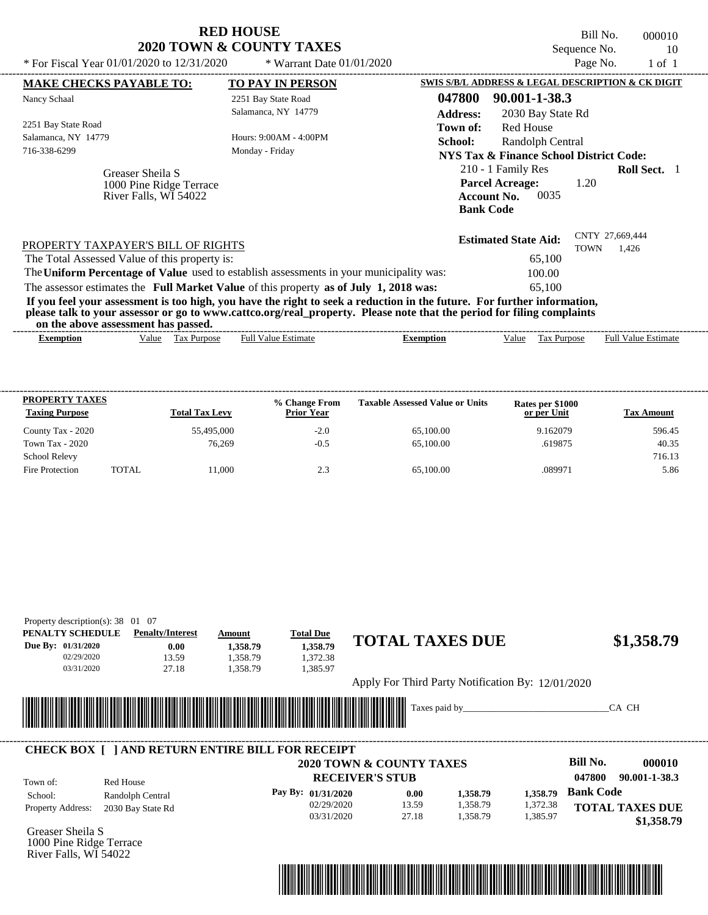| * For Fiscal Year 01/01/2020 to 12/31/2020                                                                                                                                                                                                                                                                                                                                       | <b>RED HOUSE</b><br><b>2020 TOWN &amp; COUNTY TAXES</b><br>* Warrant Date $01/01/2020$ | Bill No.<br>000010<br>Sequence No.<br>10<br>Page No.<br>$1$ of $1$                                                            |
|----------------------------------------------------------------------------------------------------------------------------------------------------------------------------------------------------------------------------------------------------------------------------------------------------------------------------------------------------------------------------------|----------------------------------------------------------------------------------------|-------------------------------------------------------------------------------------------------------------------------------|
| <b>MAKE CHECKS PAYABLE TO:</b>                                                                                                                                                                                                                                                                                                                                                   | <b>TO PAY IN PERSON</b>                                                                | SWIS S/B/L ADDRESS & LEGAL DESCRIPTION & CK DIGIT                                                                             |
| Nancy Schaal                                                                                                                                                                                                                                                                                                                                                                     | 2251 Bay State Road<br>Salamanca, NY 14779                                             | 047800<br>90.001-1-38.3<br><b>Address:</b><br>2030 Bay State Rd                                                               |
| 2251 Bay State Road<br>Salamanca, NY 14779<br>716-338-6299                                                                                                                                                                                                                                                                                                                       | Hours: $9:00AM - 4:00PM$<br>Monday - Friday                                            | <b>Red House</b><br>Town of:<br><b>School:</b><br>Randolph Central<br><b>NYS Tax &amp; Finance School District Code:</b>      |
| Greaser Sheila S<br>1000 Pine Ridge Terrace<br>River Falls, WI 54022                                                                                                                                                                                                                                                                                                             |                                                                                        | 210 - 1 Family Res<br><b>Roll Sect.</b> 1<br><b>Parcel Acreage:</b><br>1.20<br>0035<br><b>Account No.</b><br><b>Bank Code</b> |
| PROPERTY TAXPAYER'S BILL OF RIGHTS<br>The Total Assessed Value of this property is:<br>The Uniform Percentage of Value used to establish assessments in your municipality was:                                                                                                                                                                                                   |                                                                                        | CNTY 27,669,444<br><b>Estimated State Aid:</b><br><b>TOWN</b><br>1.426<br>65,100<br>100.00                                    |
| The assessor estimates the Full Market Value of this property as of July 1, 2018 was:<br>If you feel your assessment is too high, you have the right to seek a reduction in the future. For further information,<br>please talk to your assessor or go to www.cattco.org/real_property. Please note that the period for filing complaints<br>on the above assessment has passed. |                                                                                        | 65,100                                                                                                                        |

| - vn the above assessment has basseu. |       |                |                                  |           |       |                                                       |                                           |
|---------------------------------------|-------|----------------|----------------------------------|-----------|-------|-------------------------------------------------------|-------------------------------------------|
| Exemption                             | value | ax:<br>Purpose | Estimate<br>Full<br>$\mathbf{u}$ | exemption | Value | $\overline{\phantom{a}}$<br>Purpose<br>$\sim$<br>1 ал | $\rm{Full}$ $\rm{V}$<br>Estimate<br>Value |
|                                       |       |                |                                  |           |       |                                                       |                                           |

| <b>PROPERTY TAXES</b> |        |                       | % Change From     | <b>Taxable Assessed Value or Units</b> | <b>Rates per \$1000<br/>or per Unit</b> |                   |
|-----------------------|--------|-----------------------|-------------------|----------------------------------------|-----------------------------------------|-------------------|
| <b>Taxing Purpose</b> |        | <b>Total Tax Levy</b> | <b>Prior Year</b> |                                        |                                         | <b>Tax Amount</b> |
| County Tax - 2020     |        | 55,495,000            | $-2.0$            | 65,100.00                              | 9.162079                                | 596.45            |
| Town Tax $-2020$      |        | 76.269                | $-0.5$            | 65,100.00                              | .619875                                 | 40.35             |
| <b>School Relevy</b>  |        |                       |                   |                                        |                                         | 716.13            |
| Fire Protection       | TOTAL. | 11,000                | 2.3               | 65,100.00                              | .089971                                 | 5.86              |

| PENALTY SCHEDULE<br>Due By: 01/31/2020<br>02/29/2020<br>03/31/2020 | <b>Penalty/Interest</b><br>0.00<br>13.59<br>27.18 | Amount<br>1,358.79<br>1,358.79<br>1.358.79                                                                           | <b>Total Due</b><br>1,358.79<br>1,372.38<br>1,385.97          | <b>TOTAL TAXES DUE</b>                            |  |                    | \$1,358.79              |
|--------------------------------------------------------------------|---------------------------------------------------|----------------------------------------------------------------------------------------------------------------------|---------------------------------------------------------------|---------------------------------------------------|--|--------------------|-------------------------|
|                                                                    |                                                   |                                                                                                                      |                                                               | Apply For Third Party Notification By: 12/01/2020 |  |                    |                         |
| <b>III</b> III                                                     |                                                   | <u> Tanzania di Baratta di Baratta di Baratta di Baratta di Baratta di Baratta di Baratta di Baratta di Baratta </u> |                                                               | Taxes paid by                                     |  |                    | CA CH                   |
| Town of:                                                           | Red House                                         | <b>CHECK BOX     AND RETURN ENTIRE BILL FOR RECEIPT</b>                                                              | <b>2020 TOWN &amp; COUNTY TAXES</b><br><b>RECEIVER'S STUB</b> |                                                   |  | Bill No.<br>047800 | 000010<br>90.001-1-38.3 |

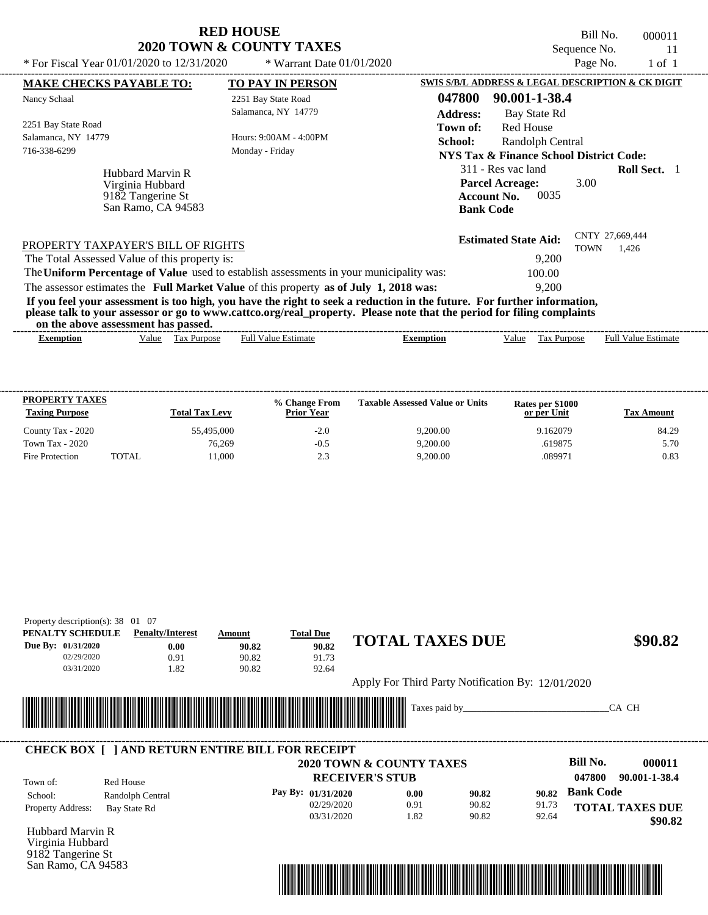| * For Fiscal Year $01/01/2020$ to $12/31/2020$                                        | <b>RED HOUSE</b><br>2020 TOWN & COUNTY TAXES<br>* Warrant Date $01/01/2020$                                             |                                                                                                | Bill No.<br>Sequence No.<br>Page No.    | 000011<br>11<br>$1$ of $1$ |  |
|---------------------------------------------------------------------------------------|-------------------------------------------------------------------------------------------------------------------------|------------------------------------------------------------------------------------------------|-----------------------------------------|----------------------------|--|
| <b>MAKE CHECKS PAYABLE TO:</b>                                                        | <b>TO PAY IN PERSON</b>                                                                                                 | SWIS S/B/L ADDRESS & LEGAL DESCRIPTION & CK DIGIT                                              |                                         |                            |  |
| Nancy Schaal                                                                          | 2251 Bay State Road<br>Salamanca, NY 14779                                                                              | 90.001-1-38.4<br>047800<br><b>Address:</b><br>Bay State Rd                                     |                                         |                            |  |
| 2251 Bay State Road                                                                   |                                                                                                                         | Red House<br>Town of:                                                                          |                                         |                            |  |
| Salamanca, NY 14779                                                                   | Hours: 9:00AM - 4:00PM                                                                                                  | <b>School:</b><br>Randolph Central                                                             |                                         |                            |  |
| 716-338-6299                                                                          | Monday - Friday                                                                                                         |                                                                                                | NYS Tax & Finance School District Code: |                            |  |
| Hubbard Marvin R<br>Virginia Hubbard<br>9182 Tangerine St<br>San Ramo, CA 94583       |                                                                                                                         | 311 - Res vac land<br><b>Parcel Acreage:</b><br>0035<br><b>Account No.</b><br><b>Bank Code</b> | 3.00                                    | <b>Roll Sect.</b> 1        |  |
| PROPERTY TAXPAYER'S BILL OF RIGHTS<br>The Total Assessed Value of this property is:   |                                                                                                                         | <b>Estimated State Aid:</b><br>9,200                                                           | CNTY 27,669,444<br>TOWN                 | 1,426                      |  |
|                                                                                       | The Uniform Percentage of Value used to establish assessments in your municipality was:                                 | 100.00                                                                                         |                                         |                            |  |
| The assessor estimates the Full Market Value of this property as of July 1, 2018 was: |                                                                                                                         | 9,200                                                                                          |                                         |                            |  |
|                                                                                       | If you feel your assessment is too high, you have the right to seek a reduction in the future. For further information, |                                                                                                |                                         |                            |  |

**please talk to your assessor or go to www.cattco.org/real\_property. Please note that the period for filing complaints**

| or<br>the<br>sessment<br>ass<br>above |                       |                |        |           |               |                         |
|---------------------------------------|-----------------------|----------------|--------|-----------|---------------|-------------------------|
| *xemption                             | √alue<br>ax<br>.rdose | Estimat<br>Ful | ıptıon | -<br>alue | 'urdos<br>151 | Full<br>Estimate<br>alu |

| <b>PROPERTY TAXES</b><br><b>Taxing Purpose</b> |       | <b>Total Tax Levy</b> | % Change From<br><b>Prior Year</b> | <b>Taxable Assessed Value or Units</b> | Rates per \$1000<br>or per Unit | <b>Tax Amount</b> |
|------------------------------------------------|-------|-----------------------|------------------------------------|----------------------------------------|---------------------------------|-------------------|
| County Tax - 2020                              |       | 55,495,000            | $-2.0$                             | 9.200.00                               | 9.162079                        | 84.29             |
| Town Tax - 2020                                |       | 76.269                | $-0.5$                             | 9.200.00                               | .619875                         | 5.70              |
| Fire Protection                                | TOTAL | 11.000                | 2.3                                | 9.200.00                               | .089971                         | 0.83              |

| PENALTY SCHEDULE   | <b>Penalty/Interest</b>                                 | Amount | <b>Total Due</b>            |                                                   |       |                           |
|--------------------|---------------------------------------------------------|--------|-----------------------------|---------------------------------------------------|-------|---------------------------|
| Due By: 01/31/2020 | 0.00                                                    | 90.82  | 90.82                       | <b>TOTAL TAXES DUE</b>                            |       | \$90.82                   |
| 02/29/2020         | 0.91                                                    | 90.82  | 91.73                       |                                                   |       |                           |
| 03/31/2020         | 1.82                                                    | 90.82  | 92.64                       |                                                   |       |                           |
|                    |                                                         |        |                             | Apply For Third Party Notification By: 12/01/2020 |       |                           |
|                    |                                                         |        |                             |                                                   |       |                           |
|                    |                                                         |        |                             |                                                   |       |                           |
|                    |                                                         |        |                             | Taxes paid by                                     |       | CA CH                     |
|                    |                                                         |        | <u> Maria Maria Maria I</u> |                                                   |       |                           |
|                    |                                                         |        |                             |                                                   |       |                           |
|                    | <b>CHECK BOX [ ] AND RETURN ENTIRE BILL FOR RECEIPT</b> |        |                             |                                                   |       |                           |
|                    |                                                         |        |                             | <b>2020 TOWN &amp; COUNTY TAXES</b>               |       | <b>Bill No.</b><br>000011 |
| Town of:           | Red House                                               |        | <b>RECEIVER'S STUB</b>      |                                                   |       | 047800<br>90.001-1-38.4   |
| School:            |                                                         |        | Pay By: 01/31/2020          | 0.00<br>90.82                                     | 90.82 | <b>Bank Code</b>          |
| Property Address:  | Randolph Central<br><b>Bay State Rd</b>                 |        | 02/29/2020                  | 0.91<br>90.82                                     | 91.73 | <b>TOTAL TAXES DUE</b>    |

Hubbard Marvin R Virginia Hubbard 9182 Tangerine St San Ramo, CA 94583

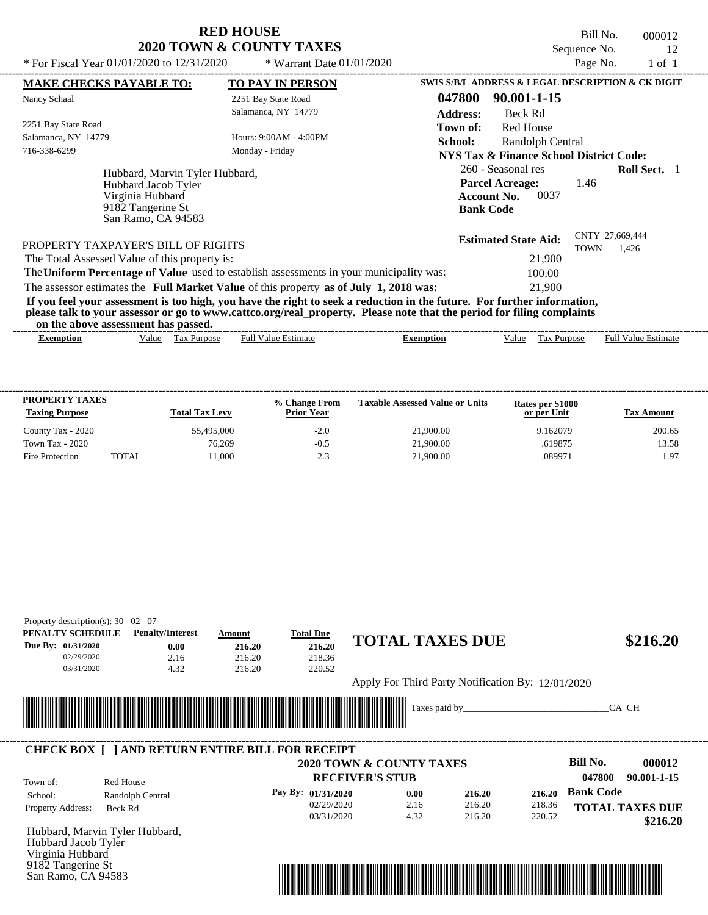Bill No. 000012 Sequence No. 12<br>Page No. 1 of 1

| * For Fiscal Year $01/01/2020$ to $12/31/2020$                                                                       | * Warrant Date $01/01/2020$                                                                                                                                                                                                                      | Page No.<br>$1$ of $1$                                                                                                        |
|----------------------------------------------------------------------------------------------------------------------|--------------------------------------------------------------------------------------------------------------------------------------------------------------------------------------------------------------------------------------------------|-------------------------------------------------------------------------------------------------------------------------------|
| <b>MAKE CHECKS PAYABLE TO:</b>                                                                                       | <b>TO PAY IN PERSON</b>                                                                                                                                                                                                                          | SWIS S/B/L ADDRESS & LEGAL DESCRIPTION & CK DIGIT                                                                             |
| Nancy Schaal                                                                                                         | 2251 Bay State Road                                                                                                                                                                                                                              | 047800<br>90.001-1-15                                                                                                         |
|                                                                                                                      | Salamanca, NY 14779                                                                                                                                                                                                                              | <b>Address:</b><br>Beck Rd                                                                                                    |
| 2251 Bay State Road                                                                                                  |                                                                                                                                                                                                                                                  | Town of:<br>Red House                                                                                                         |
| Salamanca, NY 14779                                                                                                  | Hours: 9:00AM - 4:00PM                                                                                                                                                                                                                           | <b>School:</b><br>Randolph Central                                                                                            |
| 716-338-6299                                                                                                         | Monday - Friday                                                                                                                                                                                                                                  | <b>NYS Tax &amp; Finance School District Code:</b>                                                                            |
| Hubbard, Marvin Tyler Hubbard,<br>Hubbard Jacob Tyler<br>Virginia Hubbard<br>9182 Tangerine St<br>San Ramo, CA 94583 |                                                                                                                                                                                                                                                  | 260 - Seasonal res<br><b>Roll Sect.</b> 1<br><b>Parcel Acreage:</b><br>1.46<br>0037<br><b>Account No.</b><br><b>Bank Code</b> |
| PROPERTY TAXPAYER'S BILL OF RIGHTS                                                                                   |                                                                                                                                                                                                                                                  | CNTY 27,669,444<br><b>Estimated State Aid:</b><br><b>TOWN</b><br>1,426                                                        |
| The Total Assessed Value of this property is:                                                                        |                                                                                                                                                                                                                                                  | 21,900                                                                                                                        |
|                                                                                                                      | The Uniform Percentage of Value used to establish assessments in your municipality was:                                                                                                                                                          | 100.00                                                                                                                        |
|                                                                                                                      | The assessor estimates the Full Market Value of this property as of July 1, 2018 was:                                                                                                                                                            | 21,900                                                                                                                        |
|                                                                                                                      | If you feel your assessment is too high, you have the right to seek a reduction in the future. For further information,<br>please talk to your assessor or go to www.cattco.org/real_property. Please note that the period for filing complaints |                                                                                                                               |

**on the above assessment has passed.**

| vu uv<br>. азэсээнісні наз базэса. |       |                       |                  |         |      |                |                             |
|------------------------------------|-------|-----------------------|------------------|---------|------|----------------|-----------------------------|
| Exemption                          | Value | 'ax<br><b>Purpose</b> | -Estimate<br>Ful | emption | alue | <b>Purpose</b> | Full $V$<br>Estimate<br>alu |
|                                    |       |                       |                  |         |      |                |                             |

| <b>PROPERTY TAXES</b><br><b>Taxing Purpose</b> |       | <b>Total Tax Levy</b> | % Change From<br><b>Prior Year</b> | <b>Taxable Assessed Value or Units</b> | Rates per \$1000<br>or per Unit | <b>Tax Amount</b> |
|------------------------------------------------|-------|-----------------------|------------------------------------|----------------------------------------|---------------------------------|-------------------|
| County Tax - 2020                              |       | 55,495,000            | $-2.0$                             | 21,900.00                              | 9.162079                        | 200.65            |
| Town Tax - 2020                                |       | 76.269                | $-0.5$                             | 21,900.00                              | .619875                         | 13.58             |
| Fire Protection                                | TOTAL | 11.000                | 2.3                                | 21,900.00                              | .089971                         | 1.97              |

| Property description(s): $30\quad02\quad07$ |                         |        |                  |                                                   |          |
|---------------------------------------------|-------------------------|--------|------------------|---------------------------------------------------|----------|
| PENALTY SCHEDULE                            | <b>Penalty/Interest</b> | Amount | <b>Total Due</b> |                                                   |          |
| <b>Due By: 01/31/2020</b>                   | $0.00\,$                | 216.20 | 216.20           | <b>TOTAL TAXES DUE</b>                            | \$216.20 |
| 02/29/2020                                  | 2.16                    | 216.20 | 218.36           |                                                   |          |
| 03/31/2020                                  | 4.32                    | 216.20 | 220.52           |                                                   |          |
|                                             |                         |        |                  | Apply For Third Party Notification By: 12/01/2020 |          |



#### **RECEIVER'S STUB Bill No. 000012 Bank Code 216.20** Property Address: Beck Rd Red House School: Randolph Central **TOTAL TAXES DUE \$216.20 2020 TOWN & COUNTY TAXES 047800 90.001-1-15 Pay By: 01/31/2020** 02/29/2020 03/31/2020 2.16 4.32 **0.00** 216.20 216.20 **216.20** 218.36 220.52 Town of: ---------------------------------------------------------------------------------------------------------------------------------------------------------------------------------------------------- **CHECK BOX [ ] AND RETURN ENTIRE BILL FOR RECEIPT**

Hubbard, Marvin Tyler Hubbard, Hubbard Jacob Tyler Virginia Hubbard 9182 Tangerine St San Ramo, CA 94583



Taxes paid by\_\_\_\_\_\_\_\_\_\_\_\_\_\_\_\_\_\_\_\_\_\_\_\_\_\_\_\_\_\_\_CA CH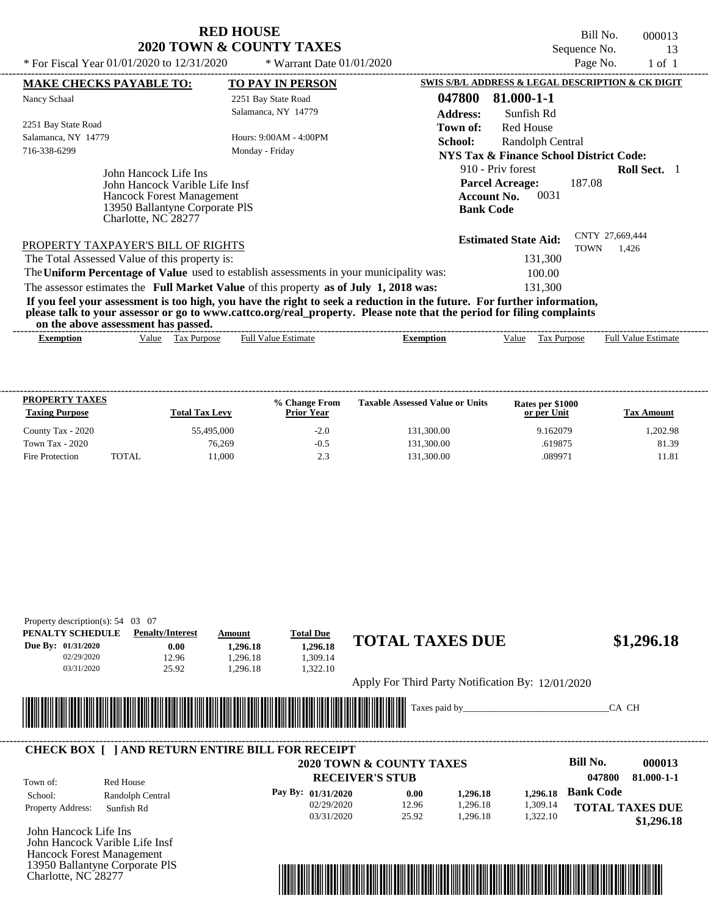Bill No. 000013 Sequence No. 13<br>Page No. 1 of 1

 **\$1,296.18**

| * For Fiscal Year $01/01/2020$ to $12/31/2020$                                                                                                       | * Warrant Date $01/01/2020$                                                                                                                                                                                                                      |                                                                                       | Page No.                                | $1$ of $1$                 |
|------------------------------------------------------------------------------------------------------------------------------------------------------|--------------------------------------------------------------------------------------------------------------------------------------------------------------------------------------------------------------------------------------------------|---------------------------------------------------------------------------------------|-----------------------------------------|----------------------------|
| <b>MAKE CHECKS PAYABLE TO:</b>                                                                                                                       | <b>TO PAY IN PERSON</b>                                                                                                                                                                                                                          | SWIS S/B/L ADDRESS & LEGAL DESCRIPTION & CK DIGIT                                     |                                         |                            |
| Nancy Schaal                                                                                                                                         | 2251 Bay State Road                                                                                                                                                                                                                              | 047800                                                                                | 81.000-1-1                              |                            |
|                                                                                                                                                      | Salamanca, NY 14779                                                                                                                                                                                                                              | <b>Address:</b>                                                                       | Sunfish Rd                              |                            |
| 2251 Bay State Road                                                                                                                                  |                                                                                                                                                                                                                                                  | Town of:                                                                              | <b>Red House</b>                        |                            |
| Salamanca, NY 14779                                                                                                                                  | Hours: 9:00AM - 4:00PM                                                                                                                                                                                                                           | School:                                                                               | Randolph Central                        |                            |
| 716-338-6299                                                                                                                                         | Monday - Friday                                                                                                                                                                                                                                  |                                                                                       | NYS Tax & Finance School District Code: |                            |
| John Hancock Life Ins<br>John Hancock Varible Life Insf<br><b>Hancock Forest Management</b><br>13950 Ballantyne Corporate PIS<br>Charlotte, NC 28277 |                                                                                                                                                                                                                                                  | 910 - Priv forest<br><b>Parcel Acreage:</b><br><b>Account No.</b><br><b>Bank Code</b> | 187.08<br>0031                          | <b>Roll Sect.</b> 1        |
| PROPERTY TAXPAYER'S BILL OF RIGHTS                                                                                                                   |                                                                                                                                                                                                                                                  | <b>Estimated State Aid:</b>                                                           | <b>TOWN</b>                             | CNTY 27,669,444<br>1,426   |
| The Total Assessed Value of this property is:                                                                                                        |                                                                                                                                                                                                                                                  |                                                                                       | 131,300                                 |                            |
|                                                                                                                                                      | The Uniform Percentage of Value used to establish assessments in your municipality was:                                                                                                                                                          |                                                                                       | 100.00                                  |                            |
|                                                                                                                                                      | The assessor estimates the Full Market Value of this property as of July 1, 2018 was:                                                                                                                                                            |                                                                                       | 131.300                                 |                            |
| on the above assessment has passed.                                                                                                                  | If you feel your assessment is too high, you have the right to seek a reduction in the future. For further information,<br>please talk to your assessor or go to www.cattco.org/real_property. Please note that the period for filing complaints |                                                                                       |                                         |                            |
| Value Tax Purpose<br>Exemption                                                                                                                       | <b>Full Value Estimate</b>                                                                                                                                                                                                                       | <b>Exemption</b><br>Value                                                             | <b>Tax Purpose</b>                      | <b>Full Value Estimate</b> |

| <b>PROPERTY TAXES</b><br><b>Taxing Purpose</b> |              | <b>Total Tax Levy</b> | % Change From<br><b>Prior Year</b> | <b>Taxable Assessed Value or Units</b> | Rates per \$1000<br>or per Unit | Tax Amount |
|------------------------------------------------|--------------|-----------------------|------------------------------------|----------------------------------------|---------------------------------|------------|
| County Tax - 2020                              |              | 55,495,000            | $-2.0$                             | 131,300.00                             | 9.162079                        | 1.202.98   |
| Town Tax - 2020                                |              | 76.269                | $-0.5$                             | 131,300.00                             | .619875                         | 81.39      |
| Fire Protection                                | <b>TOTAL</b> | 11.000                | 2.3                                | 131,300.00                             | .089971                         | 11.81      |

| Property description(s): $54 \quad 03 \quad 07$<br>PENALTY SCHEDULE | <b>Penalty/Interest</b>                                | Amount                                               | <b>Total Due</b>       |                                                   |          |          |                  |                        |
|---------------------------------------------------------------------|--------------------------------------------------------|------------------------------------------------------|------------------------|---------------------------------------------------|----------|----------|------------------|------------------------|
| Due By: 01/31/2020                                                  | 0.00                                                   | 1.296.18                                             | 1.296.18               | <b>TOTAL TAXES DUE</b>                            |          |          |                  | \$1,296.18             |
| 02/29/2020                                                          | 12.96                                                  | 1.296.18                                             | 1.309.14               |                                                   |          |          |                  |                        |
| 03/31/2020                                                          | 25.92                                                  | 1.296.18                                             | 1,322.10               |                                                   |          |          |                  |                        |
|                                                                     |                                                        |                                                      |                        | Apply For Third Party Notification By: 12/01/2020 |          |          |                  |                        |
|                                                                     |                                                        |                                                      |                        | Taxes paid by                                     |          |          | CA CH            |                        |
|                                                                     | <b>CHECK BOX   JAND RETURN ENTIRE BILL FOR RECEIPT</b> | <u> 1989 - Johann Stoff, Amerikaansk politiker (</u> |                        |                                                   |          |          |                  |                        |
|                                                                     |                                                        |                                                      |                        | <b>2020 TOWN &amp; COUNTY TAXES</b>               |          |          | <b>Bill No.</b>  | 000013                 |
|                                                                     |                                                        |                                                      | <b>RECEIVER'S STUB</b> |                                                   |          |          | 047800           | 81.000-1-1             |
| School:                                                             | Red House<br>Randolph Central                          |                                                      | Pay By: 01/31/2020     | 0.00                                              | 1,296.18 | 1,296.18 | <b>Bank Code</b> |                        |
| Town of:<br>Property Address:                                       | Sunfish Rd                                             |                                                      | 02/29/2020             | 12.96                                             | 1,296.18 | 1,309.14 |                  | <b>TOTAL TAXES DUE</b> |

John Hancock Life Ins John Hancock Varible Life Insf Hancock Forest Management 13950 Ballantyne Corporate PlS Charlotte, NC 28277

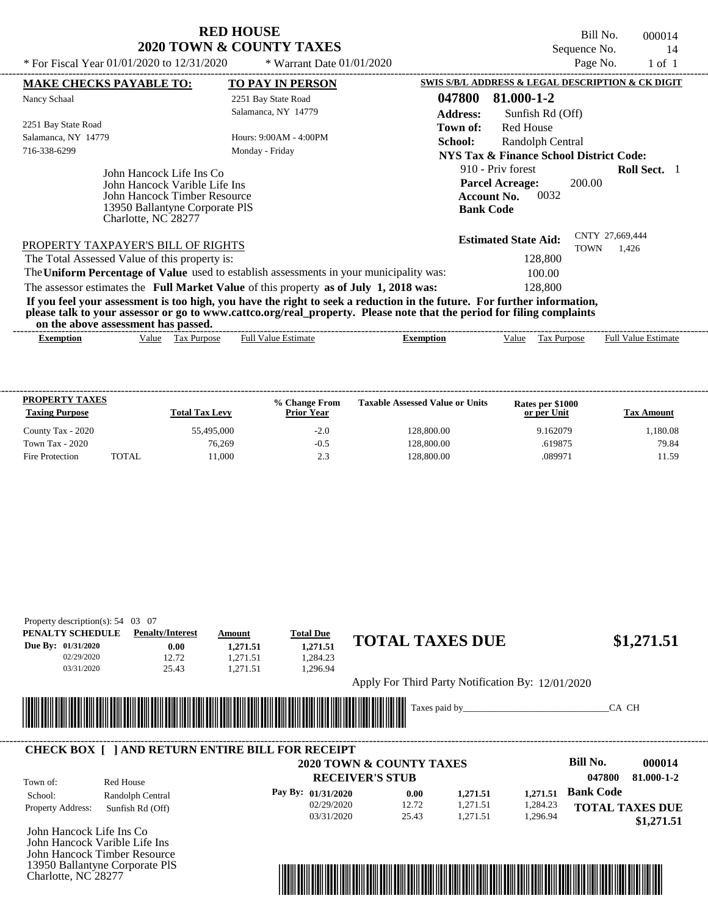| <b>RED HOUSE</b>                    |  |  |  |  |  |
|-------------------------------------|--|--|--|--|--|
| <b>2020 TOWN &amp; COUNTY TAXES</b> |  |  |  |  |  |

Bill No. 000014 Sequence No. 14<br>Page No. 1 of 1

| * For Fiscal Year 01/01/2020 to 12/31/2020                                                                                                                                                                                                                                              | * Warrant Date $01/01/2020$ |                                                                                               | Page No.                       | 1 of 1                     |
|-----------------------------------------------------------------------------------------------------------------------------------------------------------------------------------------------------------------------------------------------------------------------------------------|-----------------------------|-----------------------------------------------------------------------------------------------|--------------------------------|----------------------------|
| <b>MAKE CHECKS PAYABLE TO:</b>                                                                                                                                                                                                                                                          | <b>TO PAY IN PERSON</b>     | SWIS S/B/L ADDRESS & LEGAL DESCRIPTION & CK DIGIT                                             |                                |                            |
| Nancy Schaal                                                                                                                                                                                                                                                                            | 2251 Bay State Road         | 047800<br>81.000-1-2                                                                          |                                |                            |
|                                                                                                                                                                                                                                                                                         | Salamanca, NY 14779         | <b>Address:</b><br>Sunfish Rd (Off)                                                           |                                |                            |
| 2251 Bay State Road                                                                                                                                                                                                                                                                     |                             | <b>Red House</b><br>Town of:                                                                  |                                |                            |
| Salamanca, NY 14779                                                                                                                                                                                                                                                                     | Hours: 9:00AM - 4:00PM      | School:<br>Randolph Central                                                                   |                                |                            |
| 716-338-6299                                                                                                                                                                                                                                                                            | Monday - Friday             | NYS Tax & Finance School District Code:                                                       |                                |                            |
| John Hancock Life Ins Co<br>John Hancock Varible Life Ins<br>John Hancock Timber Resource<br>13950 Ballantyne Corporate PIS<br>Charlotte, NC 28277                                                                                                                                      |                             | 910 - Priv forest<br><b>Parcel Acreage:</b><br>0032<br><b>Account No.</b><br><b>Bank Code</b> | 200.00                         | <b>Roll Sect.</b> 1        |
| PROPERTY TAXPAYER'S BILL OF RIGHTS                                                                                                                                                                                                                                                      |                             | <b>Estimated State Aid:</b>                                                                   | CNTY 27,669,444<br><b>TOWN</b> | 1.426                      |
| The Total Assessed Value of this property is:                                                                                                                                                                                                                                           |                             | 128,800                                                                                       |                                |                            |
| The Uniform Percentage of Value used to establish assessments in your municipality was:                                                                                                                                                                                                 |                             | 100.00                                                                                        |                                |                            |
| The assessor estimates the Full Market Value of this property as of July 1, 2018 was:                                                                                                                                                                                                   |                             | 128,800                                                                                       |                                |                            |
| If you feel your assessment is too high, you have the right to seek a reduction in the future. For further information,<br>please talk to your assessor or go to www.cattco.org/real_property. Please note that the period for filing complaints<br>on the above assessment has passed. |                             |                                                                                               |                                |                            |
| Value Tax Purpose<br><b>Exemption</b>                                                                                                                                                                                                                                                   | <b>Full Value Estimate</b>  | <b>Exemption</b><br>Value                                                                     | Tax Purpose                    | <b>Full Value Estimate</b> |

| <b>PROPERTY TAXES</b><br><b>Taxing Purpose</b> |              | <b>Total Tax Levy</b> | % Change From<br><b>Prior Year</b> | <b>Taxable Assessed Value or Units</b> | Rates per \$1000<br>or per Unit | Tax Amount |
|------------------------------------------------|--------------|-----------------------|------------------------------------|----------------------------------------|---------------------------------|------------|
| County Tax - 2020                              |              | 55,495,000            | $-2.0$                             | 128,800.00                             | 9.162079                        | .180.08    |
| Town Tax - 2020                                |              | 76.269                | $-0.5$                             | 128,800.00                             | .619875                         | 79.84      |
| Fire Protection                                | <b>TOTAL</b> | 11.000                | 2.3                                | 128,800.00                             | .089971                         | 11.59      |

| Property description(s): $54 \quad 03 \quad 07$        |                         |          |                  |                                                   |            |
|--------------------------------------------------------|-------------------------|----------|------------------|---------------------------------------------------|------------|
| PENALTY SCHEDULE                                       | <b>Penalty/Interest</b> | Amount   | <b>Total Due</b> |                                                   |            |
| <b>Due By: 01/31/2020</b>                              | 0.00                    | 1,271.51 | 1,271.51         | <b>TOTAL TAXES DUE</b>                            | \$1,271.51 |
| 02/29/2020                                             | 12.72                   | 1,271.51 | 1,284.23         |                                                   |            |
| 03/31/2020                                             | 25.43                   | 1,271.51 | 1,296.94         |                                                   |            |
|                                                        |                         |          |                  | Apply For Third Party Notification By: 12/01/2020 |            |
| <b>IN THE REAL</b>                                     |                         |          |                  | Taxes paid by                                     | CA CH      |
| <b>CHECK BOX   JAND RETURN ENTIRE BILL FOR RECEIPT</b> |                         |          |                  | -----                                             |            |

| Town of:                 | Red House        | <b>2020 TOWN &amp; COUNTY TAXES</b><br><b>RECEIVER'S STUB</b> |       |          |          | <b>Bill No.</b><br>047800 | 000014<br>81.000-1-2   |
|--------------------------|------------------|---------------------------------------------------------------|-------|----------|----------|---------------------------|------------------------|
| School:                  | Randolph Central | Pay By: 01/31/2020                                            | 0.00  | 1,271.51 | 1.271.51 | <b>Bank Code</b>          |                        |
| <b>Property Address:</b> | Sunfish Rd (Off) | 02/29/2020                                                    | 12.72 | 1.271.51 | 1,284.23 |                           | <b>TOTAL TAXES DUE</b> |
| ----                     |                  | 03/31/2020                                                    | 25.43 | 1.271.51 | 1.296.94 |                           | \$1,271.51             |

John Hancock Life Ins Co John Hancock Varible Life Ins John Hancock Timber Resource 13950 Ballantyne Corporate PlS Charlotte, NC 28277

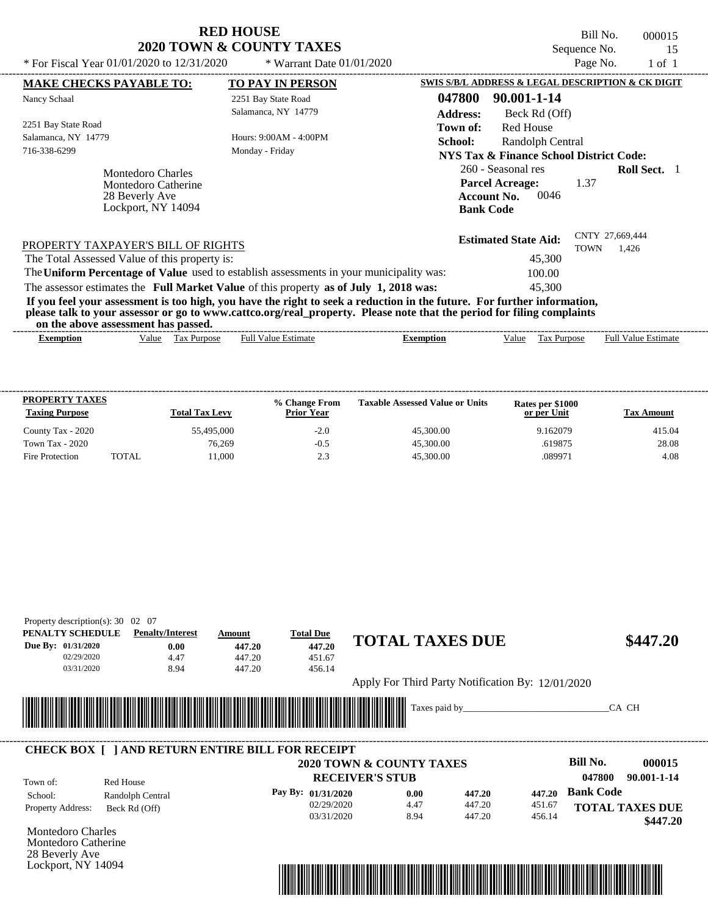|                                                                                                | <b>RED HOUSE</b><br><b>2020 TOWN &amp; COUNTY TAXES</b> | Bill No.<br>000015<br>Sequence No.<br>15                                                                                      |
|------------------------------------------------------------------------------------------------|---------------------------------------------------------|-------------------------------------------------------------------------------------------------------------------------------|
| * For Fiscal Year 01/01/2020 to 12/31/2020                                                     | * Warrant Date $01/01/2020$                             | Page No.<br>$1$ of $1$                                                                                                        |
| <b>MAKE CHECKS PAYABLE TO:</b>                                                                 | <b>TO PAY IN PERSON</b>                                 | SWIS S/B/L ADDRESS & LEGAL DESCRIPTION & CK DIGIT                                                                             |
| Nancy Schaal                                                                                   | 2251 Bay State Road                                     | 047800<br>90.001-1-14                                                                                                         |
|                                                                                                | Salamanca, NY 14779                                     | <b>Address:</b><br>Beck Rd (Off)                                                                                              |
| 2251 Bay State Road                                                                            |                                                         | <b>Red House</b><br>Town of:                                                                                                  |
| Salamanca, NY 14779                                                                            | Hours: 9:00AM - 4:00PM                                  | School:<br>Randolph Central                                                                                                   |
| 716-338-6299                                                                                   | Monday - Friday                                         | NYS Tax & Finance School District Code:                                                                                       |
| <b>Montedoro Charles</b><br><b>Montedoro Catherine</b><br>28 Beverly Ave<br>Lockport, NY 14094 |                                                         | 260 - Seasonal res<br><b>Roll Sect.</b> 1<br><b>Parcel Acreage:</b><br>1.37<br>0046<br><b>Account No.</b><br><b>Bank Code</b> |
| PROPERTY TAXPAYER'S BILL OF RIGHTS<br>The Total Assessed Value of this property is:            |                                                         | CNTY 27,669,444<br><b>Estimated State Aid:</b><br>TOWN<br>1,426<br>45,300                                                     |
| The Uniform Percentage of Value used to establish assessments in your municipality was:        |                                                         | 100.00                                                                                                                        |
| The assessor estimates the Full Market Value of this property as of July 1, 2018 was:          |                                                         | 45,300                                                                                                                        |

**If you feel your assessment is too high, you have the right to seek a reduction in the future. For further information, please talk to your assessor or go to www.cattco.org/real\_property. Please note that the period for filing complaints on the above assessment has passed.** ----------------------------------------------------------------------------------------------------------------------------------------------------------------------------------------------------

| xemption | 'alue | $\overline{\phantom{a}}$<br>Purpose<br>ια | $\sim$<br>-rull <sup>v</sup><br>'alue<br>stimate | Exemption | √alu | Purpose<br>$\mathbf{a}$<br>ι αλ | -------<br>Ful<br>Value<br>stimate |  |
|----------|-------|-------------------------------------------|--------------------------------------------------|-----------|------|---------------------------------|------------------------------------|--|
|          |       |                                           |                                                  |           |      |                                 |                                    |  |

| <b>PROPERTY TAXES</b><br><b>Taxing Purpose</b> |              | <b>Total Tax Levy</b> | % Change From<br><b>Prior Year</b> | <b>Taxable Assessed Value or Units</b> | Rates per \$1000<br>or per Unit | <b>Tax Amount</b> |
|------------------------------------------------|--------------|-----------------------|------------------------------------|----------------------------------------|---------------------------------|-------------------|
| County Tax - 2020                              |              | 55,495,000            | $-2.0$                             | 45,300.00                              | 9.162079                        | 415.04            |
| Town Tax - 2020                                |              | 76.269                | $-0.5$                             | 45,300.00                              | .619875                         | 28.08             |
| Fire Protection                                | <b>TOTAL</b> | 11.000                | 2.3                                | 45,300.00                              | .089971                         | 4.08              |

| Property description(s): $30 \quad 02 \quad 07$ |                                                         |                             |                        |                                                   |        |                        |
|-------------------------------------------------|---------------------------------------------------------|-----------------------------|------------------------|---------------------------------------------------|--------|------------------------|
| PENALTY SCHEDULE                                | <b>Penalty/Interest</b>                                 | Amount                      | <b>Total Due</b>       | <b>TOTAL TAXES DUE</b>                            |        | \$447.20               |
| Due By: 01/31/2020                              | 0.00                                                    | 447.20                      | 447.20                 |                                                   |        |                        |
| 02/29/2020                                      | 4.47                                                    | 447.20                      | 451.67                 |                                                   |        |                        |
| 03/31/2020                                      | 8.94                                                    | 447.20                      | 456.14                 |                                                   |        |                        |
|                                                 |                                                         |                             |                        | Apply For Third Party Notification By: 12/01/2020 |        |                        |
|                                                 |                                                         |                             |                        |                                                   |        |                        |
|                                                 |                                                         |                             |                        |                                                   |        |                        |
|                                                 |                                                         |                             |                        | Taxes paid by                                     |        | CA CH                  |
|                                                 |                                                         | <u> Tanzania (h. 1888).</u> |                        |                                                   |        |                        |
|                                                 | <b>CHECK BOX     AND RETURN ENTIRE BILL FOR RECEIPT</b> |                             |                        |                                                   |        |                        |
|                                                 |                                                         |                             |                        | <b>2020 TOWN &amp; COUNTY TAXES</b>               |        | Bill No.<br>000015     |
|                                                 |                                                         |                             | <b>RECEIVER'S STUB</b> |                                                   |        | 047800<br>90.001-1-14  |
| School:                                         | Red House                                               |                             | Pay By: $01/31/2020$   | 0.00<br>447.20                                    | 447.20 | <b>Bank Code</b>       |
| Town of:<br>Property Address:                   | Randolph Central<br>Beck Rd (Off)                       |                             | 02/29/2020             | 4.47<br>447.20                                    | 451.67 | <b>TOTAL TAXES DUE</b> |

Montedoro Charles Montedoro Catherine 28 Beverly Ave Lockport, NY 14094

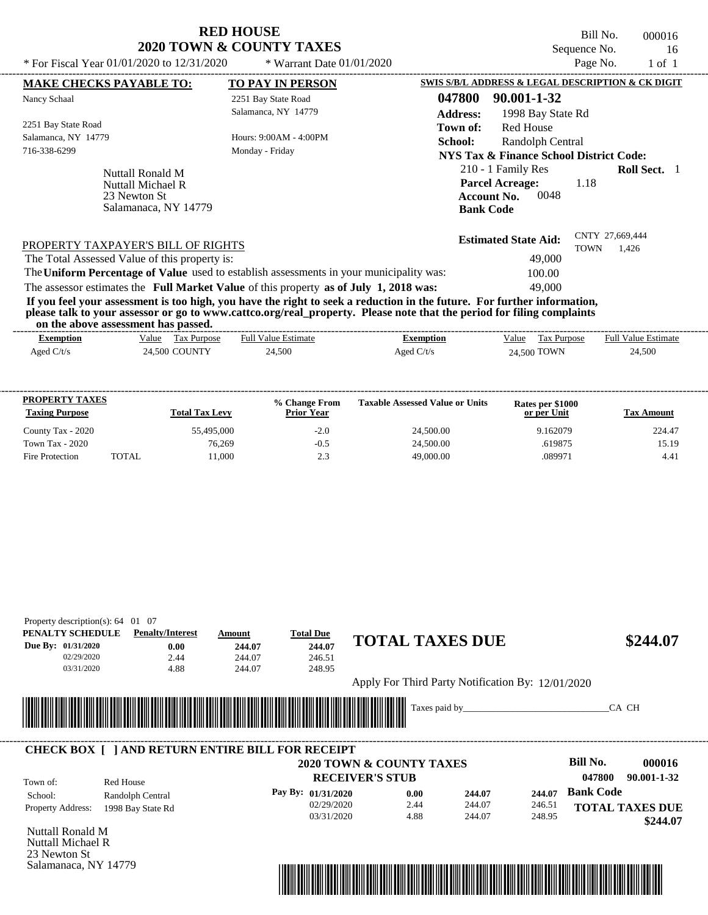Bill No. 000016 Sequence No. 16<br>Page No. 1 of 1

| * For Fiscal Year $01/01/2020$ to $12/31/2020$ | * Warrant Date $01/01/2020$                                                                                             | Page No.<br>1 of 1                                                          |
|------------------------------------------------|-------------------------------------------------------------------------------------------------------------------------|-----------------------------------------------------------------------------|
| <b>MAKE CHECKS PAYABLE TO:</b>                 | <b>TO PAY IN PERSON</b>                                                                                                 | SWIS S/B/L ADDRESS & LEGAL DESCRIPTION & CK DIGIT                           |
| Nancy Schaal                                   | 2251 Bay State Road                                                                                                     | 047800<br>90.001-1-32                                                       |
|                                                | Salamanca, NY 14779                                                                                                     | <b>Address:</b><br>1998 Bay State Rd                                        |
| 2251 Bay State Road                            |                                                                                                                         | Red House<br>Town of:                                                       |
| Salamanca, NY 14779                            | Hours: 9:00AM - 4:00PM                                                                                                  | <b>School:</b><br>Randolph Central                                          |
| 716-338-6299                                   | Monday - Friday                                                                                                         | NYS Tax & Finance School District Code:                                     |
| Nuttall Ronald M<br>Nuttall Michael R          |                                                                                                                         | 210 - 1 Family Res<br><b>Roll Sect.</b> 1<br><b>Parcel Acreage:</b><br>1.18 |
| 23 Newton St                                   |                                                                                                                         | 0048<br><b>Account No.</b>                                                  |
| Salamanaca, NY 14779                           |                                                                                                                         | <b>Bank Code</b>                                                            |
|                                                |                                                                                                                         | CNTY 27,669,444<br><b>Estimated State Aid:</b>                              |
| PROPERTY TAXPAYER'S BILL OF RIGHTS             |                                                                                                                         | TOWN<br>1,426                                                               |
| The Total Assessed Value of this property is:  |                                                                                                                         | 49,000                                                                      |
|                                                | The Uniform Percentage of Value used to establish assessments in your municipality was:                                 | 100.00                                                                      |
|                                                | The assessor estimates the Full Market Value of this property as of July 1, 2018 was:                                   | 49,000                                                                      |
|                                                | If you feel your assessment is too high, you have the right to seek a reduction in the future. For further information, |                                                                             |

**please talk to your assessor or go to www.cattco.org/real\_property. Please note that the period for filing complaints**

|  | on the above assessment has passed. |  |
|--|-------------------------------------|--|

| vn me above assessment nas basseu. |                             |                                                   |                  |                                |                            |
|------------------------------------|-----------------------------|---------------------------------------------------|------------------|--------------------------------|----------------------------|
| Exemption                          | Value<br><b>Tax Purpose</b> | <sup>-</sup> <sup>11</sup> Value Estimate<br>Full | <b>Lxemption</b> | Value<br>$\sim$<br>Tax Purpose | <b>Full Value Estimate</b> |
| Aged $C/t/s$                       | COUNTY<br>24.500            | 24,500                                            | Aged $C/t/s$     | 24,500 TOWN                    | 24,500                     |

| <b>PROPERTY TAXES</b><br><b>Taxing Purpose</b> |       | <b>Total Tax Levy</b> | % Change From<br><b>Prior Year</b> | <b>Taxable Assessed Value or Units</b> | Rates per \$1000<br>or per Unit | Tax Amount    |
|------------------------------------------------|-------|-----------------------|------------------------------------|----------------------------------------|---------------------------------|---------------|
| County Tax - 2020                              |       | 55,495,000            | $-2.0$                             | 24,500.00                              | 9.162079                        | 224.47        |
| Town Tax - 2020                                |       | 76.269                | $-0.5$                             | 24,500.00                              | .619875                         | 15.19         |
| Fire Protection                                | TOTAL | 11.000                | 2.3                                | 49,000.00                              | .089971                         | $4.4^{\circ}$ |

| Property description(s): $64 \quad 01 \quad 07$ |                         |        |                  |                                                   |          |
|-------------------------------------------------|-------------------------|--------|------------------|---------------------------------------------------|----------|
| PENALTY SCHEDULE                                | <b>Penalty/Interest</b> | Amount | <b>Total Due</b> |                                                   |          |
| Due By: 01/31/2020                              | 0.00                    | 244.07 | 244.07           | <b>TOTAL TAXES DUE</b>                            | \$244.07 |
| 02/29/2020                                      | 2.44                    | 244.07 | 246.51           |                                                   |          |
| 03/31/2020                                      | 4.88                    | 244.07 | 248.95           |                                                   |          |
|                                                 |                         |        |                  | Apply For Third Party Notification By: 12/01/2020 |          |
|                                                 |                         |        |                  |                                                   | CA CH    |

|                          |                   | 2020 TOWN & COUNTY TAXES |      |        |        | Bill No.         | 000016                 |
|--------------------------|-------------------|--------------------------|------|--------|--------|------------------|------------------------|
| Town of:                 | Red House         | <b>RECEIVER'S STUB</b>   |      |        |        | 047800           | 90.001-1-32            |
| School:                  | Randolph Central  | Pay By: $01/31/2020$     | 0.00 | 244.07 | 244.07 | <b>Bank Code</b> |                        |
| <b>Property Address:</b> | 1998 Bay State Rd | 02/29/2020               | 2.44 | 244.07 | 246.51 |                  | <b>TOTAL TAXES DUE</b> |
|                          |                   | 03/31/2020               | 4.88 | 244.07 | 248.95 |                  | \$244.07               |

Nuttall Ronald M Nuttall Michael R 23 Newton St Salamanaca, NY 14779

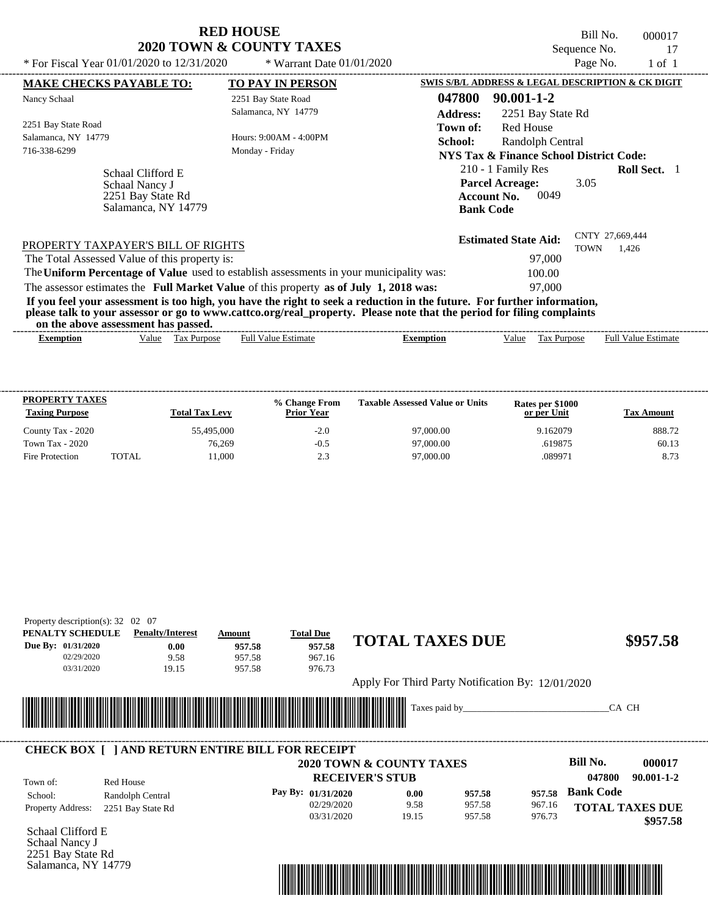Bill No. 000017 Sequence No. 17<br>Page No. 1 of 1

| * For Fiscal Year $01/01/2020$ to $12/31/2020$                                  | * Warrant Date $01/01/2020$                                                             |                                                                                                                                                                                                                                                  | Page No.    | $1$ of $1$                 |  |
|---------------------------------------------------------------------------------|-----------------------------------------------------------------------------------------|--------------------------------------------------------------------------------------------------------------------------------------------------------------------------------------------------------------------------------------------------|-------------|----------------------------|--|
| <b>MAKE CHECKS PAYABLE TO:</b>                                                  | <b>TO PAY IN PERSON</b>                                                                 | SWIS S/B/L ADDRESS & LEGAL DESCRIPTION & CK DIGIT                                                                                                                                                                                                |             |                            |  |
| Nancy Schaal                                                                    | 2251 Bay State Road                                                                     | 047800<br>$90.001 - 1 - 2$                                                                                                                                                                                                                       |             |                            |  |
|                                                                                 | Salamanca, NY 14779                                                                     | <b>Address:</b><br>2251 Bay State Rd                                                                                                                                                                                                             |             |                            |  |
| 2251 Bay State Road                                                             |                                                                                         | <b>Red House</b><br>Town of:                                                                                                                                                                                                                     |             |                            |  |
| Salamanca, NY 14779                                                             | Hours: 9:00AM - 4:00PM                                                                  | School:<br>Randolph Central                                                                                                                                                                                                                      |             |                            |  |
| 716-338-6299                                                                    | Monday - Friday                                                                         | <b>NYS Tax &amp; Finance School District Code:</b>                                                                                                                                                                                               |             |                            |  |
| Schaal Clifford E<br>Schaal Nancy J<br>2251 Bay State Rd<br>Salamanca, NY 14779 |                                                                                         | 210 - 1 Family Res<br><b>Parcel Acreage:</b><br>0049<br><b>Account No.</b><br><b>Bank Code</b>                                                                                                                                                   | 3.05        | <b>Roll Sect.</b> 1        |  |
| PROPERTY TAXPAYER'S BILL OF RIGHTS                                              |                                                                                         | <b>Estimated State Aid:</b>                                                                                                                                                                                                                      | <b>TOWN</b> | CNTY 27,669,444<br>1,426   |  |
| The Total Assessed Value of this property is:                                   |                                                                                         | 97,000                                                                                                                                                                                                                                           |             |                            |  |
|                                                                                 | The Uniform Percentage of Value used to establish assessments in your municipality was: | 100.00                                                                                                                                                                                                                                           |             |                            |  |
|                                                                                 | The assessor estimates the Full Market Value of this property as of July 1, 2018 was:   | 97,000                                                                                                                                                                                                                                           |             |                            |  |
| on the above assessment has passed.                                             |                                                                                         | If you feel your assessment is too high, you have the right to seek a reduction in the future. For further information,<br>please talk to your assessor or go to www.cattco.org/real_property. Please note that the period for filing complaints |             |                            |  |
| Value Tax Purpose<br>Exemption                                                  | <b>Full Value Estimate</b>                                                              | <b>Exemption</b><br>Value                                                                                                                                                                                                                        | Tax Purpose | <b>Full Value Estimate</b> |  |

| <b>PROPERTY TAXES</b><br><b>Taxing Purpose</b> |       | <b>Total Tax Levy</b> | % Change From<br><b>Prior Year</b> | <b>Taxable Assessed Value or Units</b> | Rates per \$1000<br>or per Unit | Tax Amount |
|------------------------------------------------|-------|-----------------------|------------------------------------|----------------------------------------|---------------------------------|------------|
| County Tax - 2020                              |       | 55,495,000            | $-2.0$                             | 97,000.00                              | 9.162079                        | 888.72     |
| Town Tax - 2020                                |       | 76.269                | $-0.5$                             | 97,000.00                              | .619875                         | 60.13      |
| Fire Protection                                | TOTAL | 11.000                | 2.3                                | 97,000.00                              | .089971                         | 8.73       |

| PENALTY SCHEDULE   | <b>Penalty/Interest</b>                                 | Amount                      | <b>Total Due</b>         | <b>TOTAL TAXES DUE</b>              |                                                   | \$957.58                  |
|--------------------|---------------------------------------------------------|-----------------------------|--------------------------|-------------------------------------|---------------------------------------------------|---------------------------|
| Due By: 01/31/2020 | 0.00                                                    | 957.58                      | 957.58                   |                                     |                                                   |                           |
| 02/29/2020         | 9.58                                                    | 957.58                      | 967.16                   |                                     |                                                   |                           |
| 03/31/2020         | 19.15                                                   | 957.58                      | 976.73                   |                                     |                                                   |                           |
|                    |                                                         |                             |                          |                                     | Apply For Third Party Notification By: 12/01/2020 |                           |
|                    |                                                         |                             |                          |                                     |                                                   |                           |
|                    |                                                         |                             |                          |                                     |                                                   |                           |
|                    |                                                         |                             |                          | Taxes paid by                       |                                                   | CA CH                     |
|                    |                                                         | <u> Tanzania (h. 1888).</u> |                          |                                     |                                                   |                           |
|                    |                                                         |                             |                          |                                     |                                                   |                           |
|                    | <b>CHECK BOX     AND RETURN ENTIRE BILL FOR RECEIPT</b> |                             |                          |                                     |                                                   |                           |
|                    |                                                         |                             |                          | <b>2020 TOWN &amp; COUNTY TAXES</b> |                                                   | <b>Bill No.</b><br>000017 |
|                    |                                                         |                             | <b>RECEIVER'S STUB</b>   |                                     |                                                   | 047800<br>90.001-1-2      |
| Town of:           | Red House                                               |                             |                          |                                     |                                                   |                           |
| School:            | Randolph Central                                        |                             | Pay By: 01/31/2020       | 0.00                                | 957.58<br>957.58                                  | <b>Bank Code</b>          |
| Property Address:  | 2251 Bay State Rd                                       |                             | 02/29/2020<br>03/31/2020 | 9.58<br>19.15                       | 957.58<br>967.16<br>957.58<br>976.73              | <b>TOTAL TAXES DUE</b>    |

Schaal Clifford E Schaal Nancy J 2251 Bay State Rd Salamanca, NY 14779

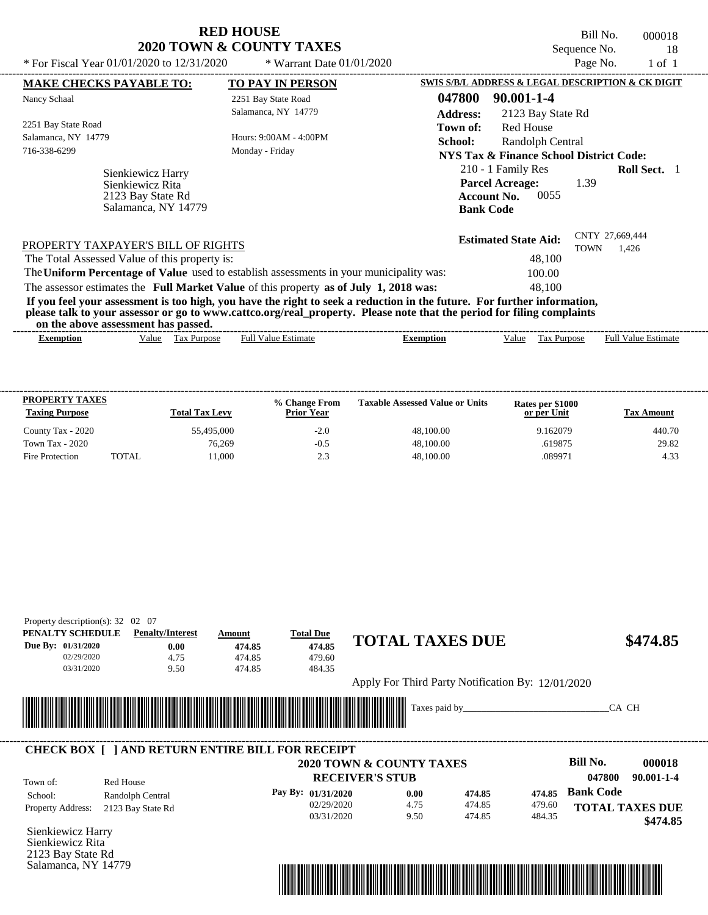| <b>RED HOUSE</b>                    |
|-------------------------------------|
| <b>2020 TOWN &amp; COUNTY TAXES</b> |

Bill No. 000018 Sequence No. 18<br>Page No. 1 of 1

 **\$474.85**

| * For Fiscal Year $01/01/2020$ to $12/31/2020$                                                                                                                                                                                                                                          | * Warrant Date $01/01/2020$ |                  |                                                   | Page No.    | 1 of 1                     |  |
|-----------------------------------------------------------------------------------------------------------------------------------------------------------------------------------------------------------------------------------------------------------------------------------------|-----------------------------|------------------|---------------------------------------------------|-------------|----------------------------|--|
| <b>MAKE CHECKS PAYABLE TO:</b>                                                                                                                                                                                                                                                          | <b>TO PAY IN PERSON</b>     |                  | SWIS S/B/L ADDRESS & LEGAL DESCRIPTION & CK DIGIT |             |                            |  |
| Nancy Schaal                                                                                                                                                                                                                                                                            | 2251 Bay State Road         | 047800           | 90.001-1-4                                        |             |                            |  |
|                                                                                                                                                                                                                                                                                         | Salamanca, NY 14779         | <b>Address:</b>  | 2123 Bay State Rd                                 |             |                            |  |
| 2251 Bay State Road                                                                                                                                                                                                                                                                     |                             | Town of:         | <b>Red House</b>                                  |             |                            |  |
| Salamanca, NY 14779                                                                                                                                                                                                                                                                     | Hours: 9:00AM - 4:00PM      | School:          | Randolph Central                                  |             |                            |  |
| 716-338-6299                                                                                                                                                                                                                                                                            | Monday - Friday             |                  | NYS Tax & Finance School District Code:           |             |                            |  |
| Sienkiewicz Harry                                                                                                                                                                                                                                                                       |                             |                  | 210 - 1 Family Res                                |             | <b>Roll Sect.</b> 1        |  |
| Sienkiewicz Rita                                                                                                                                                                                                                                                                        |                             |                  | <b>Parcel Acreage:</b>                            | 1.39        |                            |  |
| 2123 Bay State Rd                                                                                                                                                                                                                                                                       |                             |                  | 0055<br><b>Account No.</b>                        |             |                            |  |
| Salamanca, NY 14779                                                                                                                                                                                                                                                                     |                             | <b>Bank Code</b> |                                                   |             |                            |  |
| PROPERTY TAXPAYER'S BILL OF RIGHTS                                                                                                                                                                                                                                                      |                             |                  | <b>Estimated State Aid:</b>                       | <b>TOWN</b> | CNTY 27,669,444<br>1.426   |  |
| The Total Assessed Value of this property is:                                                                                                                                                                                                                                           |                             |                  | 48,100                                            |             |                            |  |
| The Uniform Percentage of Value used to establish assessments in your municipality was:                                                                                                                                                                                                 |                             |                  | 100.00                                            |             |                            |  |
| The assessor estimates the Full Market Value of this property as of July 1, 2018 was:                                                                                                                                                                                                   |                             |                  | 48.100                                            |             |                            |  |
| If you feel your assessment is too high, you have the right to seek a reduction in the future. For further information,<br>please talk to your assessor or go to www.cattco.org/real_property. Please note that the period for filing complaints<br>on the above assessment has passed. |                             |                  |                                                   |             |                            |  |
| Value Tax Purpose<br><b>Exemption</b>                                                                                                                                                                                                                                                   | <b>Full Value Estimate</b>  | <b>Exemption</b> | Tax Purpose<br>Value                              |             | <b>Full Value Estimate</b> |  |

| <b>PROPERTY TAXES</b><br><b>Taxing Purpose</b> |       | <b>Total Tax Levy</b> | % Change From<br><b>Prior Year</b> | <b>Taxable Assessed Value or Units</b> | Rates per \$1000<br>or per Unit | Tax Amount |
|------------------------------------------------|-------|-----------------------|------------------------------------|----------------------------------------|---------------------------------|------------|
| County Tax - 2020                              |       | 55,495,000            | $-2.0$                             | 48,100.00                              | 9.162079                        | 440.70     |
| Town Tax - 2020                                |       | 76.269                | $-0.5$                             | 48,100.00                              | .619875                         | 29.82      |
| Fire Protection                                | TOTAL | 11.000                | 2.3                                | 48,100.00                              | .089971                         | 4.33       |

| PENALTY SCHEDULE              | <b>Penalty/Interest</b>                                                                                                                                                        | Amount | <b>Total Due</b>   | <b>TOTAL TAXES DUE</b>                            |        |                            |                        |
|-------------------------------|--------------------------------------------------------------------------------------------------------------------------------------------------------------------------------|--------|--------------------|---------------------------------------------------|--------|----------------------------|------------------------|
| Due By: 01/31/2020            | 0.00                                                                                                                                                                           | 474.85 | 474.85             |                                                   |        |                            | \$474.85               |
| 02/29/2020                    | 4.75                                                                                                                                                                           | 474.85 | 479.60             |                                                   |        |                            |                        |
| 03/31/2020                    | 9.50                                                                                                                                                                           | 474.85 | 484.35             |                                                   |        |                            |                        |
|                               |                                                                                                                                                                                |        |                    | Apply For Third Party Notification By: 12/01/2020 |        |                            |                        |
|                               |                                                                                                                                                                                |        |                    | Taxes paid by                                     |        |                            | CA CH                  |
| <u> Tanzania (</u>            | <u> Tanzania di Baratta di Baratta di Baratta di Baratta di Baratta di Baratta di Baratta di Baratta di Baratta </u><br><b>CHECK BOX   JAND RETURN ENTIRE BILL FOR RECEIPT</b> |        |                    |                                                   |        |                            |                        |
|                               |                                                                                                                                                                                |        |                    | <b>2020 TOWN &amp; COUNTY TAXES</b>               |        | <b>Bill No.</b>            | 000018                 |
|                               |                                                                                                                                                                                |        |                    | <b>RECEIVER'S STUB</b>                            |        | 047800                     | $90.001 - 1 - 4$       |
| School:                       | Red House<br>Randolph Central                                                                                                                                                  |        | Pay By: 01/31/2020 | 0.00                                              | 474.85 | <b>Bank Code</b><br>474.85 |                        |
| Town of:<br>Property Address: | 2123 Bay State Rd                                                                                                                                                              |        | 02/29/2020         | 4.75                                              | 474.85 | 479.60                     | <b>TOTAL TAXES DUE</b> |

Sienkiewicz Harry Sienkiewicz Rita 2123 Bay State Rd Salamanca, NY 14779

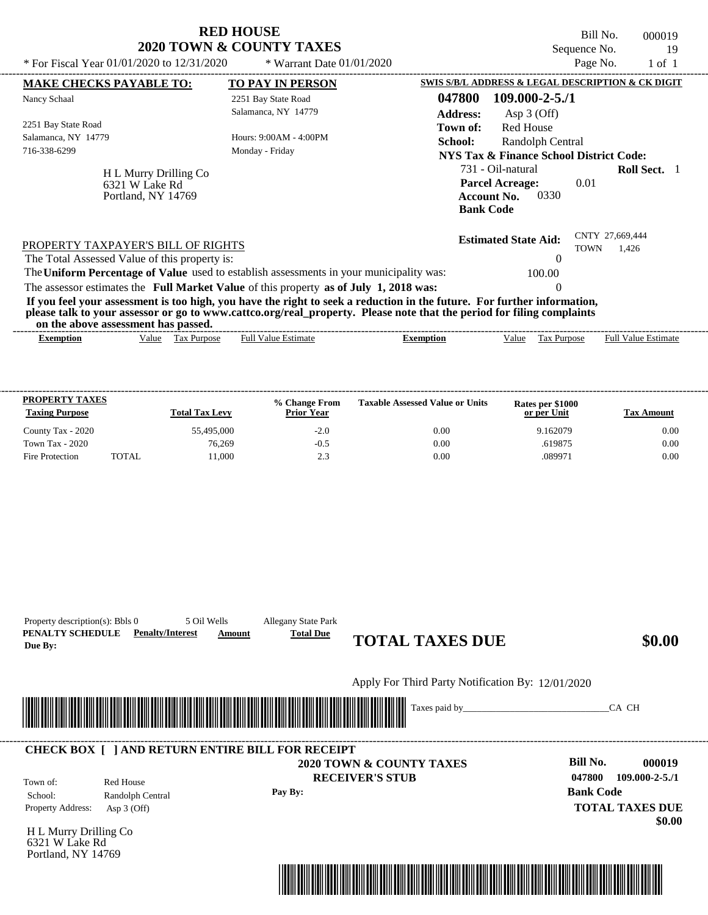| <b>RED HOUSE</b><br>2020 TOWN & COUNTY TAXES                                                                                                                                                                                                                                            |                                     | Bill No.<br>Sequence No.                                          | 000019<br>19                   |                            |
|-----------------------------------------------------------------------------------------------------------------------------------------------------------------------------------------------------------------------------------------------------------------------------------------|-------------------------------------|-------------------------------------------------------------------|--------------------------------|----------------------------|
| * For Fiscal Year $01/01/2020$ to $12/31/2020$                                                                                                                                                                                                                                          | * Warrant Date $01/01/2020$         |                                                                   | Page No.                       | $1$ of $1$                 |
| <b>MAKE CHECKS PAYABLE TO:</b>                                                                                                                                                                                                                                                          | <b>TO PAY IN PERSON</b>             | SWIS S/B/L ADDRESS & LEGAL DESCRIPTION & CK DIGIT                 |                                |                            |
| Nancy Schaal                                                                                                                                                                                                                                                                            | 2251 Bay State Road                 | 047800<br>$109.000 - 2 - 5.71$                                    |                                |                            |
|                                                                                                                                                                                                                                                                                         | Salamanca, NY 14779                 | <b>Address:</b><br>Asp 3 (Off)                                    |                                |                            |
| 2251 Bay State Road                                                                                                                                                                                                                                                                     |                                     | <b>Red House</b><br>Town of:                                      |                                |                            |
| Salamanca, NY 14779                                                                                                                                                                                                                                                                     | Hours: $9:00AM - 4:00PM$<br>School: |                                                                   | Randolph Central               |                            |
| 716-338-6299                                                                                                                                                                                                                                                                            | Monday - Friday                     | <b>NYS Tax &amp; Finance School District Code:</b>                |                                |                            |
| H L Murry Drilling Co<br>6321 W Lake Rd<br>Portland, NY 14769                                                                                                                                                                                                                           |                                     | <b>Parcel Acreage:</b><br>0330<br>Account No.<br><b>Bank Code</b> | 0.01                           |                            |
| PROPERTY TAXPAYER'S BILL OF RIGHTS                                                                                                                                                                                                                                                      |                                     | <b>Estimated State Aid:</b>                                       | CNTY 27,669,444<br><b>TOWN</b> | 1.426                      |
| The Total Assessed Value of this property is:                                                                                                                                                                                                                                           |                                     |                                                                   | $\Omega$                       |                            |
| The Uniform Percentage of Value used to establish assessments in your municipality was:                                                                                                                                                                                                 |                                     | 100.00                                                            |                                |                            |
| The assessor estimates the Full Market Value of this property as of July 1, 2018 was:                                                                                                                                                                                                   |                                     |                                                                   |                                |                            |
| If you feel your assessment is too high, you have the right to seek a reduction in the future. For further information,<br>please talk to your assessor or go to www.cattco.org/real_property. Please note that the period for filing complaints<br>on the above assessment has passed. |                                     |                                                                   |                                |                            |
| Tax Purpose<br><b>Exemption</b><br>Value                                                                                                                                                                                                                                                | <b>Full Value Estimate</b>          | <b>Exemption</b><br>Value                                         | <b>Tax Purpose</b>             | <b>Full Value Estimate</b> |

| <b>PROPERTY TAXES</b><br><b>Taxing Purpose</b> |       | <b>Total Tax Levv</b> | % Change From<br><b>Prior Year</b> | <b>Taxable Assessed Value or Units</b> | Rates per \$1000<br>or per Unit | <b>Tax Amount</b> |
|------------------------------------------------|-------|-----------------------|------------------------------------|----------------------------------------|---------------------------------|-------------------|
| County Tax - 2020                              |       | 55.495,000            | $-2.0$                             | 0.00                                   | 9.162079                        | 0.00              |
| Town Tax - 2020                                |       | 76.269                | $-0.5$                             | 0.00                                   | .619875                         | 0.00              |
| <b>Fire Protection</b>                         | TOTAL | 11.000                | 2.3                                | 0.00                                   | .089971                         | 0.00              |

| Property description(s): Bbls 0<br>PENALTY SCHEDULE<br>Due By: | 5 Oil Wells<br><b>Penalty/Interest</b> | Allegany State Park<br><b>Total Due</b><br>Amount<br><b>TOTAL TAXES DUE</b>                                           | \$0.00                                             |
|----------------------------------------------------------------|----------------------------------------|-----------------------------------------------------------------------------------------------------------------------|----------------------------------------------------|
|                                                                |                                        | Apply For Third Party Notification By: 12/01/2020                                                                     |                                                    |
|                                                                |                                        | <u> 1989 - Johann Maria Barat, martin shkriti mashrida në përfshum në përfshum në përfshum në përfshum në përfshu</u> | CA CH                                              |
|                                                                |                                        | <b>CHECK BOX [ ] AND RETURN ENTIRE BILL FOR RECEIPT</b><br>2020 TOWN & COUNTY TAXES                                   | <b>Bill No.</b><br>000019                          |
| Town of:                                                       | Red House                              | <b>RECEIVER'S STUB</b><br>Pay By:                                                                                     | 047800<br>$109.000 - 2 - 5.71$<br><b>Bank Code</b> |
| School:<br>Property Address:                                   | Randolph Central<br>Asp $3$ (Off)      |                                                                                                                       | <b>TOTAL TAXES DUE</b>                             |
| H L Murry Drilling Co<br>6321 W Lake Rd<br>Portland, NY 14769  |                                        |                                                                                                                       | \$0.00                                             |
|                                                                |                                        |                                                                                                                       | <u> Tanzania (h. 1888).</u>                        |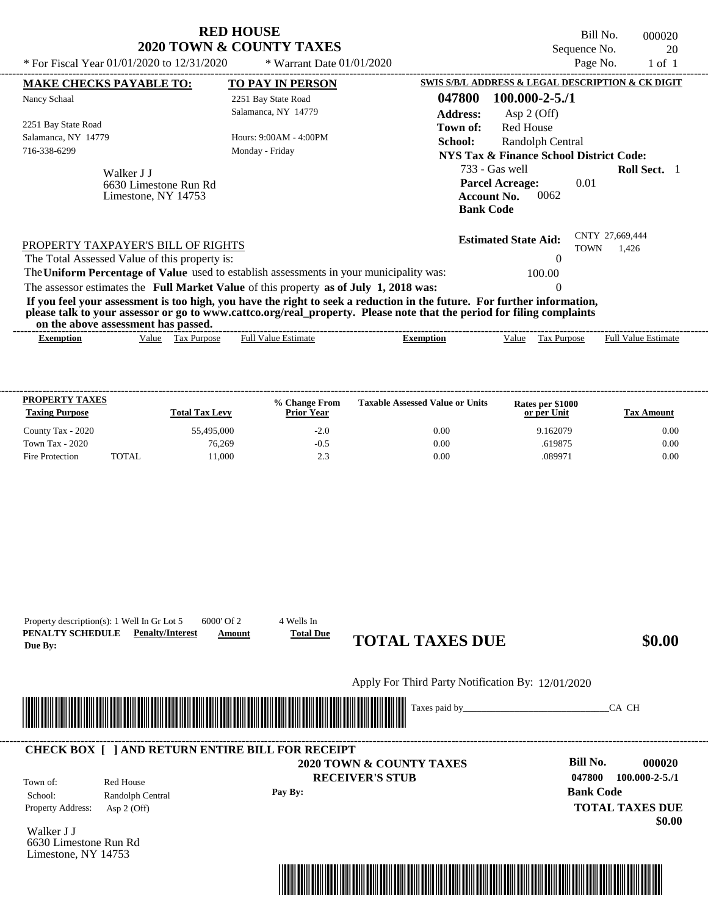|                                                                                         | <b>RED HOUSE</b><br><b>2020 TOWN &amp; COUNTY TAXES</b> |                                                                                                                                                                                                                                                  | Bill No.<br>Sequence No.                | 000020<br>20               |
|-----------------------------------------------------------------------------------------|---------------------------------------------------------|--------------------------------------------------------------------------------------------------------------------------------------------------------------------------------------------------------------------------------------------------|-----------------------------------------|----------------------------|
| * For Fiscal Year $01/01/2020$ to $12/31/2020$                                          | * Warrant Date 01/01/2020                               |                                                                                                                                                                                                                                                  | Page No.                                | $1$ of $1$                 |
| <b>MAKE CHECKS PAYABLE TO:</b>                                                          | <b>TO PAY IN PERSON</b>                                 | SWIS S/B/L ADDRESS & LEGAL DESCRIPTION & CK DIGIT                                                                                                                                                                                                |                                         |                            |
| Nancy Schaal                                                                            | 2251 Bay State Road                                     | 047800<br>$100.000 - 2 - 5.71$                                                                                                                                                                                                                   |                                         |                            |
|                                                                                         | Salamanca, NY 14779                                     | <b>Address:</b><br>Asp $2$ (Off)                                                                                                                                                                                                                 |                                         |                            |
| 2251 Bay State Road                                                                     |                                                         | <b>Red House</b><br>Town of:                                                                                                                                                                                                                     |                                         |                            |
| Salamanca, NY 14779                                                                     | Hours: 9:00AM - 4:00PM                                  | School:<br>Randolph Central                                                                                                                                                                                                                      |                                         |                            |
| 716-338-6299                                                                            | Monday - Friday                                         | NYS Tax & Finance School District Code:                                                                                                                                                                                                          |                                         |                            |
| Walker J J                                                                              |                                                         | $733 - Gas$ well                                                                                                                                                                                                                                 |                                         | Roll Sect. 1               |
| 6630 Limestone Run Rd<br>Limestone, NY 14753                                            |                                                         | <b>Parcel Acreage:</b><br>0062<br>Account No.<br><b>Bank Code</b>                                                                                                                                                                                | 0.01                                    |                            |
| PROPERTY TAXPAYER'S BILL OF RIGHTS<br>The Total Assessed Value of this property is:     |                                                         | <b>Estimated State Aid:</b>                                                                                                                                                                                                                      | CNTY 27,669,444<br><b>TOWN</b><br>1,426 |                            |
| The Uniform Percentage of Value used to establish assessments in your municipality was: |                                                         | 100.00                                                                                                                                                                                                                                           |                                         |                            |
| The assessor estimates the Full Market Value of this property as of July 1, 2018 was:   |                                                         | 0                                                                                                                                                                                                                                                |                                         |                            |
| on the above assessment has passed.                                                     |                                                         | If you feel your assessment is too high, you have the right to seek a reduction in the future. For further information,<br>please talk to your assessor or go to www.cattco.org/real_property. Please note that the period for filing complaints |                                         |                            |
| Value Tax Purpose<br><b>Exemption</b>                                                   | <b>Full Value Estimate</b>                              | Value<br><b>Exemption</b><br>Tax Purpose                                                                                                                                                                                                         |                                         | <b>Full Value Estimate</b> |

| <b>PROPERTY TAXES</b><br><b>Taxing Purpose</b> |              | <b>Total Tax Levy</b> | % Change From<br>Prior Year | <b>Taxable Assessed Value or Units</b> | Rates per \$1000<br>or per Unit | Tax Amount |
|------------------------------------------------|--------------|-----------------------|-----------------------------|----------------------------------------|---------------------------------|------------|
| County Tax - 2020                              |              | 55,495,000            | $-2.0$                      | 0.00                                   | 9.162079                        | 0.00       |
| Town Tax - 2020                                |              | 76.269                | $-0.5$                      | 0.00                                   | .619875                         | 0.00       |
| Fire Protection                                | <b>TOTAL</b> | 11.000                | 2.3                         | 0.00                                   | .089971                         | 0.00       |

|                                                            |                                                | Apply For Third Party Notification By: 12/01/2020                                              |                                                                              |
|------------------------------------------------------------|------------------------------------------------|------------------------------------------------------------------------------------------------|------------------------------------------------------------------------------|
|                                                            |                                                | Taxes paid by_                                                                                 | CA CH                                                                        |
|                                                            |                                                | <b>CHECK BOX [ ] AND RETURN ENTIRE BILL FOR RECEIPT</b><br><b>2020 TOWN &amp; COUNTY TAXES</b> | <b>Bill No.</b><br>000020                                                    |
| Town of:<br>School:<br>Property Address:                   | Red House<br>Randolph Central<br>Asp $2$ (Off) | <b>RECEIVER'S STUB</b><br>Pay By:                                                              | 047800<br>$100.000 - 2 - 5.71$<br><b>Bank Code</b><br><b>TOTAL TAXES DUE</b> |
| Walker J J<br>6630 Limestone Run Rd<br>Limestone, NY 14753 |                                                |                                                                                                | \$0.00                                                                       |
|                                                            |                                                |                                                                                                |                                                                              |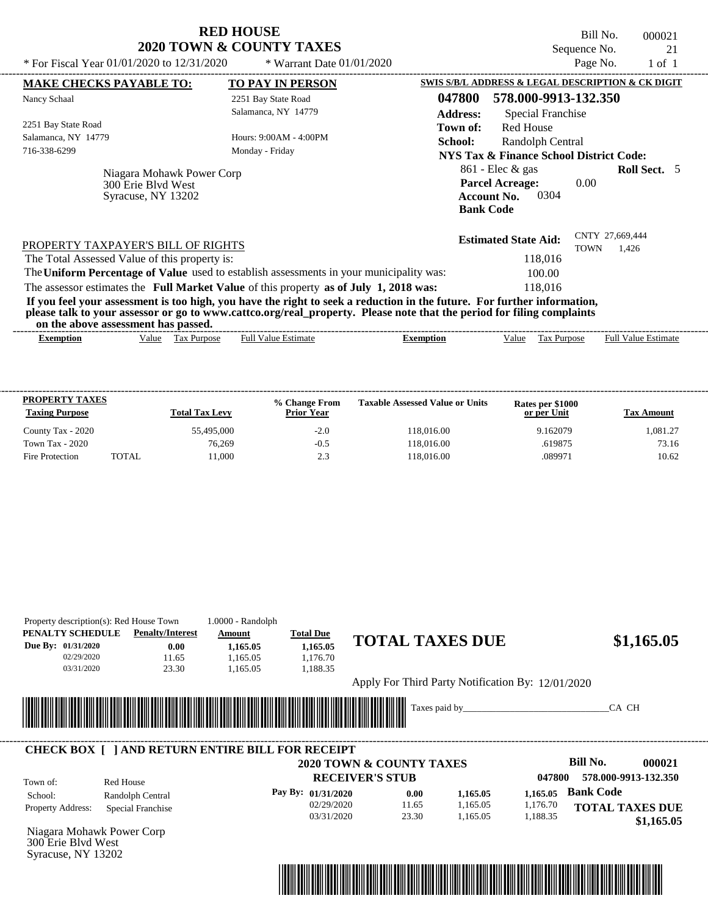|                                                                                                                                                                                                                                                  | <b>RED HOUSE</b>                    |                                                                                                | Bill No.                       | 000021                     |
|--------------------------------------------------------------------------------------------------------------------------------------------------------------------------------------------------------------------------------------------------|-------------------------------------|------------------------------------------------------------------------------------------------|--------------------------------|----------------------------|
|                                                                                                                                                                                                                                                  | <b>2020 TOWN &amp; COUNTY TAXES</b> |                                                                                                | Sequence No.                   | 21                         |
| * For Fiscal Year $01/01/2020$ to $12/31/2020$                                                                                                                                                                                                   | * Warrant Date $01/01/2020$         |                                                                                                | Page No.                       | $1$ of $1$                 |
| <b>MAKE CHECKS PAYABLE TO:</b>                                                                                                                                                                                                                   | <b>TO PAY IN PERSON</b>             | SWIS S/B/L ADDRESS & LEGAL DESCRIPTION & CK DIGIT                                              |                                |                            |
| Nancy Schaal                                                                                                                                                                                                                                     | 2251 Bay State Road                 | 047800<br>578.000-9913-132.350                                                                 |                                |                            |
|                                                                                                                                                                                                                                                  | Salamanca, NY 14779                 | <b>Address:</b><br>Special Franchise                                                           |                                |                            |
| 2251 Bay State Road                                                                                                                                                                                                                              |                                     | <b>Red House</b><br>Town of:                                                                   |                                |                            |
| Salamanca, NY 14779                                                                                                                                                                                                                              | Hours: 9:00AM - 4:00PM              | School:<br>Randolph Central                                                                    |                                |                            |
| 716-338-6299                                                                                                                                                                                                                                     | Monday - Friday                     | <b>NYS Tax &amp; Finance School District Code:</b>                                             |                                |                            |
| Niagara Mohawk Power Corp<br>300 Erie Blyd West<br>Syracuse, NY 13202                                                                                                                                                                            |                                     | $861$ - Elec & gas<br><b>Parcel Acreage:</b><br>0304<br><b>Account No.</b><br><b>Bank Code</b> | 0.00                           | <b>Roll Sect.</b> 5        |
| PROPERTY TAXPAYER'S BILL OF RIGHTS                                                                                                                                                                                                               |                                     | <b>Estimated State Aid:</b>                                                                    | CNTY 27,669,444<br><b>TOWN</b> | 1.426                      |
| The Total Assessed Value of this property is:                                                                                                                                                                                                    |                                     | 118,016                                                                                        |                                |                            |
| The Uniform Percentage of Value used to establish assessments in your municipality was:                                                                                                                                                          |                                     | 100.00                                                                                         |                                |                            |
| The assessor estimates the Full Market Value of this property as of July 1, 2018 was:                                                                                                                                                            |                                     | 118,016                                                                                        |                                |                            |
| If you feel your assessment is too high, you have the right to seek a reduction in the future. For further information,<br>please talk to your assessor or go to www.cattco.org/real_property. Please note that the period for filing complaints |                                     |                                                                                                |                                |                            |
| on the above assessment has passed.                                                                                                                                                                                                              |                                     |                                                                                                |                                |                            |
| Value Tax Purpose<br><b>Exemption</b>                                                                                                                                                                                                            | <b>Full Value Estimate</b>          | <b>Exemption</b><br>Value<br>Tax Purpose                                                       |                                | <b>Full Value Estimate</b> |

| <b>PROPERTY TAXES</b><br><b>Taxing Purpose</b> |              | <b>Total Tax Levy</b> | % Change From<br><b>Prior Year</b> | <b>Taxable Assessed Value or Units</b> | Rates per \$1000<br>or per Unit | Tax Amount |
|------------------------------------------------|--------------|-----------------------|------------------------------------|----------------------------------------|---------------------------------|------------|
| County Tax - 2020                              |              | 55,495,000            | $-2.0$                             | 118,016.00                             | 9.162079                        | 1.081.27   |
| Town Tax - 2020                                |              | 76.269                | $-0.5$                             | 118.016.00                             | .619875                         | 73.16      |
| Fire Protection                                | <b>TOTAL</b> | 11.000                | 2.3                                | 118.016.00                             | .089971                         | 10.62      |

|                                          | Property description(s): Red House Town                 | 1.0000 - Randolph          |                      |                                                   |          |          |                                      |
|------------------------------------------|---------------------------------------------------------|----------------------------|----------------------|---------------------------------------------------|----------|----------|--------------------------------------|
| PENALTY SCHEDULE                         | <b>Penalty/Interest</b>                                 | Amount                     | <b>Total Due</b>     |                                                   |          |          |                                      |
| Due By: 01/31/2020                       | 0.00                                                    | 1,165.05                   | 1,165.05             | <b>TOTAL TAXES DUE</b>                            |          |          | \$1,165.05                           |
| 02/29/2020                               | 11.65                                                   | 1,165.05                   | 1,176.70             |                                                   |          |          |                                      |
| 03/31/2020                               | 23.30                                                   | 1,165.05                   | 1,188.35             |                                                   |          |          |                                      |
|                                          |                                                         |                            |                      | Apply For Third Party Notification By: 12/01/2020 |          |          |                                      |
|                                          |                                                         |                            |                      | Taxes paid by_                                    |          |          | CA CH                                |
|                                          |                                                         | <u> Timbul Manazarta (</u> |                      |                                                   |          |          |                                      |
|                                          |                                                         |                            |                      |                                                   |          |          |                                      |
|                                          |                                                         |                            |                      |                                                   |          |          |                                      |
|                                          |                                                         |                            |                      |                                                   |          |          |                                      |
|                                          | <b>CHECK BOX [ ] AND RETURN ENTIRE BILL FOR RECEIPT</b> |                            |                      | <b>2020 TOWN &amp; COUNTY TAXES</b>               |          |          | Bill No.<br>000021                   |
|                                          |                                                         |                            |                      | <b>RECEIVER'S STUB</b>                            |          | 047800   | 578.000-9913-132.350                 |
| Town of:<br>School:                      | Red House                                               |                            | Pay By: $01/31/2020$ | 0.00                                              | 1,165.05 | 1,165.05 | <b>Bank Code</b>                     |
|                                          | Randolph Central                                        |                            | 02/29/2020           | 11.65                                             | 1,165.05 | 1,176.70 |                                      |
| Property Address:                        | Special Franchise                                       |                            | 03/31/2020           | 23.30                                             | 1,165.05 | 1,188.35 |                                      |
| Niagara Mohawk Power Corp                |                                                         |                            |                      |                                                   |          |          |                                      |
| 300 Erie Blyd West<br>Syracuse, NY 13202 |                                                         |                            |                      |                                                   |          |          | <b>TOTAL TAXES DUE</b><br>\$1,165.05 |

\*04780000002100000000116505\*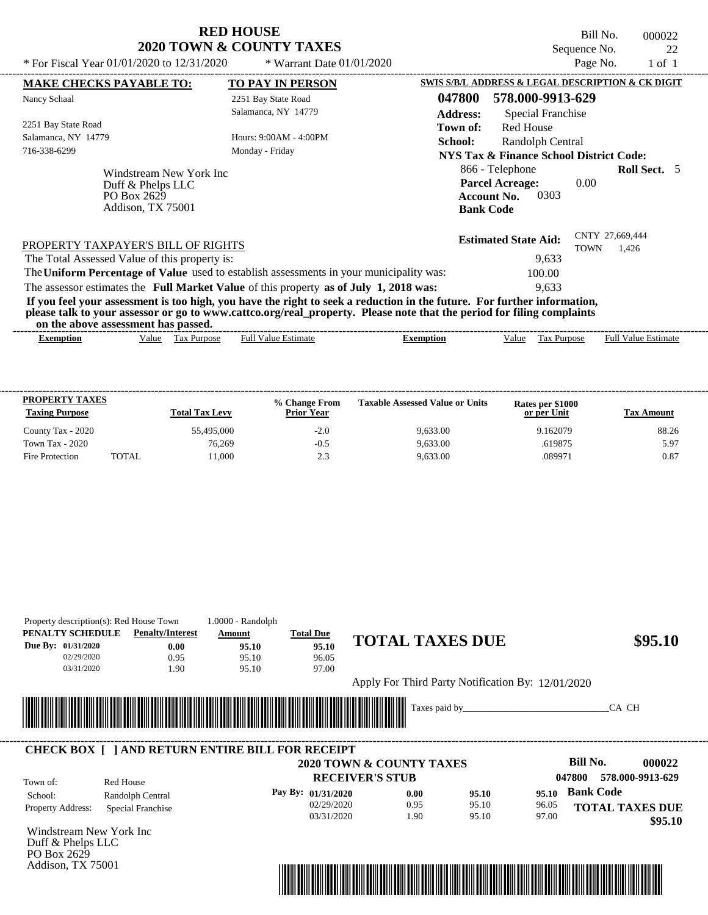Property description(s): Red House Town 1.0000 - Randolph

Addison, TX 75001

Bill No. 000022 Sequence No. 22<br>Page No. 22<br>1 of 1

| * For Fiscal Year $01/01/2020$ to $12/31/2020$                                      |                         | * Warrant Date $01/01/2020$                                                                                                                                                                                                                      |                           |                                                                                             | Page No.    | $1$ of $1$                 |  |
|-------------------------------------------------------------------------------------|-------------------------|--------------------------------------------------------------------------------------------------------------------------------------------------------------------------------------------------------------------------------------------------|---------------------------|---------------------------------------------------------------------------------------------|-------------|----------------------------|--|
| <b>MAKE CHECKS PAYABLE TO:</b>                                                      |                         | <b>TO PAY IN PERSON</b>                                                                                                                                                                                                                          |                           | SWIS S/B/L ADDRESS & LEGAL DESCRIPTION & CK DIGIT                                           |             |                            |  |
| Nancy Schaal                                                                        |                         | 2251 Bay State Road<br>Salamanca, NY 14779                                                                                                                                                                                                       | 047800<br><b>Address:</b> | 578.000-9913-629<br>Special Franchise                                                       |             |                            |  |
| 2251 Bay State Road<br>Salamanca, NY 14779<br>716-338-6299                          |                         | Hours: 9:00AM - 4:00PM<br>Monday - Friday                                                                                                                                                                                                        | Town of:<br>School:       | Red House<br>Randolph Central<br>NYS Tax & Finance School District Code:                    |             |                            |  |
| Duff & Phelps LLC<br>PO Box 2629<br>Addison, TX 75001                               | Windstream New York Inc |                                                                                                                                                                                                                                                  |                           | 866 - Telephone<br><b>Parcel Acreage:</b><br>0303<br><b>Account No.</b><br><b>Bank Code</b> | 0.00        | <b>Roll Sect.</b> 5        |  |
| PROPERTY TAXPAYER'S BILL OF RIGHTS<br>The Total Assessed Value of this property is: |                         |                                                                                                                                                                                                                                                  |                           | <b>Estimated State Aid:</b><br>9,633                                                        | <b>TOWN</b> | CNTY 27,669,444<br>1.426   |  |
|                                                                                     |                         | The Uniform Percentage of Value used to establish assessments in your municipality was:                                                                                                                                                          |                           | 100.00                                                                                      |             |                            |  |
|                                                                                     |                         | The assessor estimates the Full Market Value of this property as of July 1, 2018 was:                                                                                                                                                            |                           | 9.633                                                                                       |             |                            |  |
| on the above assessment has passed.                                                 |                         | If you feel your assessment is too high, you have the right to seek a reduction in the future. For further information,<br>please talk to your assessor or go to www.cattco.org/real_property. Please note that the period for filing complaints |                           |                                                                                             |             |                            |  |
| <b>Exemption</b>                                                                    | Value Tax Purpose       | <b>Full Value Estimate</b>                                                                                                                                                                                                                       | <b>Exemption</b>          | Value                                                                                       | Tax Purpose | <b>Full Value Estimate</b> |  |

| <b>PROPERTY TAXES</b><br><b>Taxing Purpose</b> |       | <b>Total Tax Levy</b> | % Change From<br><b>Prior Year</b> | <b>Taxable Assessed Value or Units</b> | Rates per \$1000<br>or per Unit | Tax Amount |
|------------------------------------------------|-------|-----------------------|------------------------------------|----------------------------------------|---------------------------------|------------|
| County Tax - 2020                              |       | 55,495,000            | $-2.0$                             | 9.633.00                               | 9.162079                        | 88.26      |
| Town Tax - 2020                                |       | 76.269                | $-0.5$                             | 9.633.00                               | .619875                         | 5.97       |
| Fire Protection                                | TOTAL | 11.000                | 2.3                                | 9.633.00                               | .089971                         | 0.87       |

| PENALTY SCHEDULE        | <b>Penalty/Interest</b>                                 | Amount                                                                                                               | <b>Total Due</b>   |                                                   |       |       |                            |
|-------------------------|---------------------------------------------------------|----------------------------------------------------------------------------------------------------------------------|--------------------|---------------------------------------------------|-------|-------|----------------------------|
| Due By: 01/31/2020      | 0.00                                                    | 95.10                                                                                                                | 95.10              | <b>TOTAL TAXES DUE</b>                            |       |       | \$95.10                    |
| 02/29/2020              | 0.95                                                    | 95.10                                                                                                                | 96.05              |                                                   |       |       |                            |
| 03/31/2020              | 1.90                                                    | 95.10                                                                                                                | 97.00              |                                                   |       |       |                            |
|                         |                                                         |                                                                                                                      |                    | Apply For Third Party Notification By: 12/01/2020 |       |       |                            |
|                         |                                                         |                                                                                                                      |                    |                                                   |       |       |                            |
| <u> Hilliam </u>        |                                                         | <u> 1989 - Andrew Maria Maria Maria Maria Maria Maria Maria Maria Maria Maria Maria Maria Maria Maria Maria Mari</u> |                    | Taxes paid by_                                    |       |       | CA CH                      |
|                         |                                                         |                                                                                                                      |                    |                                                   |       |       |                            |
|                         |                                                         |                                                                                                                      |                    |                                                   |       |       |                            |
|                         | <b>CHECK BOX     AND RETURN ENTIRE BILL FOR RECEIPT</b> |                                                                                                                      |                    |                                                   |       |       | <b>Bill No.</b><br>000022  |
|                         |                                                         |                                                                                                                      |                    | <b>2020 TOWN &amp; COUNTY TAXES</b>               |       |       |                            |
| Town of:                | Red House                                               |                                                                                                                      |                    | <b>RECEIVER'S STUB</b>                            |       |       | 047800<br>578.000-9913-629 |
| School:                 | Randolph Central                                        |                                                                                                                      | Pay By: 01/31/2020 | 0.00                                              | 95.10 | 95.10 | <b>Bank Code</b>           |
| Property Address:       | Special Franchise                                       |                                                                                                                      | 02/29/2020         | 0.95                                              | 95.10 | 96.05 | <b>TOTAL TAXES DUE</b>     |
|                         |                                                         |                                                                                                                      | 03/31/2020         | 1.90                                              | 95.10 | 97.00 | \$95.10                    |
| Windstream New York Inc |                                                         |                                                                                                                      |                    |                                                   |       |       |                            |
| Duff & Phelps LLC       |                                                         |                                                                                                                      |                    |                                                   |       |       |                            |
| PO Box 2629             |                                                         |                                                                                                                      |                    |                                                   |       |       |                            |

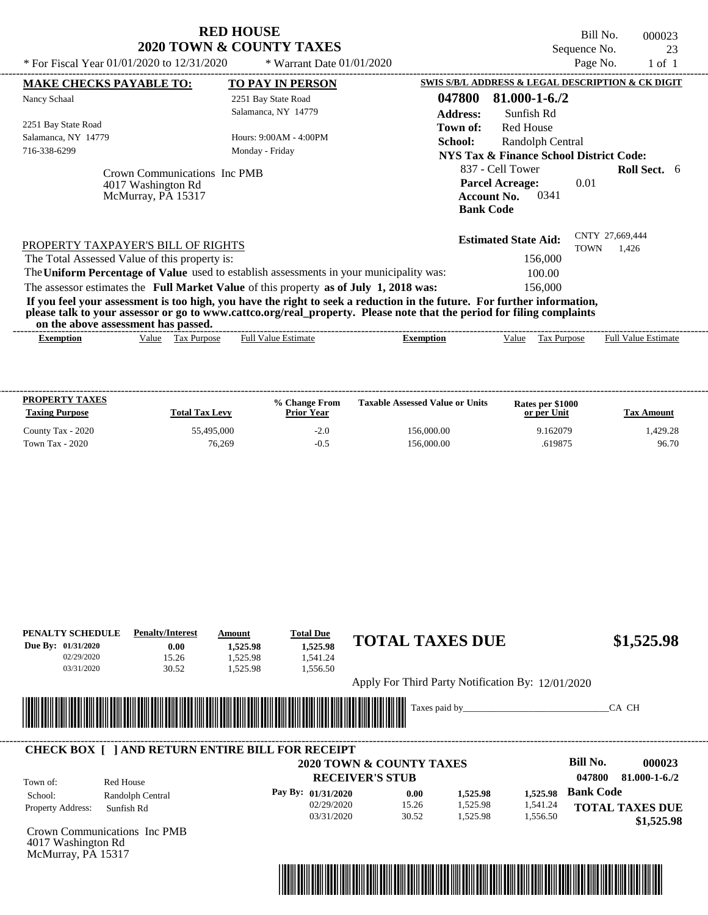|                                                                                         | <b>RED HOUSE</b>            | Bill No.<br>000023                                                                                                      |
|-----------------------------------------------------------------------------------------|-----------------------------|-------------------------------------------------------------------------------------------------------------------------|
|                                                                                         | 2020 TOWN & COUNTY TAXES    | Sequence No.<br>23                                                                                                      |
| * For Fiscal Year $01/01/2020$ to $12/31/2020$                                          | * Warrant Date $01/01/2020$ | Page No.<br>$1$ of $1$                                                                                                  |
| <u>MAKE CHECKS PAYABLE TO:</u>                                                          | <b>TO PAY IN PERSON</b>     | SWIS S/B/L ADDRESS & LEGAL DESCRIPTION & CK DIGIT                                                                       |
| Nancy Schaal                                                                            | 2251 Bay State Road         | 81.000-1-6./2<br>047800                                                                                                 |
|                                                                                         | Salamanca, NY 14779         | Sunfish Rd<br><b>Address:</b>                                                                                           |
| 2251 Bay State Road                                                                     |                             | <b>Red House</b><br>Town of:                                                                                            |
| Salamanca, NY 14779                                                                     | Hours: 9:00AM - 4:00PM      | School:<br>Randolph Central                                                                                             |
| 716-338-6299                                                                            | Monday - Friday             | <b>NYS Tax &amp; Finance School District Code:</b>                                                                      |
| Crown Communications Inc PMB                                                            |                             | 837 - Cell Tower<br><b>Roll Sect.</b> 6                                                                                 |
| 4017 Washington Rd                                                                      |                             | <b>Parcel Acreage:</b><br>0.01                                                                                          |
| McMurray, PA 15317                                                                      |                             | 0341<br>Account No.                                                                                                     |
|                                                                                         |                             | <b>Bank Code</b>                                                                                                        |
|                                                                                         |                             | CNTY 27,669,444<br><b>Estimated State Aid:</b>                                                                          |
| PROPERTY TAXPAYER'S BILL OF RIGHTS                                                      |                             | <b>TOWN</b><br>1.426                                                                                                    |
| The Total Assessed Value of this property is:                                           |                             | 156,000                                                                                                                 |
| The Uniform Percentage of Value used to establish assessments in your municipality was: |                             | 100.00                                                                                                                  |
| The assessor estimates the Full Market Value of this property as of July 1, 2018 was:   |                             | 156,000                                                                                                                 |
|                                                                                         |                             | If you feel your assessment is too high, you have the right to seek a reduction in the future. For further information, |
| on the above assessment has passed.                                                     |                             | please talk to your assessor or go to www.cattco.org/real_property. Please note that the period for filing complaints   |
| Tax Purpose<br>Value<br><b>Exemption</b>                                                | <b>Full Value Estimate</b>  | Full Value Estimate<br>Value<br>Tax Purpose<br><b>Exemption</b>                                                         |
|                                                                                         |                             |                                                                                                                         |

| <b>PROPERTY TAXES</b><br><b>Taxing Purpose</b> | <b>Total Tax Levy</b> | % Change From<br><b>Prior Year</b> | <b>Taxable Assessed Value or Units</b> | Rates per \$1000<br>or per Unit | Tax Amount |
|------------------------------------------------|-----------------------|------------------------------------|----------------------------------------|---------------------------------|------------|
| County Tax - 2020                              | 55,495,000            | $-2.0$                             | 156,000.00                             | 9.162079                        | .429.28    |
| Town Tax - 2020                                | 76.269                | $-0.5$                             | 156,000.00                             | .619875                         | 96.70      |

| <b>Penalty/Interest</b><br>PENALTY SCHEDULE | Amount                                                                          | <b>Total Due</b> |                        |                                                                                                                                     |                                                 |                                                   |
|---------------------------------------------|---------------------------------------------------------------------------------|------------------|------------------------|-------------------------------------------------------------------------------------------------------------------------------------|-------------------------------------------------|---------------------------------------------------|
| 0.00                                        | 1,525.98                                                                        | 1,525.98         | <b>TOTAL TAXES DUE</b> |                                                                                                                                     |                                                 | \$1,525.98                                        |
| 15.26                                       | 1,525.98                                                                        | 1,541.24         |                        |                                                                                                                                     |                                                 |                                                   |
| 30.52                                       | 1,525.98                                                                        | 1,556.50         |                        |                                                                                                                                     |                                                 |                                                   |
|                                             |                                                                                 |                  |                        |                                                                                                                                     |                                                 |                                                   |
|                                             |                                                                                 |                  |                        |                                                                                                                                     |                                                 | CA CH                                             |
|                                             |                                                                                 |                  |                        |                                                                                                                                     |                                                 |                                                   |
|                                             |                                                                                 |                  |                        |                                                                                                                                     |                                                 |                                                   |
|                                             |                                                                                 |                  |                        |                                                                                                                                     |                                                 | <b>Bill No.</b><br>000023                         |
|                                             |                                                                                 |                  |                        |                                                                                                                                     |                                                 | 047800<br>81.000-1-6./2                           |
|                                             |                                                                                 |                  | 0.00                   |                                                                                                                                     | 1,525.98                                        | <b>Bank Code</b>                                  |
|                                             |                                                                                 |                  | 15.26                  | 1,525.98                                                                                                                            | 1,541.24                                        | <b>TOTAL TAXES DUE</b>                            |
|                                             |                                                                                 |                  | 30.52                  | 1,525.98                                                                                                                            | 1,556.50                                        | \$1,525.98                                        |
| Crown Communications Inc PMB                |                                                                                 |                  |                        |                                                                                                                                     |                                                 |                                                   |
| 02/29/2020                                  | Due By: 01/31/2020<br>03/31/2020<br>Red House<br>Randolph Central<br>Sunfish Rd |                  | <u> Hillingan k</u>    | <b>CHECK BOX [ ] AND RETURN ENTIRE BILL FOR RECEIPT</b><br><b>RECEIVER'S STUB</b><br>Pay By: 01/31/2020<br>02/29/2020<br>03/31/2020 | <b>2020 TOWN &amp; COUNTY TAXES</b><br>1,525.98 | Apply For Third Party Notification By: 12/01/2020 |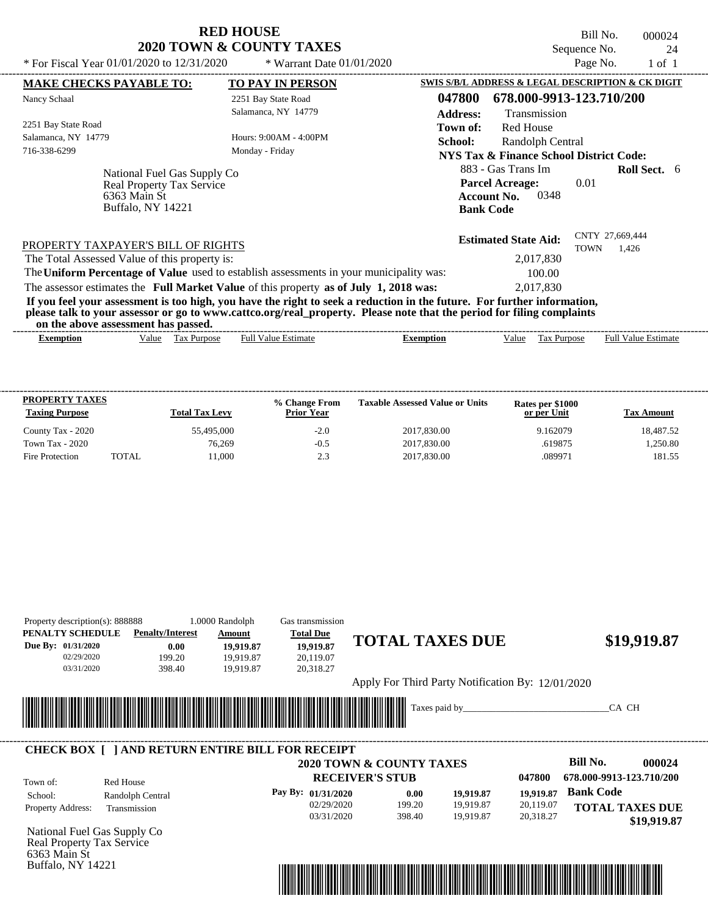| <b>RED HOUSE</b>                    |  |  |  |  |  |  |
|-------------------------------------|--|--|--|--|--|--|
| <b>2020 TOWN &amp; COUNTY TAXES</b> |  |  |  |  |  |  |

Bill No. 000024 Sequence No. 24

| * For Fiscal Year 01/01/2020 to 12/31/2020                                                                                             | * Warrant Date 01/01/2020                                                                                                                                                                                                                                                                                                                                                                                                            |                                           | Page No.                                                                                                                                                   | $1$ of $1$                 |
|----------------------------------------------------------------------------------------------------------------------------------------|--------------------------------------------------------------------------------------------------------------------------------------------------------------------------------------------------------------------------------------------------------------------------------------------------------------------------------------------------------------------------------------------------------------------------------------|-------------------------------------------|------------------------------------------------------------------------------------------------------------------------------------------------------------|----------------------------|
| <b>MAKE CHECKS PAYABLE TO:</b>                                                                                                         | <b>TO PAY IN PERSON</b>                                                                                                                                                                                                                                                                                                                                                                                                              |                                           | SWIS S/B/L ADDRESS & LEGAL DESCRIPTION & CK DIGIT                                                                                                          |                            |
| Nancy Schaal                                                                                                                           | 2251 Bay State Road<br>Salamanca, NY 14779                                                                                                                                                                                                                                                                                                                                                                                           | 047800<br><b>Address:</b>                 | 678.000-9913-123.710/200<br>Transmission                                                                                                                   |                            |
| 2251 Bay State Road<br>Salamanca, NY 14779<br>716-338-6299<br>National Fuel Gas Supply Co<br>Real Property Tax Service<br>6363 Main St | Hours: 9:00AM - 4:00PM<br>Monday - Friday                                                                                                                                                                                                                                                                                                                                                                                            | Town of:<br>School:<br><b>Account No.</b> | <b>Red House</b><br>Randolph Central<br><b>NYS Tax &amp; Finance School District Code:</b><br>883 - Gas Trans Im<br><b>Parcel Acreage:</b><br>0.01<br>0348 | <b>Roll Sect.</b> 6        |
| <b>Buffalo, NY 14221</b>                                                                                                               |                                                                                                                                                                                                                                                                                                                                                                                                                                      | <b>Bank Code</b>                          |                                                                                                                                                            |                            |
| PROPERTY TAXPAYER'S BILL OF RIGHTS<br>The Total Assessed Value of this property is:<br>on the above assessment has passed.             | The Uniform Percentage of Value used to establish assessments in your municipality was:<br>The assessor estimates the Full Market Value of this property as of July 1, 2018 was:<br>If you feel your assessment is too high, you have the right to seek a reduction in the future. For further information,<br>please talk to your assessor or go to www.cattco.org/real_property. Please note that the period for filing complaints |                                           | <b>Estimated State Aid:</b><br><b>TOWN</b><br>2,017,830<br>100.00<br>2,017,830                                                                             | CNTY 27,669,444<br>1,426   |
| Value Tax Purpose<br><b>Exemption</b>                                                                                                  | Full Value Estimate                                                                                                                                                                                                                                                                                                                                                                                                                  | <b>Exemption</b>                          | Tax Purpose<br>Value                                                                                                                                       | <b>Full Value Estimate</b> |
|                                                                                                                                        |                                                                                                                                                                                                                                                                                                                                                                                                                                      |                                           |                                                                                                                                                            |                            |
| PROPERTY TAXES<br><b>Taxing Purpose</b>                                                                                                | % Change From<br><b>Total Tax Levy</b><br><b>Prior Year</b>                                                                                                                                                                                                                                                                                                                                                                          | <b>Taxable Assessed Value or Units</b>    | Rates per \$1000<br>or per Unit                                                                                                                            | <b>Tax Amount</b>          |
| County Tax - 2020                                                                                                                      | 55,495,000<br>$-2.0$                                                                                                                                                                                                                                                                                                                                                                                                                 | 2017,830.00                               | 9.162079                                                                                                                                                   | 18,487.52                  |

Town Tax - 2020 76,269 76,269 -0.5 2017,830.00 .619875 .619875 1,250.80 Fire Protection TOTAL 11,000 2.3 2017,830.00 089971 181.55

| Property description(s): 888888                         |                                  |                         | 1.0000 Randolph | Gas transmission                                                                                                    |                                                   |           |           |                          |                        |
|---------------------------------------------------------|----------------------------------|-------------------------|-----------------|---------------------------------------------------------------------------------------------------------------------|---------------------------------------------------|-----------|-----------|--------------------------|------------------------|
| PENALTY SCHEDULE                                        |                                  | <b>Penalty/Interest</b> | Amount          | <b>Total Due</b>                                                                                                    |                                                   |           |           |                          |                        |
| Due By: 01/31/2020                                      |                                  | 0.00                    | 19.919.87       | 19.919.87                                                                                                           | <b>TOTAL TAXES DUE</b>                            |           |           |                          | \$19,919.87            |
| 02/29/2020                                              |                                  | 199.20                  | 19.919.87       | 20,119.07                                                                                                           |                                                   |           |           |                          |                        |
| 03/31/2020                                              |                                  | 398.40                  | 19.919.87       | 20,318.27                                                                                                           |                                                   |           |           |                          |                        |
|                                                         |                                  |                         |                 |                                                                                                                     | Apply For Third Party Notification By: 12/01/2020 |           |           |                          |                        |
|                                                         |                                  |                         |                 |                                                                                                                     | Taxes paid by                                     |           |           |                          | CA CH                  |
|                                                         |                                  |                         |                 |                                                                                                                     |                                                   |           |           |                          |                        |
|                                                         |                                  |                         |                 |                                                                                                                     |                                                   |           |           |                          |                        |
| <b>III</b> III                                          |                                  |                         |                 | <u> Andrew Maria (Andrew Maria (Andrew Maria (Andrew Maria (Andrew Maria (Andrew Maria (Andrew Maria (Andrew Ma</u> |                                                   |           |           |                          |                        |
|                                                         |                                  |                         |                 |                                                                                                                     |                                                   |           |           |                          |                        |
| <b>CHECK BOX     AND RETURN ENTIRE BILL FOR RECEIPT</b> |                                  |                         |                 |                                                                                                                     | <b>2020 TOWN &amp; COUNTY TAXES</b>               |           |           | <b>Bill No.</b>          | 000024                 |
|                                                         |                                  |                         |                 |                                                                                                                     | <b>RECEIVER'S STUB</b>                            |           | 047800    | 678.000-9913-123.710/200 |                        |
| Town of:<br>School:                                     | Red House                        |                         |                 | Pay By: $01/31/2020$                                                                                                | 0.00                                              | 19,919.87 | 19,919.87 | <b>Bank Code</b>         |                        |
| Property Address:                                       | Randolph Central<br>Transmission |                         |                 | 02/29/2020                                                                                                          | 199.20                                            | 19,919.87 | 20,119.07 |                          | <b>TOTAL TAXES DUE</b> |

National Fuel Gas Supply Co Real Property Tax Service 6363 Main St Buffalo, NY 14221

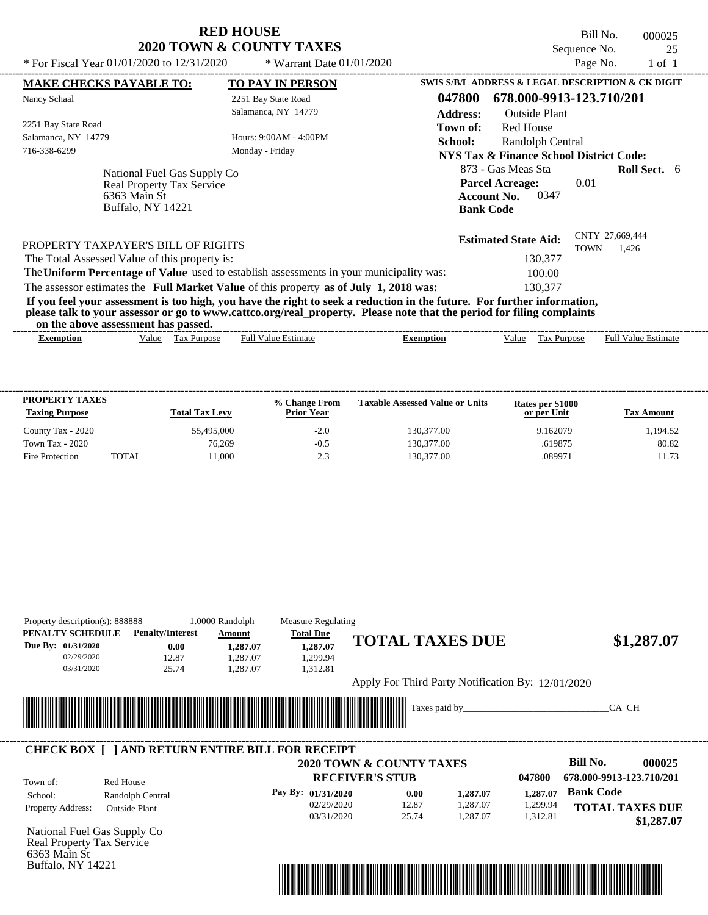| <b>RED HOUSE</b>                    |  |  |  |  |  |  |  |
|-------------------------------------|--|--|--|--|--|--|--|
| <b>2020 TOWN &amp; COUNTY TAXES</b> |  |  |  |  |  |  |  |

Bill No. 000025 Sequence No. 25<br>Page No. 25<br>1 of 1 \* For Fiscal Year  $01/01/2020$  to  $12/31/2020$  \* Warrant Date  $01/01/2020$  Page No. 1 of 1

| <b>MAKE CHECKS PAYABLE TO:</b><br>Nancy Schaal                                                                                                                                                                                                                                          | <b>TO PAY IN PERSON</b><br>2251 Bay State Road | 047800           | SWIS S/B/L ADDRESS & LEGAL DESCRIPTION & CK DIGIT<br>678.000-9913-123.710/201                  |             |                            |  |
|-----------------------------------------------------------------------------------------------------------------------------------------------------------------------------------------------------------------------------------------------------------------------------------------|------------------------------------------------|------------------|------------------------------------------------------------------------------------------------|-------------|----------------------------|--|
|                                                                                                                                                                                                                                                                                         |                                                |                  |                                                                                                |             |                            |  |
|                                                                                                                                                                                                                                                                                         |                                                |                  |                                                                                                |             |                            |  |
|                                                                                                                                                                                                                                                                                         | Salamanca, NY 14779                            | <b>Address:</b>  | <b>Outside Plant</b>                                                                           |             |                            |  |
| 2251 Bay State Road                                                                                                                                                                                                                                                                     |                                                | Town of:         | <b>Red House</b>                                                                               |             |                            |  |
| Salamanca, NY 14779<br>716-338-6299                                                                                                                                                                                                                                                     | Hours: 9:00AM - 4:00PM                         | School:          | Randolph Central                                                                               |             |                            |  |
|                                                                                                                                                                                                                                                                                         | Monday - Friday                                |                  | <b>NYS Tax &amp; Finance School District Code:</b>                                             |             |                            |  |
| National Fuel Gas Supply Co<br>Real Property Tax Service<br>6363 Main St<br><b>Buffalo, NY 14221</b>                                                                                                                                                                                    |                                                |                  | 873 - Gas Meas Sta<br><b>Parcel Acreage:</b><br>0347<br><b>Account No.</b><br><b>Bank Code</b> | 0.01        | <b>Roll Sect.</b> 6        |  |
| PROPERTY TAXPAYER'S BILL OF RIGHTS<br>The Total Assessed Value of this property is:                                                                                                                                                                                                     |                                                |                  | <b>Estimated State Aid:</b><br>130,377                                                         | <b>TOWN</b> | CNTY 27,669,444<br>1,426   |  |
| The Uniform Percentage of Value used to establish assessments in your municipality was:                                                                                                                                                                                                 |                                                |                  | 100.00                                                                                         |             |                            |  |
| The assessor estimates the Full Market Value of this property as of July 1, 2018 was:                                                                                                                                                                                                   |                                                |                  | 130,377                                                                                        |             |                            |  |
| If you feel your assessment is too high, you have the right to seek a reduction in the future. For further information,<br>please talk to your assessor or go to www.cattco.org/real_property. Please note that the period for filing complaints<br>on the above assessment has passed. |                                                |                  |                                                                                                |             |                            |  |
| Value Tax Purpose<br><b>Exemption</b>                                                                                                                                                                                                                                                   | <b>Full Value Estimate</b>                     | <b>Exemption</b> | Tax Purpose<br>Value                                                                           |             | <b>Full Value Estimate</b> |  |
|                                                                                                                                                                                                                                                                                         |                                                |                  |                                                                                                |             |                            |  |

| I NUI ENTITAAE O<br><b>Taxing Purpose</b> |       | <b>Total Tax Levy</b> | % Change From<br><b>Prior Year</b> | <b>Taxable Assessed Value or Units</b> | Rates per \$1000<br>or per Unit | Tax Amount |
|-------------------------------------------|-------|-----------------------|------------------------------------|----------------------------------------|---------------------------------|------------|
| County Tax - 2020                         |       | 55,495,000            | $-2.0$                             | 130,377.00                             | 9.162079                        | 1.194.52   |
| <b>Town Tax - 2020</b>                    |       | 76.269                | -0.5                               | 130.377.00                             | .619875                         | 80.82      |
| <b>Fire Protection</b>                    | TOTAL | 11.000                | 2.3                                | 130.377.00                             | .089971                         | 11.73      |
|                                           |       |                       |                                    |                                        |                                 |            |

| Property description(s): 888888                        |                               |       |                                                      |                    |                                                   |          |          |                          |            |
|--------------------------------------------------------|-------------------------------|-------|------------------------------------------------------|--------------------|---------------------------------------------------|----------|----------|--------------------------|------------|
| PENALTY SCHEDULE                                       | <b>Penalty/Interest</b>       |       | Amount                                               | <b>Total Due</b>   | <b>TOTAL TAXES DUE</b>                            |          |          |                          |            |
| Due By: 01/31/2020                                     |                               | 0.00  | 1,287.07                                             | 1,287.07           |                                                   |          |          |                          | \$1,287.07 |
| 02/29/2020                                             |                               | 12.87 | 1,287.07                                             | 1,299.94           |                                                   |          |          |                          |            |
| 03/31/2020                                             |                               | 25.74 | 1.287.07                                             | 1,312.81           |                                                   |          |          |                          |            |
|                                                        |                               |       |                                                      |                    | Apply For Third Party Notification By: 12/01/2020 |          |          |                          |            |
|                                                        |                               |       |                                                      |                    |                                                   |          |          |                          |            |
| <b>III</b> III                                         |                               |       | <u> 1989 - Johann Stoff, Amerikaansk politiker (</u> |                    |                                                   |          |          | CA CH                    |            |
|                                                        |                               |       |                                                      |                    |                                                   |          |          |                          |            |
|                                                        |                               |       |                                                      |                    |                                                   |          |          |                          |            |
|                                                        |                               |       |                                                      |                    |                                                   |          |          |                          |            |
|                                                        |                               |       |                                                      |                    |                                                   |          |          |                          |            |
| <b>CHECK BOX   JAND RETURN ENTIRE BILL FOR RECEIPT</b> |                               |       |                                                      |                    | <b>2020 TOWN &amp; COUNTY TAXES</b>               |          |          | <b>Bill No.</b>          | 000025     |
|                                                        |                               |       |                                                      |                    | <b>RECEIVER'S STUB</b>                            |          | 047800   | 678.000-9913-123.710/201 |            |
| Town of:<br>School:                                    | Red House<br>Randolph Central |       |                                                      | Pay By: 01/31/2020 | 0.00                                              | 1,287.07 | 1,287.07 | <b>Bank Code</b>         |            |
| Property Address:                                      | <b>Outside Plant</b>          |       |                                                      | 02/29/2020         | 12.87                                             | 1,287.07 | 1,299.94 | <b>TOTAL TAXES DUE</b>   |            |

6363 Main St Buffalo, NY 14221

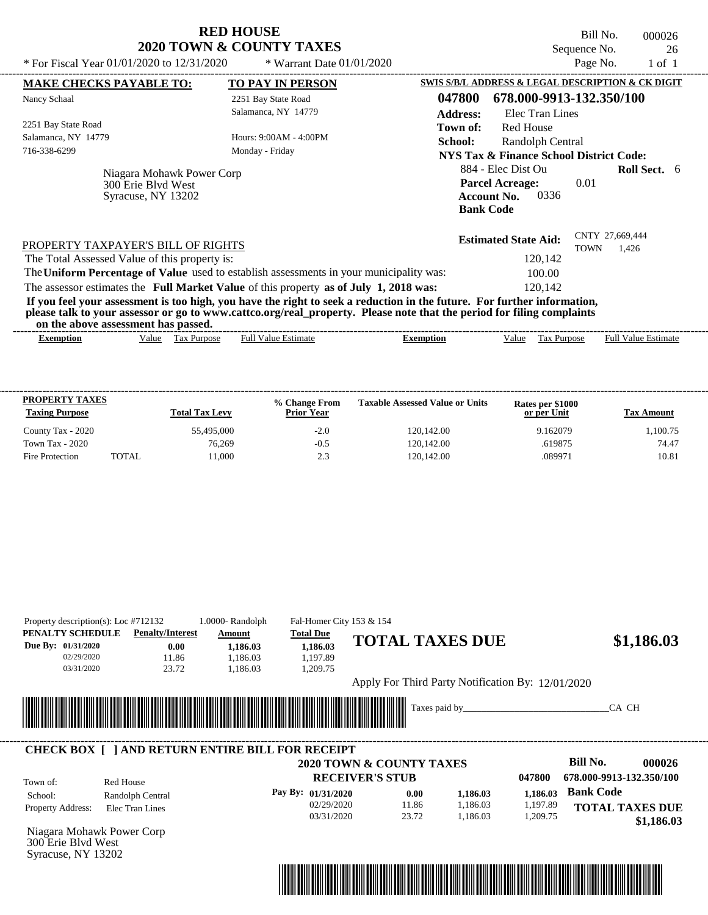|                                                                                         | RED IRZUƏL<br>2020 TOWN & COUNTY TAXES |                                                                                                                                                                                                                                                  | Bill No.                                | 000026                     |
|-----------------------------------------------------------------------------------------|----------------------------------------|--------------------------------------------------------------------------------------------------------------------------------------------------------------------------------------------------------------------------------------------------|-----------------------------------------|----------------------------|
|                                                                                         |                                        | Sequence No.                                                                                                                                                                                                                                     | 26                                      |                            |
| * For Fiscal Year $01/01/2020$ to $12/31/2020$                                          | * Warrant Date $01/01/2020$            |                                                                                                                                                                                                                                                  | Page No.                                | $1$ of $1$                 |
| <b>MAKE CHECKS PAYABLE TO:</b>                                                          | <b>TO PAY IN PERSON</b>                | SWIS S/B/L ADDRESS & LEGAL DESCRIPTION & CK DIGIT                                                                                                                                                                                                |                                         |                            |
| Nancy Schaal                                                                            | 2251 Bay State Road                    | 678.000-9913-132.350/100<br>047800                                                                                                                                                                                                               |                                         |                            |
|                                                                                         | Salamanca, NY 14779                    | Elec Tran Lines<br><b>Address:</b>                                                                                                                                                                                                               |                                         |                            |
| 2251 Bay State Road                                                                     |                                        | <b>Red House</b><br>Town of:                                                                                                                                                                                                                     |                                         |                            |
| Salamanca, NY 14779                                                                     | Hours: 9:00AM - 4:00PM                 | School:<br>Randolph Central                                                                                                                                                                                                                      |                                         |                            |
| 716-338-6299                                                                            | Monday - Friday                        | NYS Tax & Finance School District Code:                                                                                                                                                                                                          |                                         |                            |
| Niagara Mohawk Power Corp<br>300 Erie Blyd West<br>Syracuse, NY 13202                   |                                        | 884 - Elec Dist Ou<br><b>Parcel Acreage:</b><br>0336<br><b>Account No.</b><br><b>Bank Code</b>                                                                                                                                                   | 0.01                                    | <b>Roll Sect.</b> 6        |
| PROPERTY TAXPAYER'S BILL OF RIGHTS                                                      |                                        | <b>Estimated State Aid:</b>                                                                                                                                                                                                                      | CNTY 27,669,444<br><b>TOWN</b><br>1.426 |                            |
| The Total Assessed Value of this property is:                                           |                                        | 120,142                                                                                                                                                                                                                                          |                                         |                            |
| The Uniform Percentage of Value used to establish assessments in your municipality was: |                                        | 100.00                                                                                                                                                                                                                                           |                                         |                            |
| The assessor estimates the Full Market Value of this property as of July 1, 2018 was:   |                                        | 120,142                                                                                                                                                                                                                                          |                                         |                            |
|                                                                                         |                                        | If you feel your assessment is too high, you have the right to seek a reduction in the future. For further information,<br>please talk to your assessor or go to www.cattco.org/real_property. Please note that the period for filing complaints |                                         |                            |
| on the above assessment has passed.                                                     |                                        |                                                                                                                                                                                                                                                  |                                         |                            |
| Value Tax Purpose<br><b>Exemption</b>                                                   | <b>Full Value Estimate</b>             | <b>Exemption</b><br>Tax Purpose<br>Value                                                                                                                                                                                                         |                                         | <b>Full Value Estimate</b> |

| <b>PROPERTY TAXES</b><br><b>Taxing Purpose</b> |       | <b>Total Tax Levy</b> | % Change From<br><b>Prior Year</b> | <b>Taxable Assessed Value or Units</b> | Rates per \$1000<br>or per Unit | Tax Amount |
|------------------------------------------------|-------|-----------------------|------------------------------------|----------------------------------------|---------------------------------|------------|
| County Tax - 2020                              |       | 55,495,000            | $-2.0$                             | 120.142.00                             | 9.162079                        | 1.100.75   |
| Town Tax - 2020                                |       | 76.269                | $-0.5$                             | 120,142.00                             | .619875                         | 74.47      |
| Fire Protection                                | TOTAL | 11.000                | 2.3                                | 120.142.00                             | .089971                         | 10.81      |

| PENALTY SCHEDULE<br>Due By: 01/31/2020<br>02/29/2020<br>03/31/2020 | <b>Penalty/Interest</b><br>0.00<br>11.86<br>23.72       | Amount<br>1,186.03<br>1,186.03<br>1,186.03 | <b>Total Due</b><br>1,186.03<br>1,197.89<br>1,209.75 | <b>TOTAL TAXES DUE</b>                            |                      |                      | \$1,186.03                           |
|--------------------------------------------------------------------|---------------------------------------------------------|--------------------------------------------|------------------------------------------------------|---------------------------------------------------|----------------------|----------------------|--------------------------------------|
|                                                                    |                                                         |                                            |                                                      | Apply For Third Party Notification By: 12/01/2020 |                      |                      |                                      |
|                                                                    |                                                         |                                            |                                                      | <u> Hill Milligan</u><br>Taxes paid by_           |                      |                      | CA CH                                |
|                                                                    |                                                         |                                            |                                                      |                                                   |                      |                      |                                      |
|                                                                    | <b>CHECK BOX [ ] AND RETURN ENTIRE BILL FOR RECEIPT</b> |                                            |                                                      |                                                   |                      |                      | Bill No.                             |
|                                                                    |                                                         |                                            | <b>RECEIVER'S STUB</b>                               | <b>2020 TOWN &amp; COUNTY TAXES</b>               |                      | 047800               | 000026<br>678.000-9913-132.350/100   |
| School:                                                            | Red House<br>Randolph Central                           |                                            | Pay By: 01/31/2020                                   | 0.00                                              | 1,186.03             | 1,186.03             | <b>Bank Code</b>                     |
| Town of:<br>Property Address:                                      | Elec Tran Lines                                         |                                            | 02/29/2020<br>03/31/2020                             | 11.86<br>23.72                                    | 1,186.03<br>1,186.03 | 1,197.89<br>1,209.75 | <b>TOTAL TAXES DUE</b><br>\$1,186.03 |



# **RED HOUSE**

Bill No. 000026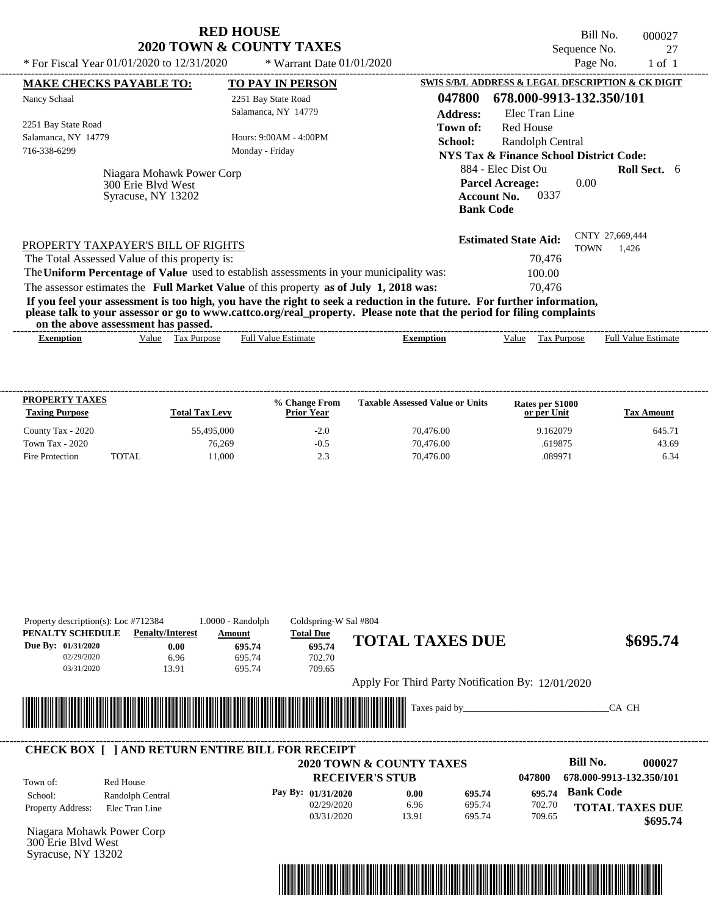| KED HOUSE<br><b>2020 TOWN &amp; COUNTY TAXES</b>                      | Bill No.<br>000027<br>Sequence No.<br>27                                                                                      |                                                                                                                                                                                                                                                  |
|-----------------------------------------------------------------------|-------------------------------------------------------------------------------------------------------------------------------|--------------------------------------------------------------------------------------------------------------------------------------------------------------------------------------------------------------------------------------------------|
| * For Fiscal Year $01/01/2020$ to $12/31/2020$                        | * Warrant Date $01/01/2020$                                                                                                   | Page No.<br>$1$ of $1$                                                                                                                                                                                                                           |
| <b>MAKE CHECKS PAYABLE TO:</b>                                        | <b>TO PAY IN PERSON</b>                                                                                                       | SWIS S/B/L ADDRESS & LEGAL DESCRIPTION & CK DIGIT                                                                                                                                                                                                |
| Nancy Schaal                                                          | 2251 Bay State Road                                                                                                           | 678.000-9913-132.350/101<br>047800                                                                                                                                                                                                               |
|                                                                       | Salamanca, NY 14779                                                                                                           | <b>Address:</b><br>Elec Tran Line                                                                                                                                                                                                                |
| 2251 Bay State Road<br>Salamanca, NY 14779<br>716-338-6299            | Hours: 9:00AM - 4:00PM<br>Monday - Friday                                                                                     | Town of:<br>Red House<br>School:<br>Randolph Central<br><b>NYS Tax &amp; Finance School District Code:</b>                                                                                                                                       |
| Niagara Mohawk Power Corp<br>300 Erie Blyd West<br>Syracuse, NY 13202 | 884 - Elec Dist Ou<br><b>Roll Sect.</b> 6<br><b>Parcel Acreage:</b><br>0.00<br>0337<br><b>Account No.</b><br><b>Bank Code</b> |                                                                                                                                                                                                                                                  |
| PROPERTY TAXPAYER'S BILL OF RIGHTS                                    |                                                                                                                               | CNTY 27,669,444<br><b>Estimated State Aid:</b><br><b>TOWN</b><br>1,426                                                                                                                                                                           |
| The Total Assessed Value of this property is:                         |                                                                                                                               | 70,476                                                                                                                                                                                                                                           |
|                                                                       | The Uniform Percentage of Value used to establish assessments in your municipality was:                                       | 100.00                                                                                                                                                                                                                                           |
|                                                                       | The assessor estimates the Full Market Value of this property as of July 1, 2018 was:                                         | 70,476                                                                                                                                                                                                                                           |
| on the above assessment has passed.                                   |                                                                                                                               | If you feel your assessment is too high, you have the right to seek a reduction in the future. For further information,<br>please talk to your assessor or go to www.cattco.org/real_property. Please note that the period for filing complaints |

**RED HOUSE** 

| ww<br>. азэсээнісні наз базэса.                                                                                                 |          |
|---------------------------------------------------------------------------------------------------------------------------------|----------|
| -<br>Full $V$<br>√alue<br>'alue<br>Estimate<br><b>Purpose</b><br>lax<br>, alue<br>Ful<br><b>Purpose</b><br>Exemption<br>emption | Estimate |

| <b>PROPERTY TAXES</b><br><b>Taxing Purpose</b> |       | <b>Total Tax Levy</b> | % Change From<br><b>Prior Year</b> | <b>Taxable Assessed Value or Units</b> | Rates per \$1000<br>or per Unit | <b>Tax Amount</b> |
|------------------------------------------------|-------|-----------------------|------------------------------------|----------------------------------------|---------------------------------|-------------------|
| County Tax - 2020                              |       | 55,495,000            | $-2.0$                             | 70.476.00                              | 9.162079                        | 645.71            |
| Town Tax - 2020                                |       | 76.269                | $-0.5$                             | 70,476.00                              | .619875                         | 43.69             |
| Fire Protection                                | TOTAL | 11.000                | 2.3                                | 70,476.00                              | .089971                         | 6.34              |

| PENALTY SCHEDULE   | <b>Penalty/Interest</b>                                | Amount | <b>Total Due</b>         |                                                   |                  |                  |                          |                        |
|--------------------|--------------------------------------------------------|--------|--------------------------|---------------------------------------------------|------------------|------------------|--------------------------|------------------------|
| Due By: 01/31/2020 | 0.00                                                   | 695.74 | 695.74                   | <b>TOTAL TAXES DUE</b>                            |                  |                  |                          | \$695.74               |
| 02/29/2020         | 6.96                                                   | 695.74 | 702.70                   |                                                   |                  |                  |                          |                        |
| 03/31/2020         | 13.91                                                  | 695.74 | 709.65                   |                                                   |                  |                  |                          |                        |
|                    |                                                        |        |                          | Apply For Third Party Notification By: 12/01/2020 |                  |                  |                          |                        |
|                    |                                                        |        |                          | ⊪                                                 |                  |                  |                          |                        |
|                    |                                                        |        |                          |                                                   |                  |                  |                          |                        |
|                    |                                                        |        |                          | Taxes paid by                                     |                  |                  |                          | CA CH                  |
|                    |                                                        |        |                          |                                                   |                  |                  |                          |                        |
|                    |                                                        |        |                          |                                                   |                  |                  |                          |                        |
|                    | <b>CHECK BOX   JAND RETURN ENTIRE BILL FOR RECEIPT</b> |        |                          |                                                   |                  |                  | Bill No.                 | 000027                 |
|                    |                                                        |        |                          | <b>2020 TOWN &amp; COUNTY TAXES</b>               |                  |                  |                          |                        |
| Town of:           | Red House                                              |        |                          | <b>RECEIVER'S STUB</b>                            |                  | 047800           | 678.000-9913-132.350/101 |                        |
| School:            | Randolph Central                                       |        | Pay By: 01/31/2020       | 0.00                                              | 695.74           | 695.74           | <b>Bank Code</b>         |                        |
| Property Address:  | Elec Tran Line                                         |        | 02/29/2020<br>03/31/2020 | 6.96<br>13.91                                     | 695.74<br>695.74 | 702.70<br>709.65 |                          | <b>TOTAL TAXES DUE</b> |

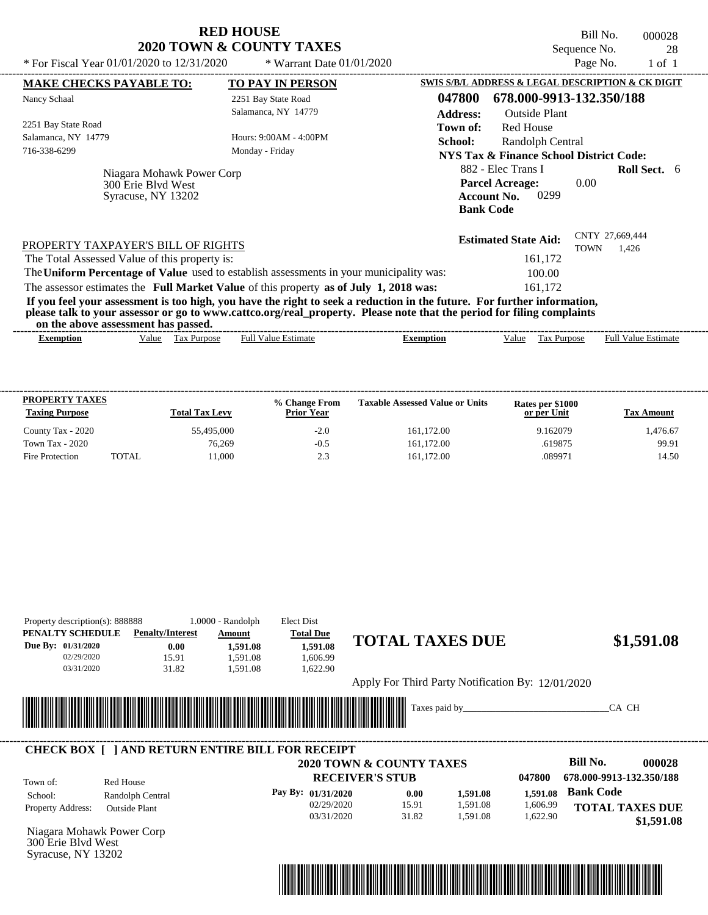| * For Fiscal Year 01/01/2020 to 12/31/2020                                          | <b>RED HOUSE</b><br><b>2020 TOWN &amp; COUNTY TAXES</b><br>* Warrant Date $01/01/2020$                                | Bill No.<br>000028<br>Sequence No.<br>28<br>Page No.<br>$1$ of $1$                                                            |
|-------------------------------------------------------------------------------------|-----------------------------------------------------------------------------------------------------------------------|-------------------------------------------------------------------------------------------------------------------------------|
| <b>MAKE CHECKS PAYABLE TO:</b>                                                      | <b>TO PAY IN PERSON</b>                                                                                               | <b>SWIS S/B/L ADDRESS &amp; LEGAL DESCRIPTION &amp; CK DIGIT</b>                                                              |
| Nancy Schaal                                                                        | 2251 Bay State Road                                                                                                   | 678.000-9913-132.350/188<br>047800                                                                                            |
|                                                                                     | Salamanca, NY 14779                                                                                                   | <b>Address:</b><br><b>Outside Plant</b>                                                                                       |
| 2251 Bay State Road                                                                 |                                                                                                                       | <b>Red House</b><br>Town of:                                                                                                  |
| Salamanca, NY 14779                                                                 | Hours: $9:00AM - 4:00PM$                                                                                              | School:<br>Randolph Central                                                                                                   |
| 716-338-6299                                                                        | Monday - Friday                                                                                                       | <b>NYS Tax &amp; Finance School District Code:</b>                                                                            |
| Niagara Mohawk Power Corp<br>300 Erie Blyd West<br>Syracuse, NY 13202               |                                                                                                                       | 882 - Elec Trans I<br><b>Roll Sect.</b> 6<br><b>Parcel Acreage:</b><br>0.00<br>0299<br><b>Account No.</b><br><b>Bank Code</b> |
| PROPERTY TAXPAYER'S BILL OF RIGHTS<br>The Total Assessed Value of this property is: |                                                                                                                       | CNTY 27,669,444<br><b>Estimated State Aid:</b><br><b>TOWN</b><br>1,426<br>161,172                                             |
|                                                                                     | The Uniform Percentage of Value used to establish assessments in your municipality was:                               | 100.00                                                                                                                        |
|                                                                                     | The assessor estimates the Full Market Value of this property as of July 1, 2018 was:                                 | 161,172                                                                                                                       |
| on the above assessment has passed.                                                 | please talk to your assessor or go to www.cattco.org/real_property. Please note that the period for filing complaints | If you feel your assessment is too high, you have the right to seek a reduction in the future. For further information,       |

| - Full <sup>V</sup><br>√alue<br>alue<br>Estimate<br><b>Estimate</b><br><b>Purpose</b><br>lax<br>alu⁄<br>Purpose<br>Ful<br>Exemption<br>$\Box$ xemption<br>__ |
|--------------------------------------------------------------------------------------------------------------------------------------------------------------|
|                                                                                                                                                              |

| <b>PROPERTY TAXES</b><br><b>Taxing Purpose</b> |              | <b>Total Tax Levy</b> | % Change From<br><b>Prior Year</b> | <b>Taxable Assessed Value or Units</b> | Rates per \$1000<br>or per Unit | <b>Tax Amount</b> |
|------------------------------------------------|--------------|-----------------------|------------------------------------|----------------------------------------|---------------------------------|-------------------|
| County Tax - 2020                              |              | 55,495,000            | $-2.0$                             | 161.172.00                             | 9.162079                        | 1.476.67          |
| Town Tax - 2020                                |              | 76.269                | $-0.5$                             | 161.172.00                             | .619875                         | 99.91             |
| Fire Protection                                | <b>TOTAL</b> | 11.000                | 2.3                                | 161.172.00                             | .089971                         | 14.50             |

|                                          | Property description(s): 888888                         | $1.0000 - Random$                                             | Elect Dist         |                                                   |               |          |                                      |
|------------------------------------------|---------------------------------------------------------|---------------------------------------------------------------|--------------------|---------------------------------------------------|---------------|----------|--------------------------------------|
| PENALTY SCHEDULE                         | <b>Penalty/Interest</b>                                 | Amount                                                        | <b>Total Due</b>   |                                                   |               |          |                                      |
| Due By: 01/31/2020                       | 0.00                                                    | 1,591.08                                                      | 1,591.08           | <b>TOTAL TAXES DUE</b>                            |               |          | \$1,591.08                           |
| 02/29/2020                               | 15.91                                                   | 1,591.08                                                      | 1,606.99           |                                                   |               |          |                                      |
| 03/31/2020                               | 31.82                                                   | 1,591.08                                                      | 1,622.90           |                                                   |               |          |                                      |
|                                          |                                                         |                                                               |                    | Apply For Third Party Notification By: 12/01/2020 |               |          |                                      |
|                                          |                                                         |                                                               |                    |                                                   |               |          |                                      |
|                                          |                                                         | <u> 1989 - Andrea Stadt British, fransk politik (d. 1989)</u> |                    |                                                   | Taxes paid by |          | CA CH                                |
|                                          |                                                         |                                                               |                    |                                                   |               |          |                                      |
|                                          |                                                         |                                                               |                    |                                                   |               |          |                                      |
|                                          |                                                         |                                                               |                    |                                                   |               |          |                                      |
|                                          |                                                         |                                                               |                    |                                                   |               |          |                                      |
|                                          | <b>CHECK BOX     AND RETURN ENTIRE BILL FOR RECEIPT</b> |                                                               |                    |                                                   |               |          | <b>Bill No.</b><br>000028            |
|                                          |                                                         |                                                               |                    | <b>2020 TOWN &amp; COUNTY TAXES</b>               |               |          |                                      |
|                                          | Red House                                               |                                                               |                    | <b>RECEIVER'S STUB</b>                            |               | 047800   | 678.000-9913-132.350/188             |
| Town of:<br>School:                      | Randolph Central                                        |                                                               | Pay By: 01/31/2020 | 0.00                                              | 1,591.08      | 1.591.08 | <b>Bank Code</b>                     |
| Property Address:                        | <b>Outside Plant</b>                                    |                                                               | 02/29/2020         | 15.91                                             | 1,591.08      | 1,606.99 |                                      |
|                                          |                                                         |                                                               | 03/31/2020         | 31.82                                             | 1,591.08      | 1,622.90 |                                      |
|                                          |                                                         |                                                               |                    |                                                   |               |          |                                      |
| Niagara Mohawk Power Corp                |                                                         |                                                               |                    |                                                   |               |          | <b>TOTAL TAXES DUE</b><br>\$1,591.08 |
| 300 Erie Blvd West<br>Syracuse, NY 13202 |                                                         |                                                               |                    |                                                   |               |          |                                      |

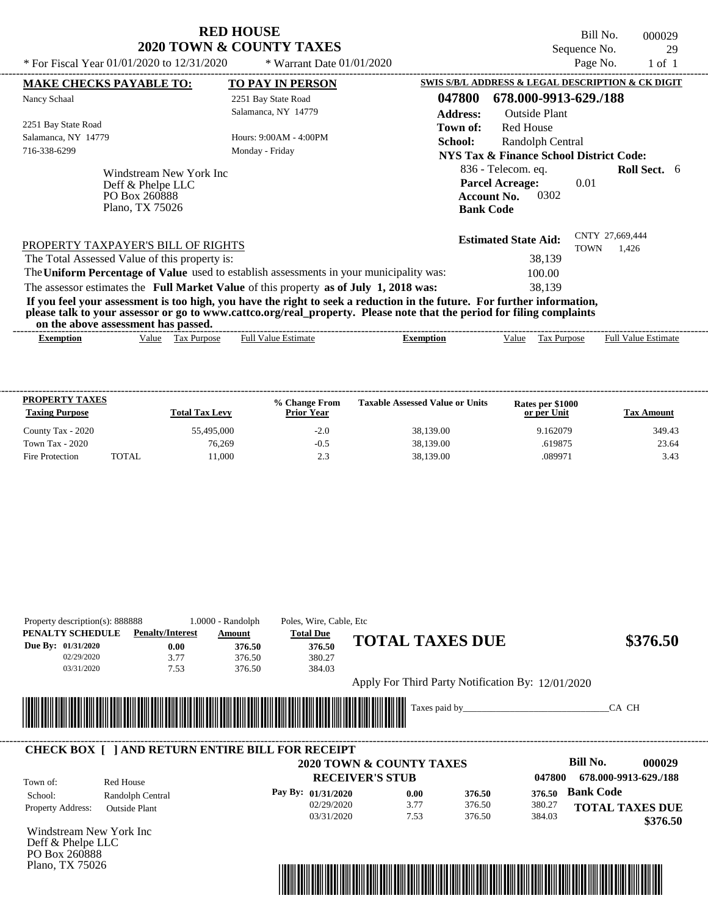| <b>RED HOUSE</b>                    |  |  |  |  |  |
|-------------------------------------|--|--|--|--|--|
| <b>2020 TOWN &amp; COUNTY TAXES</b> |  |  |  |  |  |

Bill No. 000029 Sequence No. 29<br>Page No. 29<br>Page No. 1 of 1

| * For Fiscal Year 01/01/2020 to 12/31/2020            | * Warrant Date $01/01/2020$                                                                                                                                                                                                                      |                 |                                                                          | Page No.    | $1$ of $1$               |  |
|-------------------------------------------------------|--------------------------------------------------------------------------------------------------------------------------------------------------------------------------------------------------------------------------------------------------|-----------------|--------------------------------------------------------------------------|-------------|--------------------------|--|
| <b>MAKE CHECKS PAYABLE TO:</b>                        | <b>TO PAY IN PERSON</b>                                                                                                                                                                                                                          |                 | <b>SWIS S/B/L ADDRESS &amp; LEGAL DESCRIPTION &amp; CK DIGIT</b>         |             |                          |  |
| Nancy Schaal                                          | 2251 Bay State Road                                                                                                                                                                                                                              | 047800          | 678.000-9913-629./188                                                    |             |                          |  |
|                                                       | Salamanca, NY 14779                                                                                                                                                                                                                              | <b>Address:</b> | <b>Outside Plant</b>                                                     |             |                          |  |
| 2251 Bay State Road                                   |                                                                                                                                                                                                                                                  | Town of:        | <b>Red House</b>                                                         |             |                          |  |
| Salamanca, NY 14779                                   | Hours: 9:00AM - 4:00PM                                                                                                                                                                                                                           | School:         | Randolph Central                                                         |             |                          |  |
| 716-338-6299                                          | Monday - Friday                                                                                                                                                                                                                                  |                 | NYS Tax & Finance School District Code:                                  |             |                          |  |
| Windstream New York Inc.                              |                                                                                                                                                                                                                                                  |                 | 836 - Telecom. eq.                                                       |             | <b>Roll Sect.</b> 6      |  |
| Deff & Phelpe LLC<br>PO Box 260888<br>Plano, TX 75026 |                                                                                                                                                                                                                                                  |                 | <b>Parcel Acreage:</b><br>0302<br><b>Account No.</b><br><b>Bank Code</b> | 0.01        |                          |  |
| PROPERTY TAXPAYER'S BILL OF RIGHTS                    |                                                                                                                                                                                                                                                  |                 | <b>Estimated State Aid:</b>                                              | <b>TOWN</b> | CNTY 27,669,444<br>1.426 |  |
| The Total Assessed Value of this property is:         |                                                                                                                                                                                                                                                  |                 | 38,139                                                                   |             |                          |  |
|                                                       | The Uniform Percentage of Value used to establish assessments in your municipality was:                                                                                                                                                          |                 | 100.00                                                                   |             |                          |  |
|                                                       | The assessor estimates the Full Market Value of this property as of July 1, 2018 was:                                                                                                                                                            |                 | 38.139                                                                   |             |                          |  |
|                                                       | If you feel your assessment is too high, you have the right to seek a reduction in the future. For further information,<br>please talk to your assessor or go to www.cattco.org/real_property. Please note that the period for filing complaints |                 |                                                                          |             |                          |  |
| on the above assessment has passed.                   |                                                                                                                                                                                                                                                  |                 |                                                                          |             |                          |  |

| <b>PROPERTY TAXES</b><br><b>Taxing Purpose</b> |        | <b>Total Tax Levy</b> | % Change From<br><b>Prior Year</b> | <b>Taxable Assessed Value or Units</b> | Rates per \$1000<br>or per Unit | <b>Tax Amount</b> |
|------------------------------------------------|--------|-----------------------|------------------------------------|----------------------------------------|---------------------------------|-------------------|
| County Tax - 2020                              |        | 55,495,000            | $-2.0$                             | 38.139.00                              | 9.162079                        | 349.43            |
| <b>Town Tax - 2020</b>                         |        | 76.269                | -0.5                               | 38.139.00                              | .619875                         | 23.64             |
| Fire Protection                                | TOTAL. | 11.000                | 2.3                                | 38.139.00                              | .089971                         | 3.43              |

| PENALTY SCHEDULE                   | <b>Penalty/Interest</b>                                 | Amount | <b>Total Due</b>       |                                                   |        |        |                        |
|------------------------------------|---------------------------------------------------------|--------|------------------------|---------------------------------------------------|--------|--------|------------------------|
| Due By: 01/31/2020                 | 0.00                                                    | 376.50 | 376.50                 | <b>TOTAL TAXES DUE</b>                            |        |        | \$376.50               |
| 02/29/2020                         | 3.77                                                    | 376.50 | 380.27                 |                                                   |        |        |                        |
| 03/31/2020                         | 7.53                                                    | 376.50 | 384.03                 |                                                   |        |        |                        |
|                                    |                                                         |        |                        | Apply For Third Party Notification By: 12/01/2020 |        |        |                        |
|                                    |                                                         |        |                        |                                                   |        |        |                        |
|                                    |                                                         |        |                        | Taxes paid by_                                    |        |        | CA CH                  |
|                                    |                                                         |        |                        |                                                   |        |        |                        |
|                                    |                                                         |        |                        |                                                   |        |        |                        |
|                                    |                                                         |        |                        |                                                   |        |        |                        |
|                                    | <b>CHECK BOX [ ] AND RETURN ENTIRE BILL FOR RECEIPT</b> |        |                        |                                                   |        |        |                        |
|                                    |                                                         |        |                        | <b>2020 TOWN &amp; COUNTY TAXES</b>               |        |        | Bill No.<br>000029     |
| Town of:                           | Red House                                               |        | <b>RECEIVER'S STUB</b> |                                                   |        | 047800 | 678.000-9913-629./188  |
|                                    |                                                         |        | Pay By: 01/31/2020     | 0.00                                              | 376.50 | 376.50 | <b>Bank Code</b>       |
| School:                            | Randolph Central                                        |        | 02/29/2020             | 3.77                                              | 376.50 | 380.27 |                        |
| Property Address:                  | <b>Outside Plant</b>                                    |        | 03/31/2020             | 7.53                                              | 376.50 | 384.03 | <b>TOTAL TAXES DUE</b> |
| Windstream New York Inc            |                                                         |        |                        |                                                   |        |        | \$376.50               |
|                                    |                                                         |        |                        |                                                   |        |        |                        |
| Deff & Phelpe LLC<br>PO Box 260888 |                                                         |        |                        |                                                   |        |        |                        |

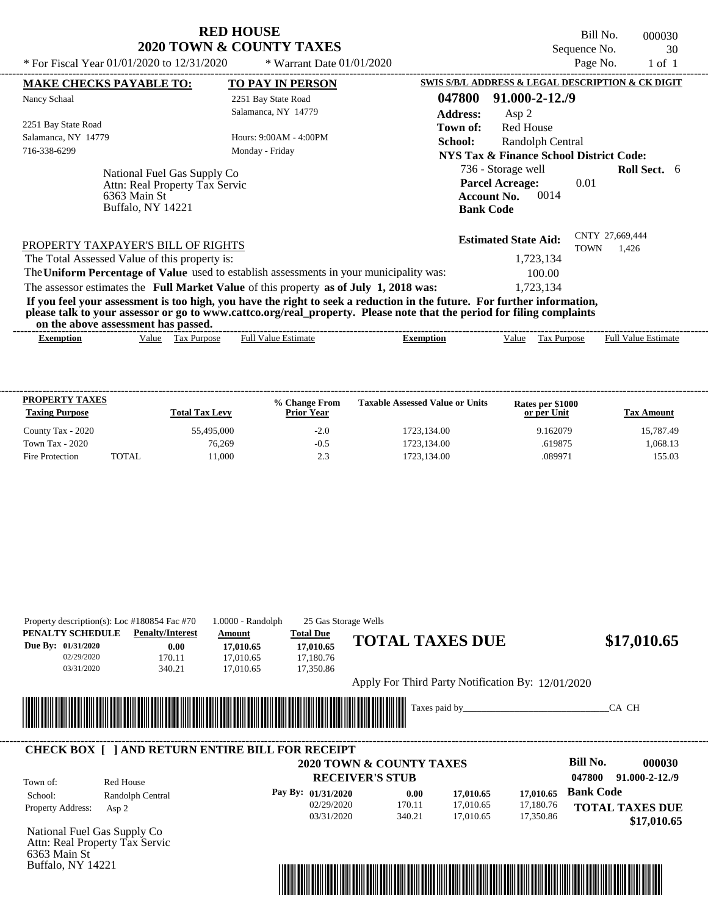| <b>RED HOUSE</b>                    |  |  |  |  |  |
|-------------------------------------|--|--|--|--|--|
| <b>2020 TOWN &amp; COUNTY TAXES</b> |  |  |  |  |  |

Bill No. 000030 Sequence No. 30

|                                               |                          | * For Fiscal Year $01/01/2020$ to $12/31/2020$ |                                                                                         | * Warrant Date $01/01/2020$                                                                                                                                                                                                                      |                                                    | Page No.                   | $1$ of $1$ |
|-----------------------------------------------|--------------------------|------------------------------------------------|-----------------------------------------------------------------------------------------|--------------------------------------------------------------------------------------------------------------------------------------------------------------------------------------------------------------------------------------------------|----------------------------------------------------|----------------------------|------------|
| <b>MAKE CHECKS PAYABLE TO:</b>                |                          |                                                | TO PAY IN PERSON                                                                        |                                                                                                                                                                                                                                                  | SWIS S/B/L ADDRESS & LEGAL DESCRIPTION & CK DIGIT  |                            |            |
| Nancy Schaal                                  |                          |                                                | 2251 Bay State Road                                                                     | 047800                                                                                                                                                                                                                                           | 91.000-2-12./9                                     |                            |            |
|                                               |                          |                                                | Salamanca, NY 14779                                                                     | <b>Address:</b>                                                                                                                                                                                                                                  | Asp $2$                                            |                            |            |
| 2251 Bay State Road                           |                          |                                                |                                                                                         | Town of:                                                                                                                                                                                                                                         | <b>Red House</b>                                   |                            |            |
| Salamanca, NY 14779                           |                          |                                                | Hours: $9:00AM - 4:00PM$                                                                | School:                                                                                                                                                                                                                                          | Randolph Central                                   |                            |            |
| 716-338-6299                                  |                          |                                                | Monday - Friday                                                                         |                                                                                                                                                                                                                                                  | <b>NYS Tax &amp; Finance School District Code:</b> |                            |            |
|                                               |                          | National Fuel Gas Supply Co                    |                                                                                         |                                                                                                                                                                                                                                                  | 736 - Storage well                                 | Roll Sect. 6               |            |
|                                               |                          | Attn: Real Property Tax Servic                 |                                                                                         |                                                                                                                                                                                                                                                  | <b>Parcel Acreage:</b>                             | 0.01                       |            |
|                                               | 6363 Main St             |                                                |                                                                                         |                                                                                                                                                                                                                                                  | 0014<br><b>Account No.</b>                         |                            |            |
|                                               | <b>Buffalo, NY 14221</b> |                                                |                                                                                         |                                                                                                                                                                                                                                                  | <b>Bank Code</b>                                   |                            |            |
|                                               |                          |                                                |                                                                                         |                                                                                                                                                                                                                                                  |                                                    |                            |            |
|                                               |                          |                                                |                                                                                         |                                                                                                                                                                                                                                                  |                                                    | CNTY 27,669,444            |            |
| PROPERTY TAXPAYER'S BILL OF RIGHTS            |                          |                                                |                                                                                         |                                                                                                                                                                                                                                                  | <b>Estimated State Aid:</b>                        | <b>TOWN</b><br>1,426       |            |
| The Total Assessed Value of this property is: |                          |                                                |                                                                                         |                                                                                                                                                                                                                                                  | 1,723,134                                          |                            |            |
|                                               |                          |                                                | The Uniform Percentage of Value used to establish assessments in your municipality was: |                                                                                                                                                                                                                                                  | 100.00                                             |                            |            |
|                                               |                          |                                                | The assessor estimates the Full Market Value of this property as of July 1, 2018 was:   |                                                                                                                                                                                                                                                  | 1,723,134                                          |                            |            |
| on the above assessment has passed.           |                          |                                                |                                                                                         | If you feel your assessment is too high, you have the right to seek a reduction in the future. For further information,<br>please talk to your assessor or go to www.cattco.org/real_property. Please note that the period for filing complaints |                                                    |                            |            |
| <b>Exemption</b>                              | Value                    | Tax Purpose                                    | <b>Full Value Estimate</b>                                                              | <b>Exemption</b>                                                                                                                                                                                                                                 | Tax Purpose<br>Value                               | <b>Full Value Estimate</b> |            |
| PROPERTY TAXES<br><b>Taxing Purpose</b>       |                          | <b>Total Tax Levy</b>                          | % Change From<br>Prior Year                                                             | <b>Taxable Assessed Value or Units</b>                                                                                                                                                                                                           | Rates per \$1000<br>or per Unit                    | <b>Tax Amount</b>          |            |
| County Tax - 2020                             |                          | 55,495,000                                     | $-2.0$                                                                                  | 1723,134.00                                                                                                                                                                                                                                      | 9.162079                                           |                            | 15,787.49  |
| <b>Town Tax - 2020</b>                        |                          | 76,269                                         | $-0.5$                                                                                  | 1723,134.00                                                                                                                                                                                                                                      | .619875                                            |                            | 1,068.13   |

| Due By: 01/31/2020<br>02/29/2020<br>03/31/2020 | 0.00<br>170.11<br>340.21                                | Amount<br>17,010.65<br>17,010.65<br>17,010.65 | <b>Total Due</b><br>17,010.65<br>17,180.76<br>17,350.86 | <b>TOTAL TAXES DUE</b>                            |                        |                        | \$17,010.65                    |
|------------------------------------------------|---------------------------------------------------------|-----------------------------------------------|---------------------------------------------------------|---------------------------------------------------|------------------------|------------------------|--------------------------------|
|                                                |                                                         |                                               |                                                         | Apply For Third Party Notification By: 12/01/2020 |                        |                        |                                |
|                                                |                                                         |                                               |                                                         |                                                   | Taxes paid by_________ |                        | CA CH                          |
|                                                |                                                         |                                               |                                                         |                                                   |                        |                        |                                |
|                                                |                                                         |                                               |                                                         |                                                   |                        |                        |                                |
|                                                |                                                         |                                               |                                                         |                                                   |                        |                        |                                |
|                                                | <b>CHECK BOX [ ] AND RETURN ENTIRE BILL FOR RECEIPT</b> |                                               | <b>2020 TOWN &amp; COUNTY TAXES</b>                     |                                                   |                        |                        | <b>Bill No.</b><br>000030      |
|                                                |                                                         |                                               | <b>RECEIVER'S STUB</b>                                  |                                                   |                        |                        | 047800<br>$91.000 - 2 - 12.79$ |
| Town of:<br>School:                            | Red House<br>Randolph Central                           |                                               | Pay By: 01/31/2020                                      | 0.00                                              | 17,010.65              | 17,010.65              | <b>Bank Code</b>               |
| Property Address:                              | Asp $2$                                                 |                                               | 02/29/2020<br>03/31/2020                                | 170.11<br>340.21                                  | 17,010.65<br>17,010.65 | 17,180.76<br>17,350.86 | <b>TOTAL TAXES DUE</b>         |